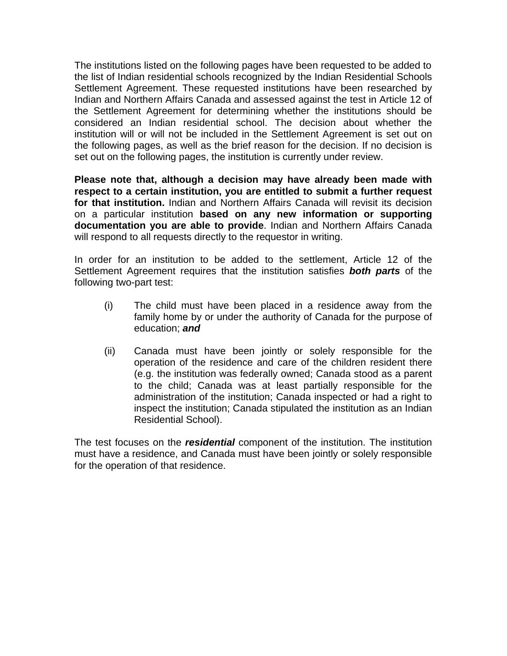The institutions listed on the following pages have been requested to be added to the list of Indian residential schools recognized by the Indian Residential Schools Settlement Agreement. These requested institutions have been researched by Indian and Northern Affairs Canada and assessed against the test in Article 12 of the Settlement Agreement for determining whether the institutions should be considered an Indian residential school. The decision about whether the institution will or will not be included in the Settlement Agreement is set out on the following pages, as well as the brief reason for the decision. If no decision is set out on the following pages, the institution is currently under review.

**Please note that, although a decision may have already been made with respect to a certain institution, you are entitled to submit a further request for that institution.** Indian and Northern Affairs Canada will revisit its decision on a particular institution **based on any new information or supporting documentation you are able to provide**. Indian and Northern Affairs Canada will respond to all requests directly to the requestor in writing.

In order for an institution to be added to the settlement, Article 12 of the Settlement Agreement requires that the institution satisfies *both parts* of the following two-part test:

- (i) The child must have been placed in a residence away from the family home by or under the authority of Canada for the purpose of education; *and*
- (ii) Canada must have been jointly or solely responsible for the operation of the residence and care of the children resident there (e.g. the institution was federally owned; Canada stood as a parent to the child; Canada was at least partially responsible for the administration of the institution; Canada inspected or had a right to inspect the institution; Canada stipulated the institution as an Indian Residential School).

The test focuses on the *residential* component of the institution. The institution must have a residence, and Canada must have been jointly or solely responsible for the operation of that residence.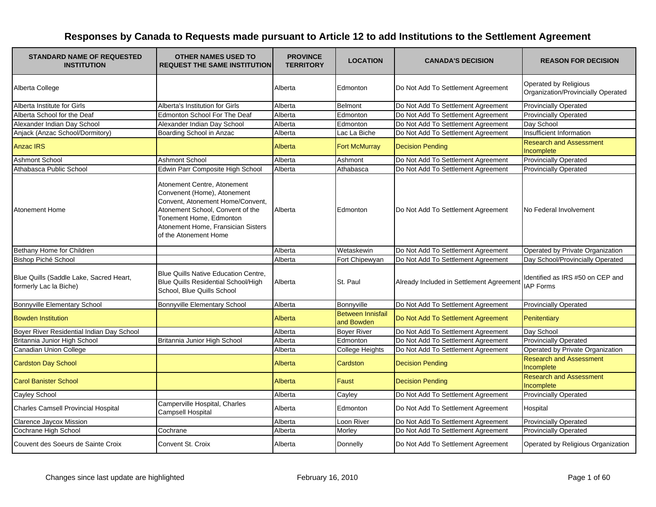| <b>STANDARD NAME OF REQUESTED</b><br><b>INSTITUTION</b>           | <b>OTHER NAMES USED TO</b><br><b>REQUEST THE SAME INSTITUTION</b>                                                                                                                                                            | <b>PROVINCE</b><br><b>TERRITORY</b> | <b>LOCATION</b>                        | <b>CANADA'S DECISION</b>                 | <b>REASON FOR DECISION</b>                                  |
|-------------------------------------------------------------------|------------------------------------------------------------------------------------------------------------------------------------------------------------------------------------------------------------------------------|-------------------------------------|----------------------------------------|------------------------------------------|-------------------------------------------------------------|
| Alberta College                                                   |                                                                                                                                                                                                                              | Alberta                             | Edmonton                               | Do Not Add To Settlement Agreement       | Operated by Religious<br>Organization/Provincially Operated |
| Alberta Institute for Girls                                       | Alberta's Institution for Girls                                                                                                                                                                                              | Alberta                             | Belmont                                | Do Not Add To Settlement Agreement       | <b>Provincially Operated</b>                                |
| Alberta School for the Deaf                                       | Edmonton School For The Deaf                                                                                                                                                                                                 | Alberta                             | Edmonton                               | Do Not Add To Settlement Agreement       | <b>Provincially Operated</b>                                |
| Alexander Indian Day School                                       | Alexander Indian Day School                                                                                                                                                                                                  | Alberta                             | Edmonton                               | Do Not Add To Settlement Agreement       | Day School                                                  |
| Anjack (Anzac School/Dormitory)                                   | Boarding School in Anzac                                                                                                                                                                                                     | Alberta                             | Lac La Biche                           | Do Not Add To Settlement Agreement       | Insufficient Information                                    |
| <b>Anzac IRS</b>                                                  |                                                                                                                                                                                                                              | Alberta                             | <b>Fort McMurray</b>                   | <b>Decision Pending</b>                  | <b>Research and Assessment</b><br>Incomplete                |
| <b>Ashmont School</b>                                             | Ashmont School                                                                                                                                                                                                               | Alberta                             | Ashmont                                | Do Not Add To Settlement Agreement       | <b>Provincially Operated</b>                                |
| Athabasca Public School                                           | Edwin Parr Composite High School                                                                                                                                                                                             | Alberta                             | Athabasca                              | Do Not Add To Settlement Agreement       | <b>Provincially Operated</b>                                |
| <b>Atonement Home</b>                                             | Atonement Centre, Atonement<br>Convenent (Home), Atonement<br>Convent, Atonement Home/Convent,<br>Atonement School, Convent of the<br>Tonement Home, Edmonton<br>Atonement Home, Fransician Sisters<br>of the Atonement Home | Alberta                             | Edmonton                               | Do Not Add To Settlement Agreement       | No Federal Involvement                                      |
| Bethany Home for Children                                         |                                                                                                                                                                                                                              | Alberta                             | Wetaskewin                             | Do Not Add To Settlement Agreement       | Operated by Private Organization                            |
| Bishop Piché School                                               |                                                                                                                                                                                                                              | Alberta                             | Fort Chipewyan                         | Do Not Add To Settlement Agreement       | Day School/Provincially Operated                            |
| Blue Quills (Saddle Lake, Sacred Heart,<br>formerly Lac la Biche) | <b>Blue Quills Native Education Centre.</b><br>Blue Quills Residential School/High<br>School, Blue Quills School                                                                                                             | Alberta                             | St. Paul                               | Already Included in Settlement Agreement | Identified as IRS #50 on CEP and<br><b>IAP Forms</b>        |
| Bonnyville Elementary School                                      | Bonnyville Elementary School                                                                                                                                                                                                 | Alberta                             | Bonnyville                             | Do Not Add To Settlement Agreement       | <b>Provincially Operated</b>                                |
| <b>Bowden Institution</b>                                         |                                                                                                                                                                                                                              | Alberta                             | <b>Between Innisfail</b><br>and Bowden | Do Not Add To Settlement Agreement       | Penitentiary                                                |
| Boyer River Residential Indian Day School                         |                                                                                                                                                                                                                              | Alberta                             | <b>Boyer River</b>                     | Do Not Add To Settlement Agreement       | Day School                                                  |
| Britannia Junior High School                                      | Britannia Junior High School                                                                                                                                                                                                 | Alberta                             | Edmonton                               | Do Not Add To Settlement Agreement       | <b>Provincially Operated</b>                                |
| Canadian Union College                                            |                                                                                                                                                                                                                              | Alberta                             | <b>College Heights</b>                 | Do Not Add To Settlement Agreement       | Operated by Private Organization                            |
| <b>Cardston Day School</b>                                        |                                                                                                                                                                                                                              | Alberta                             | <b>Cardston</b>                        | <b>Decision Pending</b>                  | <b>Research and Assessment</b><br>Incomplete                |
| <b>Carol Banister School</b>                                      |                                                                                                                                                                                                                              | Alberta                             | Faust                                  | <b>Decision Pending</b>                  | <b>Research and Assessment</b><br>Incomplete                |
| <b>Cayley School</b>                                              |                                                                                                                                                                                                                              | Alberta                             | Cayley                                 | Do Not Add To Settlement Agreement       | <b>Provincially Operated</b>                                |
| <b>Charles Camsell Provincial Hospital</b>                        | Camperville Hospital, Charles<br>Campsell Hospital                                                                                                                                                                           | Alberta                             | Edmonton                               | Do Not Add To Settlement Agreement       | Hospital                                                    |
| <b>Clarence Jaycox Mission</b>                                    |                                                                                                                                                                                                                              | Alberta                             | Loon River                             | Do Not Add To Settlement Agreement       | <b>Provincially Operated</b>                                |
| Cochrane High School                                              | Cochrane                                                                                                                                                                                                                     | Alberta                             | Morley                                 | Do Not Add To Settlement Agreement       | <b>Provincially Operated</b>                                |
| Couvent des Soeurs de Sainte Croix                                | Convent St. Croix                                                                                                                                                                                                            | Alberta                             | Donnelly                               | Do Not Add To Settlement Agreement       | Operated by Religious Organization                          |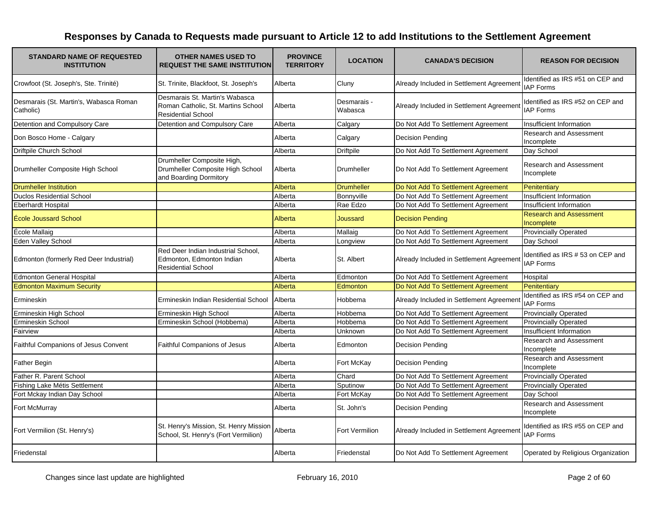| <b>STANDARD NAME OF REQUESTED</b><br><b>INSTITUTION</b> | <b>OTHER NAMES USED TO</b><br><b>REQUEST THE SAME INSTITUTION</b>                                 | <b>PROVINCE</b><br><b>TERRITORY</b> | <b>LOCATION</b>        | <b>CANADA'S DECISION</b>                 | <b>REASON FOR DECISION</b>                            |
|---------------------------------------------------------|---------------------------------------------------------------------------------------------------|-------------------------------------|------------------------|------------------------------------------|-------------------------------------------------------|
| Crowfoot (St. Joseph's, Ste. Trinité)                   | St. Trinite, Blackfoot, St. Joseph's                                                              | Alberta                             | Cluny                  | Already Included in Settlement Agreement | Identified as IRS #51 on CEP and<br><b>IAP Forms</b>  |
| Desmarais (St. Martin's, Wabasca Roman<br>Catholic)     | Desmarais St. Martin's Wabasca<br>Roman Catholic, St. Martins School<br><b>Residential School</b> | Alberta                             | Desmarais -<br>Wabasca | Already Included in Settlement Agreement | Identified as IRS #52 on CEP and<br><b>IAP Forms</b>  |
| Detention and Compulsory Care                           | Detention and Compulsory Care                                                                     | Alberta                             | Calgary                | Do Not Add To Settlement Agreement       | Insufficient Information                              |
| Don Bosco Home - Calgary                                |                                                                                                   | Alberta                             | Calgary                | <b>Decision Pending</b>                  | Research and Assessment<br>Incomplete                 |
| Driftpile Church School                                 |                                                                                                   | Alberta                             | <b>Driftpile</b>       | Do Not Add To Settlement Agreement       | Day School                                            |
| Drumheller Composite High School                        | Drumheller Composite High,<br>Drumheller Composite High School<br>and Boarding Dormitory          | Alberta                             | Drumheller             | Do Not Add To Settlement Agreement       | <b>Research and Assessment</b><br>Incomplete          |
| <b>Drumheller Institution</b>                           |                                                                                                   | Alberta                             | <b>Drumheller</b>      | Do Not Add To Settlement Agreement       | Penitentiary                                          |
| <b>Duclos Residential School</b>                        |                                                                                                   | Alberta                             | Bonnyville             | Do Not Add To Settlement Agreement       | Insufficient Information                              |
| <b>Eberhardt Hospital</b>                               |                                                                                                   | Alberta                             | Rae Edzo               | Do Not Add To Settlement Agreement       | Insufficient Information                              |
| École Joussard School                                   |                                                                                                   | Alberta                             | Joussard               | <b>Decision Pending</b>                  | <b>Research and Assessment</b><br>Incomplete          |
| École Mallaig                                           |                                                                                                   | Alberta                             | Mallaig                | Do Not Add To Settlement Agreement       | <b>Provincially Operated</b>                          |
| Eden Valley School                                      |                                                                                                   | Alberta                             | Longview               | Do Not Add To Settlement Agreement       | Day School                                            |
| Edmonton (formerly Red Deer Industrial)                 | Red Deer Indian Industrial School,<br>Edmonton, Edmonton Indian<br><b>Residential School</b>      | Alberta                             | St. Albert             | Already Included in Settlement Agreement | Identified as IRS # 53 on CEP and<br><b>IAP Forms</b> |
| <b>Edmonton General Hospital</b>                        |                                                                                                   | Alberta                             | Edmonton               | Do Not Add To Settlement Agreement       | Hospital                                              |
| <b>Edmonton Maximum Security</b>                        |                                                                                                   | Alberta                             | Edmonton               | Do Not Add To Settlement Agreement       | Penitentiary                                          |
| Ermineskin                                              | Ermineskin Indian Residential School                                                              | Alberta                             | Hobbema                | Already Included in Settlement Agreement | Identified as IRS #54 on CEP and<br><b>IAP Forms</b>  |
| Ermineskin High School                                  | Ermineskin High School                                                                            | Alberta                             | Hobbema                | Do Not Add To Settlement Agreement       | <b>Provincially Operated</b>                          |
| Ermineskin School                                       | Ermineskin School (Hobbema)                                                                       | Alberta                             | Hobbema                | Do Not Add To Settlement Agreement       | <b>Provincially Operated</b>                          |
| Fairview                                                |                                                                                                   | Alberta                             | Unknown                | Do Not Add To Settlement Agreement       | Insufficient Information                              |
| Faithful Companions of Jesus Convent                    | <b>Faithful Companions of Jesus</b>                                                               | Alberta                             | Edmonton               | <b>Decision Pending</b>                  | Research and Assessment<br>Incomplete                 |
| <b>Father Begin</b>                                     |                                                                                                   | Alberta                             | Fort McKay             | <b>Decision Pending</b>                  | Research and Assessment<br>Incomplete                 |
| Father R. Parent School                                 |                                                                                                   | Alberta                             | Chard                  | Do Not Add To Settlement Agreement       | <b>Provincially Operated</b>                          |
| Fishing Lake Métis Settlement                           |                                                                                                   | Alberta                             | Sputinow               | Do Not Add To Settlement Agreement       | <b>Provincially Operated</b>                          |
| Fort Mckay Indian Day School                            |                                                                                                   | Alberta                             | Fort McKay             | Do Not Add To Settlement Agreement       | Dav School                                            |
| Fort McMurray                                           |                                                                                                   | Alberta                             | St. John's             | Decision Pending                         | Research and Assessment<br>Incomplete                 |
| Fort Vermilion (St. Henry's)                            | St. Henry's Mission, St. Henry Mission<br>School, St. Henry's (Fort Vermilion)                    | Alberta                             | <b>Fort Vermilion</b>  | Already Included in Settlement Agreement | Identified as IRS #55 on CEP and<br><b>IAP Forms</b>  |
| Friedenstal                                             |                                                                                                   | Alberta                             | Friedenstal            | Do Not Add To Settlement Agreement       | Operated by Religious Organization                    |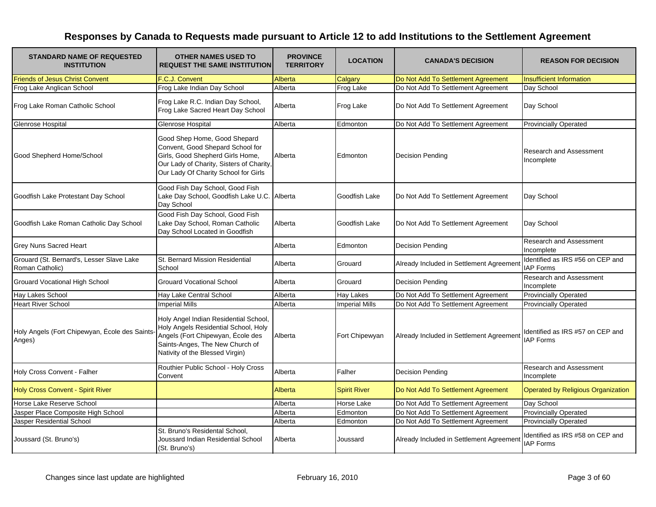| <b>STANDARD NAME OF REQUESTED</b><br><b>INSTITUTION</b>      | <b>OTHER NAMES USED TO</b><br><b>REQUEST THE SAME INSTITUTION</b>                                                                                                                        | <b>PROVINCE</b><br><b>TERRITORY</b> | <b>LOCATION</b>       | <b>CANADA'S DECISION</b>                 | <b>REASON FOR DECISION</b>                           |
|--------------------------------------------------------------|------------------------------------------------------------------------------------------------------------------------------------------------------------------------------------------|-------------------------------------|-----------------------|------------------------------------------|------------------------------------------------------|
| <b>Friends of Jesus Christ Convent</b>                       | F.C.J. Convent                                                                                                                                                                           | Alberta                             | Calgary               | Do Not Add To Settlement Agreement       | <b>Insufficient Information</b>                      |
| Frog Lake Anglican School                                    | Frog Lake Indian Day School                                                                                                                                                              | Alberta                             | <b>Frog Lake</b>      | Do Not Add To Settlement Agreement       | Day School                                           |
| Frog Lake Roman Catholic School                              | Frog Lake R.C. Indian Day School,<br>Frog Lake Sacred Heart Day School                                                                                                                   | Alberta                             | <b>Frog Lake</b>      | Do Not Add To Settlement Agreement       | Day School                                           |
| Glenrose Hospital                                            | Glenrose Hospital                                                                                                                                                                        | Alberta                             | Edmonton              | Do Not Add To Settlement Agreement       | <b>Provincially Operated</b>                         |
| Good Shepherd Home/School                                    | Good Shep Home, Good Shepard<br>Convent, Good Shepard School for<br>Girls, Good Shepherd Girls Home,<br>Our Lady of Charity, Sisters of Charity,<br>Our Lady Of Charity School for Girls | Alberta                             | Edmonton              | Decision Pending                         | <b>Research and Assessment</b><br>Incomplete         |
| Goodfish Lake Protestant Day School                          | Good Fish Day School, Good Fish<br>Lake Day School, Goodfish Lake U.C. Alberta<br>Day School                                                                                             |                                     | Goodfish Lake         | Do Not Add To Settlement Agreement       | Day School                                           |
| Goodfish Lake Roman Catholic Day School                      | Good Fish Day School, Good Fish<br>Lake Day School, Roman Catholic<br>Day School Located in Goodfish                                                                                     | Alberta                             | Goodfish Lake         | Do Not Add To Settlement Agreement       | Day School                                           |
| <b>Grey Nuns Sacred Heart</b>                                |                                                                                                                                                                                          | Alberta                             | Edmonton              | Decision Pending                         | Research and Assessment<br>Incomplete                |
| Grouard (St. Bernard's, Lesser Slave Lake<br>Roman Catholic) | St. Bernard Mission Residential<br>School                                                                                                                                                | Alberta                             | Grouard               | Already Included in Settlement Agreement | Identified as IRS #56 on CEP and<br><b>IAP Forms</b> |
| <b>Grouard Vocational High School</b>                        | <b>Grouard Vocational School</b>                                                                                                                                                         | Alberta                             | Grouard               | <b>Decision Pending</b>                  | Research and Assessment<br>Incomplete                |
| <b>Hay Lakes School</b>                                      | Hay Lake Central School                                                                                                                                                                  | Alberta                             | <b>Hay Lakes</b>      | Do Not Add To Settlement Agreement       | <b>Provincially Operated</b>                         |
| <b>Heart River School</b>                                    | <b>Imperial Mills</b>                                                                                                                                                                    | Alberta                             | <b>Imperial Mills</b> | Do Not Add To Settlement Agreement       | <b>Provincially Operated</b>                         |
| Holy Angels (Fort Chipewyan, École des Saints-<br>Anges)     | Holy Angel Indian Residential School,<br>Holy Angels Residential School, Holy<br>Angels (Fort Chipewyan, École des<br>Saints-Anges, The New Church of<br>Nativity of the Blessed Virgin) | Alberta                             | Fort Chipewyan        | Already Included in Settlement Agreement | Identified as IRS #57 on CEP and<br><b>IAP Forms</b> |
| Holy Cross Convent - Falher                                  | Routhier Public School - Holy Cross<br>Convent                                                                                                                                           | Alberta                             | Falher                | <b>Decision Pending</b>                  | Research and Assessment<br>Incomplete                |
| Holy Cross Convent - Spirit River                            |                                                                                                                                                                                          | Alberta                             | <b>Spirit River</b>   | Do Not Add To Settlement Agreement       | Operated by Religious Organization                   |
| Horse Lake Reserve School                                    |                                                                                                                                                                                          | Alberta                             | <b>Horse Lake</b>     | Do Not Add To Settlement Agreement       | Day School                                           |
| Jasper Place Composite High School                           |                                                                                                                                                                                          | Alberta                             | Edmonton              | Do Not Add To Settlement Agreement       | Provincially Operated                                |
| Jasper Residential School                                    |                                                                                                                                                                                          | Alberta                             | Edmonton              | Do Not Add To Settlement Agreement       | <b>Provincially Operated</b>                         |
| Joussard (St. Bruno's)                                       | St. Bruno's Residental School,<br>Joussard Indian Residential School<br>(St. Bruno's)                                                                                                    | Alberta                             | Joussard              | Already Included in Settlement Agreement | Identified as IRS #58 on CEP and<br><b>IAP Forms</b> |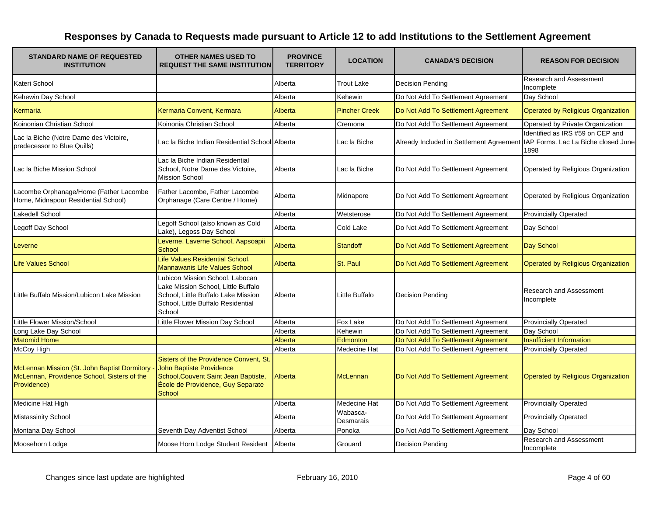| <b>STANDARD NAME OF REQUESTED</b><br><b>INSTITUTION</b>                                                    | <b>OTHER NAMES USED TO</b><br><b>REQUEST THE SAME INSTITUTION</b>                                                                                                | <b>PROVINCE</b><br><b>TERRITORY</b> | <b>LOCATION</b>       | <b>CANADA'S DECISION</b>                 | <b>REASON FOR DECISION</b>                                                      |
|------------------------------------------------------------------------------------------------------------|------------------------------------------------------------------------------------------------------------------------------------------------------------------|-------------------------------------|-----------------------|------------------------------------------|---------------------------------------------------------------------------------|
| Kateri School                                                                                              |                                                                                                                                                                  | Alberta                             | <b>Trout Lake</b>     | <b>Decision Pending</b>                  | Research and Assessment<br>Incomplete                                           |
| Kehewin Day School                                                                                         |                                                                                                                                                                  | Alberta                             | Kehewin               | Do Not Add To Settlement Agreement       | Day School                                                                      |
| Kermaria                                                                                                   | Kermaria Convent, Kermara                                                                                                                                        | Alberta                             | <b>Pincher Creek</b>  | Do Not Add To Settlement Agreement       | <b>Operated by Religious Organization</b>                                       |
| Koinonian Christian School                                                                                 | Koinonia Christian School                                                                                                                                        | Alberta                             | Cremona               | Do Not Add To Settlement Agreement       | Operated by Private Organization                                                |
| Lac la Biche (Notre Dame des Victoire,<br>predecessor to Blue Quills)                                      | Lac la Biche Indian Residential School Alberta                                                                                                                   |                                     | Lac la Biche          | Already Included in Settlement Agreement | Identified as IRS #59 on CEP and<br>IAP Forms. Lac La Biche closed June<br>1898 |
| Lac la Biche Mission School                                                                                | Lac la Biche Indian Residential<br>School, Notre Dame des Victoire,<br><b>Mission School</b>                                                                     | Alberta                             | Lac la Biche          | Do Not Add To Settlement Agreement       | Operated by Religious Organization                                              |
| Lacombe Orphanage/Home (Father Lacombe<br>Home, Midnapour Residential School)                              | Father Lacombe, Father Lacombe<br>Orphanage (Care Centre / Home)                                                                                                 | Alberta                             | Midnapore             | Do Not Add To Settlement Agreement       | Operated by Religious Organization                                              |
| <b>Lakedell School</b>                                                                                     |                                                                                                                                                                  | Alberta                             | Wetsterose            | Do Not Add To Settlement Agreement       | <b>Provincially Operated</b>                                                    |
| Legoff Day School                                                                                          | Legoff School (also known as Cold<br>Lake), Legoss Day School                                                                                                    | Alberta                             | Cold Lake             | Do Not Add To Settlement Agreement       | Day School                                                                      |
| Leverne                                                                                                    | Leverne, Laverne School, Aapsoapii<br><b>School</b>                                                                                                              | Alberta                             | <b>Standoff</b>       | Do Not Add To Settlement Agreement       | Day School                                                                      |
| <b>Life Values School</b>                                                                                  | Life Values Residential School,<br>Mannawanis Life Values School                                                                                                 | Alberta                             | St. Paul              | Do Not Add To Settlement Agreement       | Operated by Religious Organization                                              |
| Little Buffalo Mission/Lubicon Lake Mission                                                                | Lubicon Mission School, Labocan<br>Lake Mission School, Little Buffalo<br>School, Little Buffalo Lake Mission<br>School, Little Buffalo Residential<br>School    | Alberta                             | Little Buffalo        | <b>Decision Pending</b>                  | Research and Assessment<br>Incomplete                                           |
| Little Flower Mission/School                                                                               | Little Flower Mission Day School                                                                                                                                 | Alberta                             | Fox Lake              | Do Not Add To Settlement Agreement       | <b>Provincially Operated</b>                                                    |
| Long Lake Day School                                                                                       |                                                                                                                                                                  | Alberta                             | Kehewin               | Do Not Add To Settlement Agreement       | Day School                                                                      |
| <b>Matomid Home</b>                                                                                        |                                                                                                                                                                  | Alberta                             | Edmonton              | Do Not Add To Settlement Agreement       | <b>Insufficient Information</b>                                                 |
| McCoy High                                                                                                 |                                                                                                                                                                  | Alberta                             | Medecine Hat          | Do Not Add To Settlement Agreement       | <b>Provincially Operated</b>                                                    |
| McLennan Mission (St. John Baptist Dormitory<br>McLennan, Providence School, Sisters of the<br>Providence) | Sisters of the Providence Convent, St.<br><b>John Baptiste Providence</b><br>School, Couvent Saint Jean Baptiste,<br>École de Providence, Guy Separate<br>School | Alberta                             | McLennan              | Do Not Add To Settlement Agreement       | <b>Operated by Religious Organization</b>                                       |
| Medicine Hat High                                                                                          |                                                                                                                                                                  | Alberta                             | <b>Medecine Hat</b>   | Do Not Add To Settlement Agreement       | <b>Provincially Operated</b>                                                    |
| <b>Mistassinity School</b>                                                                                 |                                                                                                                                                                  | Alberta                             | Wabasca-<br>Desmarais | Do Not Add To Settlement Agreement       | <b>Provincially Operated</b>                                                    |
| Montana Day School                                                                                         | Seventh Day Adventist School                                                                                                                                     | Alberta                             | Ponoka                | Do Not Add To Settlement Agreement       | Day School                                                                      |
| Moosehorn Lodge                                                                                            | Moose Horn Lodge Student Resident                                                                                                                                | Alberta                             | Grouard               | <b>Decision Pending</b>                  | Research and Assessment<br>Incomplete                                           |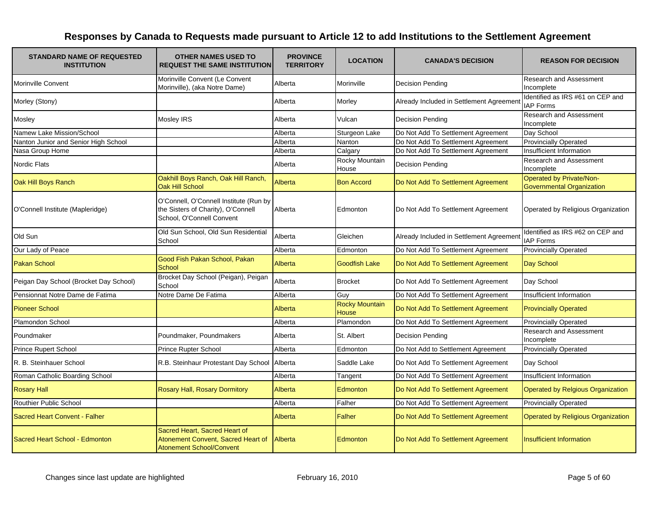| <b>STANDARD NAME OF REQUESTED</b><br><b>INSTITUTION</b> | <b>OTHER NAMES USED TO</b><br><b>REQUEST THE SAME INSTITUTION</b>                                         | <b>PROVINCE</b><br><b>TERRITORY</b> | <b>LOCATION</b>                       | <b>CANADA'S DECISION</b>                 | <b>REASON FOR DECISION</b>                            |
|---------------------------------------------------------|-----------------------------------------------------------------------------------------------------------|-------------------------------------|---------------------------------------|------------------------------------------|-------------------------------------------------------|
| <b>Morinville Convent</b>                               | Morinville Convent (Le Convent<br>Morinville), (aka Notre Dame)                                           | Alberta                             | Morinville                            | <b>Decision Pending</b>                  | <b>Research and Assessment</b><br>Incomplete          |
| Morley (Stony)                                          |                                                                                                           | Alberta                             | Morley                                | Already Included in Settlement Agreemen  | Identified as IRS #61 on CEP and<br><b>IAP Forms</b>  |
| Mosley                                                  | Mosley IRS                                                                                                | Alberta                             | Vulcan                                | <b>Decision Pending</b>                  | <b>Research and Assessment</b><br>Incomplete          |
| Namew Lake Mission/School                               |                                                                                                           | Alberta                             | Sturgeon Lake                         | Do Not Add To Settlement Agreement       | Day School                                            |
| Nanton Junior and Senior High School                    |                                                                                                           | Alberta                             | <b>Nanton</b>                         | Do Not Add To Settlement Agreement       | <b>Provincially Operated</b>                          |
| Nasa Group Home                                         |                                                                                                           | Alberta                             | Calgary                               | Do Not Add To Settlement Agreement       | Insufficient Information                              |
| Nordic Flats                                            |                                                                                                           | Alberta                             | Rocky Mountain<br>House               | <b>Decision Pending</b>                  | <b>Research and Assessment</b><br>Incomplete          |
| Oak Hill Boys Ranch                                     | Oakhill Boys Ranch, Oak Hill Ranch,<br><b>Oak Hill School</b>                                             | Alberta                             | <b>Bon Accord</b>                     | Do Not Add To Settlement Agreement       | Operated by Private/Non-<br>Governmental Organization |
| O'Connell Institute (Mapleridge)                        | O'Connell, O'Connell Institute (Run by<br>the Sisters of Charity), O'Connell<br>School, O'Connell Convent | Alberta                             | Edmonton                              | Do Not Add To Settlement Agreement       | Operated by Religious Organization                    |
| Old Sun                                                 | Old Sun School, Old Sun Residential<br>School                                                             | Alberta                             | Gleichen                              | Already Included in Settlement Agreement | Identified as IRS #62 on CEP and<br><b>IAP Forms</b>  |
| Our Lady of Peace                                       |                                                                                                           | Alberta                             | Edmonton                              | Do Not Add To Settlement Agreement       | <b>Provincially Operated</b>                          |
| <b>Pakan School</b>                                     | Good Fish Pakan School, Pakan<br>School                                                                   | Alberta                             | <b>Goodfish Lake</b>                  | Do Not Add To Settlement Agreement       | Day School                                            |
| Peigan Day School (Brocket Day School)                  | Brocket Day School (Peigan), Peigan<br>School                                                             | Alberta                             | <b>Brocket</b>                        | Do Not Add To Settlement Agreement       | Day School                                            |
| Pensionnat Notre Dame de Fatima                         | Notre Dame De Fatima                                                                                      | Alberta                             | Guy                                   | Do Not Add To Settlement Agreement       | Insufficient Information                              |
| <b>Pioneer School</b>                                   |                                                                                                           | Alberta                             | <b>Rocky Mountain</b><br><b>House</b> | Do Not Add To Settlement Agreement       | <b>Provincially Operated</b>                          |
| Plamondon School                                        |                                                                                                           | Alberta                             | Plamondon                             | Do Not Add To Settlement Agreement       | <b>Provincially Operated</b>                          |
| Poundmaker                                              | Poundmaker, Poundmakers                                                                                   | Alberta                             | St. Albert                            | <b>Decision Pending</b>                  | <b>Research and Assessment</b><br>Incomplete          |
| <b>Prince Rupert School</b>                             | <b>Prince Rupter School</b>                                                                               | Alberta                             | Edmonton                              | Do Not Add to Settlement Agreement       | <b>Provincially Operated</b>                          |
| R. B. Steinhauer School                                 | R.B. Steinhaur Protestant Day School Alberta                                                              |                                     | Saddle Lake                           | Do Not Add To Settlement Agreement       | Day School                                            |
| Roman Catholic Boarding School                          |                                                                                                           | Alberta                             | Tangent                               | Do Not Add To Settlement Agreement       | Insufficient Information                              |
| <b>Rosary Hall</b>                                      | Rosary Hall, Rosary Dormitory                                                                             | Alberta                             | Edmonton                              | Do Not Add To Settlement Agreement       | Operated by Relgious Organization                     |
| <b>Routhier Public School</b>                           |                                                                                                           | Alberta                             | Falher                                | Do Not Add To Settlement Agreement       | <b>Provincially Operated</b>                          |
| <b>Sacred Heart Convent - Falher</b>                    |                                                                                                           | Alberta                             | <b>Falher</b>                         | Do Not Add To Settlement Agreement       | <b>Operated by Religious Organization</b>             |
| Sacred Heart School - Edmonton                          | Sacred Heart, Sacred Heart of<br>Atonement Convent, Sacred Heart of<br><b>Atonement School/Convent</b>    | Alberta                             | Edmonton                              | Do Not Add To Settlement Agreement       | <b>Insufficient Information</b>                       |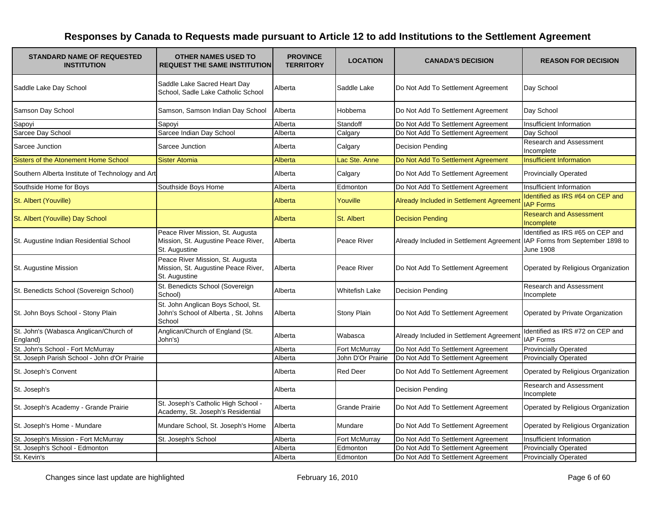| <b>STANDARD NAME OF REQUESTED</b><br><b>INSTITUTION</b> | <b>OTHER NAMES USED TO</b><br><b>REQUEST THE SAME INSTITUTION</b>                        | <b>PROVINCE</b><br><b>TERRITORY</b> | <b>LOCATION</b>       | <b>CANADA'S DECISION</b>                                                  | <b>REASON FOR DECISION</b>                           |
|---------------------------------------------------------|------------------------------------------------------------------------------------------|-------------------------------------|-----------------------|---------------------------------------------------------------------------|------------------------------------------------------|
| Saddle Lake Day School                                  | Saddle Lake Sacred Heart Day<br>School, Sadle Lake Catholic School                       | Alberta                             | Saddle Lake           | Do Not Add To Settlement Agreement                                        | Day School                                           |
| Samson Day School                                       | Samson, Samson Indian Day School                                                         | Alberta                             | Hobbema               | Do Not Add To Settlement Agreement                                        | Day School                                           |
| Sapoyi                                                  | Sapoyi                                                                                   | Alberta                             | Standoff              | Do Not Add To Settlement Agreement                                        | Insufficient Information                             |
| Sarcee Day School                                       | Sarcee Indian Day School                                                                 | Alberta                             | Calgary               | Do Not Add To Settlement Agreement                                        | Day School                                           |
| Sarcee Junction                                         | Sarcee Junction                                                                          | Alberta                             | Calgary               | <b>Decision Pending</b>                                                   | Research and Assessment<br>Incomplete                |
| <b>Sisters of the Atonement Home School</b>             | <b>Sister Atomia</b>                                                                     | <b>Alberta</b>                      | Lac Ste. Anne         | Do Not Add To Settlement Agreement                                        | <b>Insufficient Information</b>                      |
| Southern Alberta Institute of Technology and Art        |                                                                                          | Alberta                             | Calgary               | Do Not Add To Settlement Agreement                                        | <b>Provincially Operated</b>                         |
| Southside Home for Boys                                 | Southside Boys Home                                                                      | Alberta                             | Edmonton              | Do Not Add To Settlement Agreement                                        | Insufficient Information                             |
| St. Albert (Youville)                                   |                                                                                          | Alberta                             | Youville              | Already Included in Settlement Agreemer                                   | Identified as IRS #64 on CEP and<br><b>IAP Forms</b> |
| St. Albert (Youville) Day School                        |                                                                                          | Alberta                             | St. Albert            | <b>Decision Pending</b>                                                   | <b>Research and Assessment</b><br>Incomplete         |
| St. Augustine Indian Residential School                 | Peace River Mission, St. Augusta<br>Mission, St. Augustine Peace River,<br>St. Augustine | Alberta                             | Peace River           | Already Included in Settlement Agreement IAP Forms from September 1898 to | Identified as IRS #65 on CEP and<br>June 1908        |
| St. Augustine Mission                                   | Peace River Mission, St. Augusta<br>Mission, St. Augustine Peace River,<br>St. Augustine | Alberta                             | Peace River           | Do Not Add To Settlement Agreement                                        | Operated by Religious Organization                   |
| St. Benedicts School (Sovereign School)                 | St. Benedicts School (Sovereign<br>School)                                               | Alberta                             | <b>Whitefish Lake</b> | <b>Decision Pending</b>                                                   | Research and Assessment<br>Incomplete                |
| St. John Boys School - Stony Plain                      | St. John Anglican Boys School, St.<br>John's School of Alberta, St. Johns<br>School      | Alberta                             | <b>Stony Plain</b>    | Do Not Add To Settlement Agreement                                        | Operated by Private Organization                     |
| St. John's (Wabasca Anglican/Church of<br>England)      | Anglican/Church of England (St.<br>John's)                                               | Alberta                             | Wabasca               | Already Included in Settlement Agreement                                  | Identified as IRS #72 on CEP and<br><b>IAP Forms</b> |
| St. John's School - Fort McMurray                       |                                                                                          | Alberta                             | Fort McMurray         | Do Not Add To Settlement Agreement                                        | <b>Provincially Operated</b>                         |
| St. Joseph Parish School - John d'Or Prairie            |                                                                                          | Alberta                             | John D'Or Prairie     | Do Not Add To Settlement Agreement                                        | <b>Provincially Operated</b>                         |
| St. Joseph's Convent                                    |                                                                                          | Alberta                             | <b>Red Deer</b>       | Do Not Add To Settlement Agreement                                        | Operated by Religious Organization                   |
| St. Joseph's                                            |                                                                                          | Alberta                             |                       | <b>Decision Pending</b>                                                   | Research and Assessment<br>Incomplete                |
| St. Joseph's Academy - Grande Prairie                   | St. Joseph's Catholic High School -<br>Academy, St. Joseph's Residential                 | Alberta                             | <b>Grande Prairie</b> | Do Not Add To Settlement Agreement                                        | Operated by Religious Organization                   |
| St. Joseph's Home - Mundare                             | Mundare School, St. Joseph's Home                                                        | Alberta                             | Mundare               | Do Not Add To Settlement Agreement                                        | Operated by Religious Organization                   |
| St. Joseph's Mission - Fort McMurray                    | St. Joseph's School                                                                      | Alberta                             | Fort McMurray         | Do Not Add To Settlement Agreement                                        | Insufficient Information                             |
| St. Joseph's School - Edmonton                          |                                                                                          | Alberta                             | Edmonton              | Do Not Add To Settlement Agreement                                        | <b>Provincially Operated</b>                         |
| St. Kevin's                                             |                                                                                          | Alberta                             | Edmonton              | Do Not Add To Settlement Agreement                                        | <b>Provincially Operated</b>                         |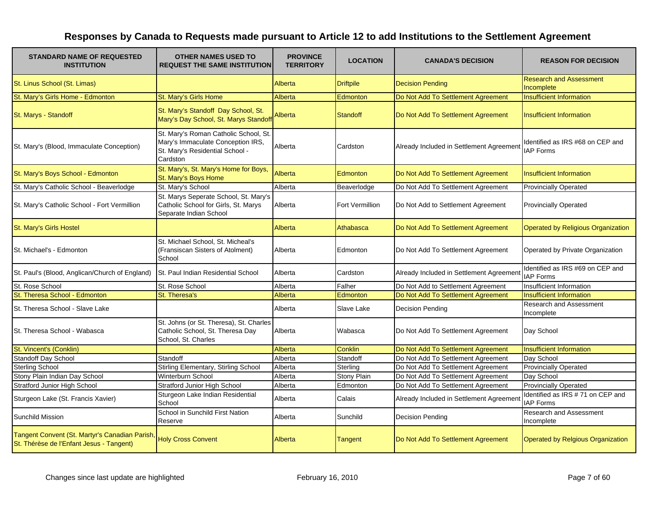| <b>STANDARD NAME OF REQUESTED</b><br><b>INSTITUTION</b>                                    | <b>OTHER NAMES USED TO</b><br><b>REQUEST THE SAME INSTITUTION</b>                                                         | <b>PROVINCE</b><br><b>TERRITORY</b> | <b>LOCATION</b>  | <b>CANADA'S DECISION</b>                 | <b>REASON FOR DECISION</b>                           |
|--------------------------------------------------------------------------------------------|---------------------------------------------------------------------------------------------------------------------------|-------------------------------------|------------------|------------------------------------------|------------------------------------------------------|
| St. Linus School (St. Limas)                                                               |                                                                                                                           | Alberta                             | <b>Driftpile</b> | <b>Decision Pending</b>                  | <b>Research and Assessment</b><br>Incomplete         |
| St. Mary's Girls Home - Edmonton                                                           | St. Mary's Girls Home                                                                                                     | Alberta                             | Edmonton         | Do Not Add To Settlement Agreement       | <b>Insufficient Information</b>                      |
| St. Marys - Standoff                                                                       | St. Mary's Standoff Day School, St.<br>Mary's Day School, St. Marys Standof                                               | Alberta                             | <b>Standoff</b>  | Do Not Add To Settlement Agreement       | <b>Insufficient Information</b>                      |
| St. Mary's (Blood, Immaculate Conception)                                                  | St. Mary's Roman Catholic School, St.<br>Mary's Immaculate Conception IRS,<br>St. Mary's Residential School -<br>Cardston | Alberta                             | Cardston         | Already Included in Settlement Agreement | Identified as IRS #68 on CEP and<br><b>IAP Forms</b> |
| St. Mary's Boys School - Edmonton                                                          | St. Mary's, St. Mary's Home for Boys,<br>St. Mary's Boys Home                                                             | Alberta                             | Edmonton         | Do Not Add To Settlement Agreement       | <b>Insufficient Information</b>                      |
| St. Mary's Catholic School - Beaverlodge                                                   | St. Mary's School                                                                                                         | Alberta                             | Beaverlodge      | Do Not Add To Settlement Agreement       | <b>Provincially Operated</b>                         |
| St. Mary's Catholic School - Fort Vermillion                                               | St. Marys Seperate School, St. Mary's<br>Catholic School for Girls, St. Marys<br>Separate Indian School                   | Alberta                             | Fort Vermillion  | Do Not Add to Settlement Agreement       | <b>Provincially Operated</b>                         |
| St. Mary's Girls Hostel                                                                    |                                                                                                                           | Alberta                             | Athabasca        | Do Not Add To Settlement Agreement       | <b>Operated by Religious Organization</b>            |
| St. Michael's - Edmonton                                                                   | St. Michael School, St. Micheal's<br>(Fransiscan Sisters of Atolment)<br>School                                           | Alberta                             | Edmonton         | Do Not Add To Settlement Agreement       | Operated by Private Organization                     |
| St. Paul's (Blood, Anglican/Church of England)                                             | <b>St. Paul Indian Residential School</b>                                                                                 | Alberta                             | Cardston         | Already Included in Settlement Agreement | Identified as IRS #69 on CEP and<br><b>IAP Forms</b> |
| St. Rose School                                                                            | St. Rose School                                                                                                           | Alberta                             | Falher           | Do Not Add to Settlement Agreement       | Insufficient Information                             |
| St. Theresa School - Edmonton                                                              | St. Theresa's                                                                                                             | Alberta                             | Edmonton         | Do Not Add To Settlement Agreement       | <b>Insufficient Information</b>                      |
| St. Theresa School - Slave Lake                                                            |                                                                                                                           | Alberta                             | Slave Lake       | <b>Decision Pending</b>                  | Research and Assessment<br>Incomplete                |
| St. Theresa School - Wabasca                                                               | St. Johns (or St. Theresa), St. Charles<br>Catholic School, St. Theresa Day<br>School, St. Charles                        | Alberta                             | Wabasca          | Do Not Add To Settlement Agreement       | Day School                                           |
| St. Vincent's (Conklin)                                                                    |                                                                                                                           | Alberta                             | Conklin          | Do Not Add To Settlement Agreement       | <b>Insufficient Information</b>                      |
| Standoff Day School                                                                        | Standoff                                                                                                                  | Alberta                             | Standoff         | Do Not Add To Settlement Agreement       | Day School                                           |
| <b>Sterling School</b>                                                                     | Stirling Elementary, Stirling School                                                                                      | Alberta                             | Sterling         | Do Not Add To Settlement Agreement       | <b>Provincially Operated</b>                         |
| Stony Plain Indian Day School                                                              | Winterburn School                                                                                                         | Alberta                             | Stony Plain      | Do Not Add To Settlement Agreement       | Day School                                           |
| Stratford Junior High School                                                               | <b>Stratford Junior High School</b>                                                                                       | Alberta                             | Edmonton         | Do Not Add To Settlement Agreement       | <b>Provincially Operated</b>                         |
| Sturgeon Lake (St. Francis Xavier)                                                         | Sturgeon Lake Indian Residential<br>School                                                                                | Alberta                             | Calais           | Already Included in Settlement Agreement | Identified as IRS #71 on CEP and<br><b>IAP Forms</b> |
| <b>Sunchild Mission</b>                                                                    | School in Sunchild First Nation<br>Reserve                                                                                | Alberta                             | Sunchild         | <b>Decision Pending</b>                  | <b>Research and Assessment</b><br>Incomplete         |
| Tangent Convent (St. Martyr's Canadian Parish,<br>St. Thérèse de l'Enfant Jesus - Tangent) | <b>Holy Cross Convent</b>                                                                                                 | Alberta                             | Tangent          | Do Not Add To Settlement Agreement       | <b>Operated by Relgious Organization</b>             |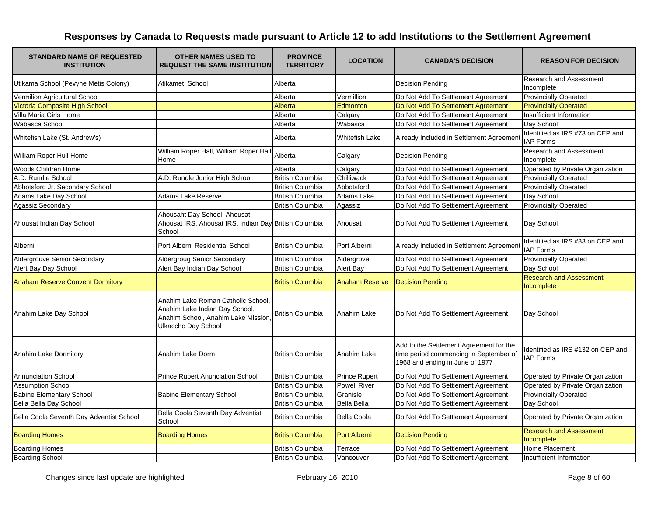| <b>STANDARD NAME OF REQUESTED</b><br><b>INSTITUTION</b> | <b>OTHER NAMES USED TO</b><br><b>REQUEST THE SAME INSTITUTION</b>                                                                 | <b>PROVINCE</b><br><b>TERRITORY</b> | <b>LOCATION</b>       | <b>CANADA'S DECISION</b>                                                                                             | <b>REASON FOR DECISION</b>                            |
|---------------------------------------------------------|-----------------------------------------------------------------------------------------------------------------------------------|-------------------------------------|-----------------------|----------------------------------------------------------------------------------------------------------------------|-------------------------------------------------------|
| Utikama School (Pevyne Metis Colony)                    | Atikamet School                                                                                                                   | Alberta                             |                       | <b>Decision Pending</b>                                                                                              | Research and Assessment<br>Incomplete                 |
| Vermilion Agricultural School                           |                                                                                                                                   | Alberta                             | Vermillion            | Do Not Add To Settlement Agreement                                                                                   | <b>Provincially Operated</b>                          |
| Victoria Composite High School                          |                                                                                                                                   | Alberta                             | Edmonton              | Do Not Add To Settlement Agreement                                                                                   | <b>Provincially Operated</b>                          |
| Villa Maria Girls Home                                  |                                                                                                                                   | Alberta                             | Calgary               | Do Not Add To Settlement Agreement                                                                                   | Insufficient Information                              |
| Wabasca School                                          |                                                                                                                                   | Alberta                             | Wabasca               | Do Not Add To Settlement Agreement                                                                                   | Day School                                            |
| Whitefish Lake (St. Andrew's)                           |                                                                                                                                   | Alberta                             | Whitefish Lake        | Already Included in Settlement Agreement                                                                             | Identified as IRS #73 on CEP and<br><b>IAP Forms</b>  |
| William Roper Hull Home                                 | William Roper Hall, William Roper Hall<br>Home                                                                                    | Alberta                             | Calgary               | <b>Decision Pending</b>                                                                                              | Research and Assessment<br>Incomplete                 |
| Woods Children Home                                     |                                                                                                                                   | Alberta                             | Calgary               | Do Not Add To Settlement Agreement                                                                                   | Operated by Private Organization                      |
| A.D. Rundle School                                      | A.D. Rundle Junior High School                                                                                                    | <b>British Columbia</b>             | Chilliwack            | Do Not Add To Settlement Agreement                                                                                   | <b>Provincially Operated</b>                          |
| Abbotsford Jr. Secondary School                         |                                                                                                                                   | <b>British Columbia</b>             | Abbotsford            | Do Not Add To Settlement Agreement                                                                                   | <b>Provincially Operated</b>                          |
| Adams Lake Day School                                   | <b>Adams Lake Reserve</b>                                                                                                         | <b>British Columbia</b>             | Adams Lake            | Do Not Add To Settlement Agreement                                                                                   | Day School                                            |
| Agassiz Secondary                                       |                                                                                                                                   | <b>British Columbia</b>             | Agassiz               | Do Not Add To Settlement Agreement                                                                                   | <b>Provincially Operated</b>                          |
| Ahousat Indian Day School                               | Ahousaht Day School, Ahousat,<br>Ahousat IRS, Ahousat IRS, Indian Day British Columbia<br>School                                  |                                     | Ahousat               | Do Not Add To Settlement Agreement                                                                                   | Day School                                            |
| Alberni                                                 | Port Alberni Residential School                                                                                                   | <b>British Columbia</b>             | Port Alberni          | Already Included in Settlement Agreemen                                                                              | Identified as IRS #33 on CEP and<br><b>IAP Forms</b>  |
| Aldergrouve Senior Secondary                            | Aldergroug Senior Secondary                                                                                                       | <b>British Columbia</b>             | Aldergrove            | Do Not Add To Settlement Agreement                                                                                   | <b>Provincially Operated</b>                          |
| Alert Bay Day School                                    | Alert Bay Indian Day School                                                                                                       | <b>British Columbia</b>             | Alert Bay             | Do Not Add To Settlement Agreement                                                                                   | Day School                                            |
| <b>Anaham Reserve Convent Dormitory</b>                 |                                                                                                                                   | <b>British Columbia</b>             | <b>Anaham Reserve</b> | <b>Decision Pending</b>                                                                                              | <b>Research and Assessment</b><br>Incomplete          |
| Anahim Lake Day School                                  | Anahim Lake Roman Catholic School,<br>Anahim Lake Indian Day School,<br>Anahim School, Anahim Lake Mission<br>Ulkaccho Day School | <b>British Columbia</b>             | Anahim Lake           | Do Not Add To Settlement Agreement                                                                                   | Day School                                            |
| Anahim Lake Dormitory                                   | Anahim Lake Dorm                                                                                                                  | <b>British Columbia</b>             | Anahim Lake           | Add to the Settlement Agreement for the<br>time period commencing in September of<br>1968 and ending in June of 1977 | Identified as IRS #132 on CEP and<br><b>IAP Forms</b> |
| <b>Annunciation School</b>                              | <b>Prince Rupert Anunciation School</b>                                                                                           | <b>British Columbia</b>             | <b>Prince Rupert</b>  | Do Not Add To Settlement Agreement                                                                                   | Operated by Private Organization                      |
| <b>Assumption School</b>                                |                                                                                                                                   | <b>British Columbia</b>             | <b>Powell River</b>   | Do Not Add To Settlement Agreement                                                                                   | Operated by Private Organization                      |
| <b>Babine Elementary School</b>                         | <b>Babine Elementary School</b>                                                                                                   | <b>British Columbia</b>             | Granisle              | Do Not Add To Settlement Agreement                                                                                   | <b>Provincially Operated</b>                          |
| Bella Bella Day School                                  |                                                                                                                                   | <b>British Columbia</b>             | Bella Bella           | Do Not Add To Settlement Agreement                                                                                   | Day School                                            |
| Bella Coola Seventh Day Adventist School                | Bella Coola Seventh Day Adventist<br>School                                                                                       | <b>British Columbia</b>             | <b>Bella Coola</b>    | Do Not Add To Settlement Agreement                                                                                   | Operated by Private Organization                      |
| <b>Boarding Homes</b>                                   | <b>Boarding Homes</b>                                                                                                             | <b>British Columbia</b>             | <b>Port Alberni</b>   | <b>Decision Pending</b>                                                                                              | <b>Research and Assessment</b><br>Incomplete          |
| <b>Boarding Homes</b><br><b>Boarding School</b>         |                                                                                                                                   | <b>British Columbia</b>             | Terrace               | Do Not Add To Settlement Agreement                                                                                   | Home Placement                                        |
|                                                         |                                                                                                                                   | <b>British Columbia</b>             | Vancouver             | Do Not Add To Settlement Agreement                                                                                   | Insufficient Information                              |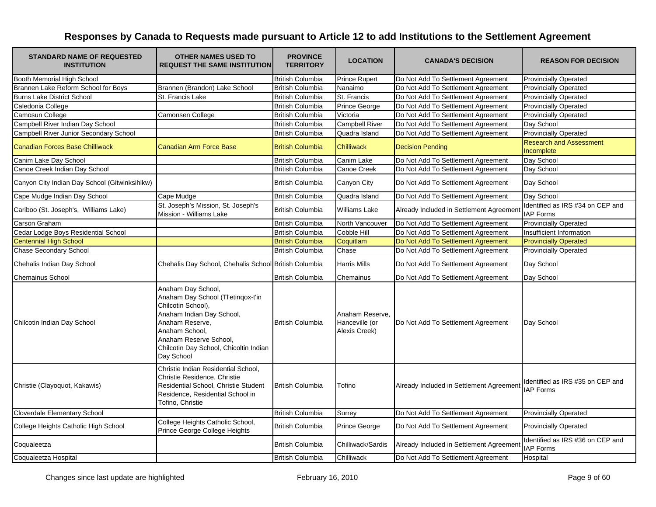| <b>STANDARD NAME OF REQUESTED</b><br><b>INSTITUTION</b> | <b>OTHER NAMES USED TO</b><br><b>REQUEST THE SAME INSTITUTION</b>                                                                                                                                                                  | <b>PROVINCE</b><br><b>TERRITORY</b> | <b>LOCATION</b>                                    | <b>CANADA'S DECISION</b>                 | <b>REASON FOR DECISION</b>                           |
|---------------------------------------------------------|------------------------------------------------------------------------------------------------------------------------------------------------------------------------------------------------------------------------------------|-------------------------------------|----------------------------------------------------|------------------------------------------|------------------------------------------------------|
| Booth Memorial High School                              |                                                                                                                                                                                                                                    | <b>British Columbia</b>             | <b>Prince Rupert</b>                               | Do Not Add To Settlement Agreement       | <b>Provincially Operated</b>                         |
| Brannen Lake Reform School for Boys                     | Brannen (Brandon) Lake School                                                                                                                                                                                                      | <b>British Columbia</b>             | Nanaimo                                            | Do Not Add To Settlement Agreement       | <b>Provincially Operated</b>                         |
| <b>Burns Lake District School</b>                       | St. Francis Lake                                                                                                                                                                                                                   | <b>British Columbia</b>             | St. Francis                                        | Do Not Add To Settlement Agreement       | <b>Provincially Operated</b>                         |
| Caledonia College                                       |                                                                                                                                                                                                                                    | <b>British Columbia</b>             | Prince George                                      | Do Not Add To Settlement Agreement       | <b>Provincially Operated</b>                         |
| Camosun College                                         | Camonsen College                                                                                                                                                                                                                   | <b>British Columbia</b>             | Victoria                                           | Do Not Add To Settlement Agreement       | <b>Provincially Operated</b>                         |
| Campbell River Indian Day School                        |                                                                                                                                                                                                                                    | <b>British Columbia</b>             | <b>Campbell River</b>                              | Do Not Add To Settlement Agreement       | Day School                                           |
| Campbell River Junior Secondary School                  |                                                                                                                                                                                                                                    | <b>British Columbia</b>             | Quadra Island                                      | Do Not Add To Settlement Agreement       | <b>Provincially Operated</b>                         |
| <b>Canadian Forces Base Chilliwack</b>                  | <b>Canadian Arm Force Base</b>                                                                                                                                                                                                     | <b>British Columbia</b>             | <b>Chilliwack</b>                                  | <b>Decision Pending</b>                  | <b>Research and Assessment</b><br>Incomplete         |
| Canim Lake Day School                                   |                                                                                                                                                                                                                                    | <b>British Columbia</b>             | Canim Lake                                         | Do Not Add To Settlement Agreement       | Day School                                           |
| Canoe Creek Indian Day School                           |                                                                                                                                                                                                                                    | <b>British Columbia</b>             | Canoe Creek                                        | Do Not Add To Settlement Agreement       | Day School                                           |
| Canyon City Indian Day School (Gitwinksihlkw)           |                                                                                                                                                                                                                                    | <b>British Columbia</b>             | Canyon City                                        | Do Not Add To Settlement Agreement       | Day School                                           |
| Cape Mudge Indian Day School                            | Cape Mudge                                                                                                                                                                                                                         | <b>British Columbia</b>             | Quadra Island                                      | Do Not Add To Settlement Agreement       | Day School                                           |
| Cariboo (St. Joseph's, Williams Lake)                   | St. Joseph's Mission, St. Joseph's<br>Mission - Williams Lake                                                                                                                                                                      | <b>British Columbia</b>             | Williams Lake                                      | Already Included in Settlement Agreement | Identified as IRS #34 on CEP and<br><b>IAP Forms</b> |
| Carson Graham                                           |                                                                                                                                                                                                                                    | <b>British Columbia</b>             | North Vancouver                                    | Do Not Add To Settlement Agreement       | <b>Provincially Operated</b>                         |
| Cedar Lodge Boys Residential School                     |                                                                                                                                                                                                                                    | <b>British Columbia</b>             | Cobble Hill                                        | Do Not Add To Settlement Agreement       | <b>Insufficient Information</b>                      |
| <b>Centennial High School</b>                           |                                                                                                                                                                                                                                    | <b>British Columbia</b>             | Coquitlam                                          | Do Not Add To Settlement Agreement       | <b>Provincially Operated</b>                         |
| <b>Chase Secondary School</b>                           |                                                                                                                                                                                                                                    | <b>British Columbia</b>             | Chase                                              | Do Not Add To Settlement Agreement       | <b>Provincially Operated</b>                         |
| Chehalis Indian Day School                              | Chehalis Day School, Chehalis School British Columbia                                                                                                                                                                              |                                     | Harris Mills                                       | Do Not Add To Settlement Agreement       | Day School                                           |
| <b>Chemainus School</b>                                 |                                                                                                                                                                                                                                    | <b>British Columbia</b>             | Chemainus                                          | Do Not Add To Settlement Agreement       | Day School                                           |
| Chilcotin Indian Day School                             | Anaham Day School,<br>Anaham Day School (Tl'etinqox-t'in<br>Chilcotin School),<br>Anaham Indian Day School,<br>Anaham Reserve,<br>Anaham School.<br>Anaham Reserve School,<br>Chilcotin Day School, Chicoltin Indian<br>Day School | <b>British Columbia</b>             | Anaham Reserve,<br>Hanceville (or<br>Alexis Creek) | Do Not Add To Settlement Agreement       | Day School                                           |
| Christie (Clayoquot, Kakawis)                           | Christie Indian Residential School,<br>Christie Residence, Christie<br>Residential School, Christie Student<br>Residence, Residential School in<br>Tofino, Christie                                                                | <b>British Columbia</b>             | Tofino                                             | Already Included in Settlement Agreement | Identified as IRS #35 on CEP and<br><b>IAP Forms</b> |
| Cloverdale Elementary School                            |                                                                                                                                                                                                                                    | <b>British Columbia</b>             | Surrey                                             | Do Not Add To Settlement Agreement       | <b>Provincially Operated</b>                         |
| College Heights Catholic High School                    | College Heights Catholic School,<br>Prince George College Heights                                                                                                                                                                  | <b>British Columbia</b>             | Prince George                                      | Do Not Add To Settlement Agreement       | <b>Provincially Operated</b>                         |
| Coqualeetza                                             |                                                                                                                                                                                                                                    | <b>British Columbia</b>             | Chilliwack/Sardis                                  | Already Included in Settlement Agreement | Identified as IRS #36 on CEP and<br><b>IAP Forms</b> |
| Coqualeetza Hospital                                    |                                                                                                                                                                                                                                    | <b>British Columbia</b>             | Chilliwack                                         | Do Not Add To Settlement Agreement       | Hospital                                             |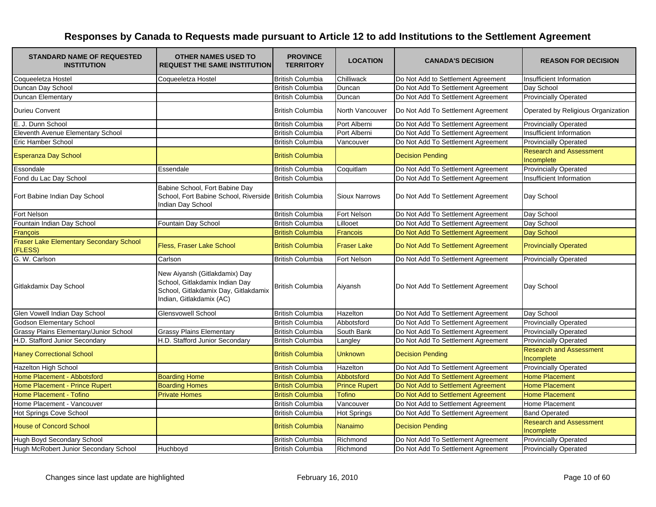| <b>STANDARD NAME OF REQUESTED</b><br><b>INSTITUTION</b>   | <b>OTHER NAMES USED TO</b><br><b>REQUEST THE SAME INSTITUTION</b>                                                                   | <b>PROVINCE</b><br><b>TERRITORY</b> | <b>LOCATION</b>      | <b>CANADA'S DECISION</b>           | <b>REASON FOR DECISION</b>                   |
|-----------------------------------------------------------|-------------------------------------------------------------------------------------------------------------------------------------|-------------------------------------|----------------------|------------------------------------|----------------------------------------------|
| Coqueeletza Hostel                                        | Coqueeletza Hostel                                                                                                                  | <b>British Columbia</b>             | Chilliwack           | Do Not Add to Settlement Agreement | Insufficient Information                     |
| Duncan Day School                                         |                                                                                                                                     | <b>British Columbia</b>             | Duncan               | Do Not Add To Settlement Agreement | Day School                                   |
| Duncan Elementary                                         |                                                                                                                                     | <b>British Columbia</b>             | Duncan               | Do Not Add To Settlement Agreement | <b>Provincially Operated</b>                 |
| <b>Durieu Convent</b>                                     |                                                                                                                                     | <b>British Columbia</b>             | North Vancouver      | Do Not Add To Settlement Agreement | Operated by Religious Organization           |
| E. J. Dunn School                                         |                                                                                                                                     | <b>British Columbia</b>             | Port Alberni         | Do Not Add To Settlement Agreement | <b>Provincially Operated</b>                 |
| Eleventh Avenue Elementary School                         |                                                                                                                                     | <b>British Columbia</b>             | Port Alberni         | Do Not Add To Settlement Agreement | Insufficient Information                     |
| Eric Hamber School                                        |                                                                                                                                     | <b>British Columbia</b>             | Vancouver            | Do Not Add To Settlement Agreement | <b>Provincially Operated</b>                 |
| <b>Esperanza Day School</b>                               |                                                                                                                                     | <b>British Columbia</b>             |                      | <b>Decision Pending</b>            | <b>Research and Assessment</b><br>Incomplete |
| Essondale                                                 | Essendale                                                                                                                           | <b>British Columbia</b>             | Coquitlam            | Do Not Add To Settlement Agreement | <b>Provincially Operated</b>                 |
| Fond du Lac Day School                                    |                                                                                                                                     | <b>British Columbia</b>             |                      | Do Not Add To Settlement Agreement | Insufficient Information                     |
| Fort Babine Indian Day School                             | Babine School, Fort Babine Day<br>School, Fort Babine School, Riverside British Columbia<br>Indian Day School                       |                                     | <b>Sioux Narrows</b> | Do Not Add To Settlement Agreement | Day School                                   |
| Fort Nelson                                               |                                                                                                                                     | <b>British Columbia</b>             | Fort Nelson          | Do Not Add To Settlement Agreement | Day School                                   |
| Fountain Indian Day School                                | Fountain Day School                                                                                                                 | <b>British Columbia</b>             | Lillooet             | Do Not Add To Settlement Agreement | Day School                                   |
| François                                                  |                                                                                                                                     | <b>British Columbia</b>             | <b>Francois</b>      | Do Not Add To Settlement Agreement | Day School                                   |
| <b>Fraser Lake Elementary Secondary School</b><br>(FLESS) | Fless, Fraser Lake School                                                                                                           | <b>British Columbia</b>             | <b>Fraser Lake</b>   | Do Not Add To Settlement Agreement | <b>Provincially Operated</b>                 |
| G. W. Carlson                                             | Carlson                                                                                                                             | <b>British Columbia</b>             | Fort Nelson          | Do Not Add To Settlement Agreement | <b>Provincially Operated</b>                 |
| Gitlakdamix Day School                                    | New Aiyansh (Gitlakdamix) Day<br>School, Gitlakdamix Indian Day<br>School, Gitlakdamix Day, Gitlakdamix<br>Indian, Gitlakdamix (AC) | <b>British Columbia</b>             | Aiyansh              | Do Not Add To Settlement Agreement | Day School                                   |
| Glen Vowell Indian Day School                             | Glensvowell School                                                                                                                  | <b>British Columbia</b>             | Hazelton             | Do Not Add To Settlement Agreement | Day School                                   |
| <b>Godson Elementary School</b>                           |                                                                                                                                     | <b>British Columbia</b>             | Abbotsford           | Do Not Add To Settlement Agreement | <b>Provincially Operated</b>                 |
| Grassy Plains Elementary/Junior School                    | <b>Grassy Plains Elementary</b>                                                                                                     | <b>British Columbia</b>             | South Bank           | Do Not Add To Settlement Agreement | <b>Provincially Operated</b>                 |
| H.D. Stafford Junior Secondary                            | H.D. Stafford Junior Secondary                                                                                                      | British Columbia                    | Langley              | Do Not Add To Settlement Agreement | <b>Provincially Operated</b>                 |
| <b>Haney Correctional School</b>                          |                                                                                                                                     | <b>British Columbia</b>             | <b>Unknown</b>       | <b>Decision Pending</b>            | <b>Research and Assessment</b><br>Incomplete |
| <b>Hazelton High School</b>                               |                                                                                                                                     | <b>British Columbia</b>             | Hazelton             | Do Not Add To Settlement Agreement | <b>Provincially Operated</b>                 |
| Home Placement - Abbotsford                               | <b>Boarding Home</b>                                                                                                                | <b>British Columbia</b>             | Abbotsford           | Do Not Add To Settlement Agreement | <b>Home Placement</b>                        |
| Home Placement - Prince Rupert                            | <b>Boarding Homes</b>                                                                                                               | <b>British Columbia</b>             | <b>Prince Rupert</b> | Do Not Add to Settlement Agreement | <b>Home Placement</b>                        |
| <b>Home Placement - Tofino</b>                            | <b>Private Homes</b>                                                                                                                | <b>British Columbia</b>             | <b>Tofino</b>        | Do Not Add to Settlement Agreement | <b>Home Placement</b>                        |
| Home Placement - Vancouver                                |                                                                                                                                     | <b>British Columbia</b>             | Vancouver            | Do Not Add to Settlement Agreement | <b>Home Placement</b>                        |
| Hot Springs Cove School                                   |                                                                                                                                     | <b>British Columbia</b>             | <b>Hot Springs</b>   | Do Not Add To Settlement Agreement | <b>Band Operated</b>                         |
| <b>House of Concord School</b>                            |                                                                                                                                     | <b>British Columbia</b>             | Nanaimo              | <b>Decision Pending</b>            | <b>Research and Assessment</b><br>Incomplete |
| Hugh Boyd Secondary School                                |                                                                                                                                     | <b>British Columbia</b>             | Richmond             | Do Not Add To Settlement Agreement | <b>Provincially Operated</b>                 |
| Hugh McRobert Junior Secondary School                     | Huchboyd                                                                                                                            | <b>British Columbia</b>             | Richmond             | Do Not Add To Settlement Agreement | <b>Provincially Operated</b>                 |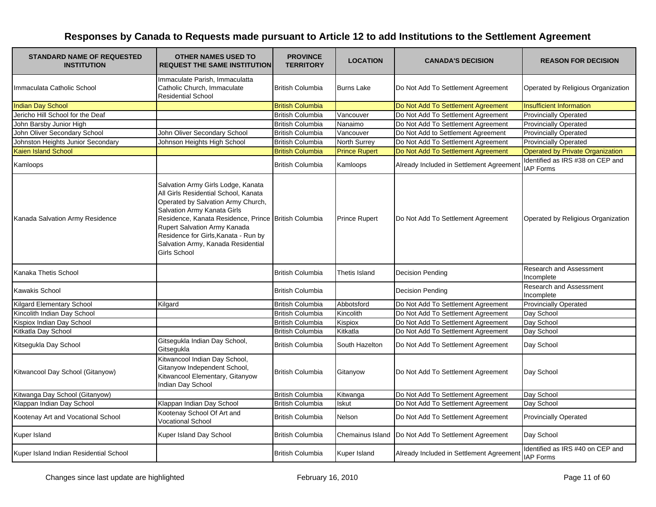| <b>STANDARD NAME OF REQUESTED</b><br><b>INSTITUTION</b> | <b>OTHER NAMES USED TO</b><br><b>REQUEST THE SAME INSTITUTION</b>                                                                                                                                                                                                                                                                     | <b>PROVINCE</b><br><b>TERRITORY</b> | <b>LOCATION</b>      | <b>CANADA'S DECISION</b>                 | <b>REASON FOR DECISION</b>                           |
|---------------------------------------------------------|---------------------------------------------------------------------------------------------------------------------------------------------------------------------------------------------------------------------------------------------------------------------------------------------------------------------------------------|-------------------------------------|----------------------|------------------------------------------|------------------------------------------------------|
| Immaculata Catholic School                              | Immaculate Parish, Immaculatta<br>Catholic Church, Immaculate<br><b>Residential School</b>                                                                                                                                                                                                                                            | <b>British Columbia</b>             | <b>Burns Lake</b>    | Do Not Add To Settlement Agreement       | Operated by Religious Organization                   |
| <b>Indian Day School</b>                                |                                                                                                                                                                                                                                                                                                                                       | <b>British Columbia</b>             |                      | Do Not Add To Settlement Agreement       | <b>Insufficient Information</b>                      |
| Jericho Hill School for the Deaf                        |                                                                                                                                                                                                                                                                                                                                       | <b>British Columbia</b>             | Vancouver            | Do Not Add To Settlement Agreement       | <b>Provincially Operated</b>                         |
| John Barsby Junior High                                 |                                                                                                                                                                                                                                                                                                                                       | <b>British Columbia</b>             | Nanaimo              | Do Not Add To Settlement Agreement       | <b>Provincially Operated</b>                         |
| John Oliver Secondary School                            | John Oliver Secondary School                                                                                                                                                                                                                                                                                                          | <b>British Columbia</b>             | Vancouver            | Do Not Add to Settlement Agreement       | <b>Provincially Operated</b>                         |
| Johnston Heights Junior Secondary                       | Johnson Heights High School                                                                                                                                                                                                                                                                                                           | <b>British Columbia</b>             | North Surrey         | Do Not Add To Settlement Agreement       | <b>Provincially Operated</b>                         |
| Kaien Island School                                     |                                                                                                                                                                                                                                                                                                                                       | <b>British Columbia</b>             | <b>Prince Rupert</b> | Do Not Add To Settlement Agreement       | Operated by Private Organization                     |
| Kamloops                                                |                                                                                                                                                                                                                                                                                                                                       | <b>British Columbia</b>             | Kamloops             | Already Included in Settlement Agreement | Identified as IRS #38 on CEP and<br><b>IAP Forms</b> |
| Kanada Salvation Army Residence                         | Salvation Army Girls Lodge, Kanata<br>All Girls Residential School, Kanata<br>Operated by Salvation Army Church,<br>Salvation Army Kanata Girls<br>Residence, Kanata Residence, Prince British Columbia<br>Rupert Salvation Army Kanada<br>Residence for Girls, Kanata - Run by<br>Salvation Army, Kanada Residential<br>Girls School |                                     | <b>Prince Rupert</b> | Do Not Add To Settlement Agreement       | Operated by Religious Organization                   |
| Kanaka Thetis School                                    |                                                                                                                                                                                                                                                                                                                                       | <b>British Columbia</b>             | Thetis Island        | <b>Decision Pending</b>                  | Research and Assessment<br>Incomplete                |
| <b>Kawakis School</b>                                   |                                                                                                                                                                                                                                                                                                                                       | <b>British Columbia</b>             |                      | <b>Decision Pending</b>                  | Research and Assessment<br>Incomplete                |
| <b>Kilgard Elementary School</b>                        | Kilgard                                                                                                                                                                                                                                                                                                                               | <b>British Columbia</b>             | Abbotsford           | Do Not Add To Settlement Agreement       | <b>Provincially Operated</b>                         |
| Kincolith Indian Day School                             |                                                                                                                                                                                                                                                                                                                                       | <b>British Columbia</b>             | Kincolith            | Do Not Add To Settlement Agreement       | Day School                                           |
| Kispiox Indian Day School                               |                                                                                                                                                                                                                                                                                                                                       | <b>British Columbia</b>             | Kispiox              | Do Not Add To Settlement Agreement       | Day School                                           |
| Kitkatla Day School                                     |                                                                                                                                                                                                                                                                                                                                       | <b>British Columbia</b>             | Kitkatla             | Do Not Add To Settlement Agreement       | Day School                                           |
| Kitsegukla Day School                                   | Gitsegukla Indian Day School,<br>Gitsegukla                                                                                                                                                                                                                                                                                           | <b>British Columbia</b>             | South Hazelton       | Do Not Add To Settlement Agreement       | Day School                                           |
| Kitwancool Day School (Gitanyow)                        | Kitwancool Indian Day School,<br>Gitanyow Independent School,<br>Kitwancool Elementary, Gitanyow<br>Indian Day School                                                                                                                                                                                                                 | <b>British Columbia</b>             | Gitanyow             | Do Not Add To Settlement Agreement       | Day School                                           |
| Kitwanga Day School (Gitanyow)                          |                                                                                                                                                                                                                                                                                                                                       | <b>British Columbia</b>             | Kitwanga             | Do Not Add To Settlement Agreement       | Day School                                           |
| Klappan Indian Day School                               | Klappan Indian Day School                                                                                                                                                                                                                                                                                                             | <b>British Columbia</b>             | <b>Iskut</b>         | Do Not Add To Settlement Agreement       | Day School                                           |
| Kootenay Art and Vocational School                      | Kootenay School Of Art and<br><b>Vocational School</b>                                                                                                                                                                                                                                                                                | <b>British Columbia</b>             | <b>Nelson</b>        | Do Not Add To Settlement Agreement       | <b>Provincially Operated</b>                         |
| Kuper Island                                            | Kuper Island Day School                                                                                                                                                                                                                                                                                                               | <b>British Columbia</b>             | Chemainus Island     | Do Not Add To Settlement Agreement       | Day School                                           |
| Kuper Island Indian Residential School                  |                                                                                                                                                                                                                                                                                                                                       | <b>British Columbia</b>             | Kuper Island         | Already Included in Settlement Agreement | Identified as IRS #40 on CEP and<br><b>IAP Forms</b> |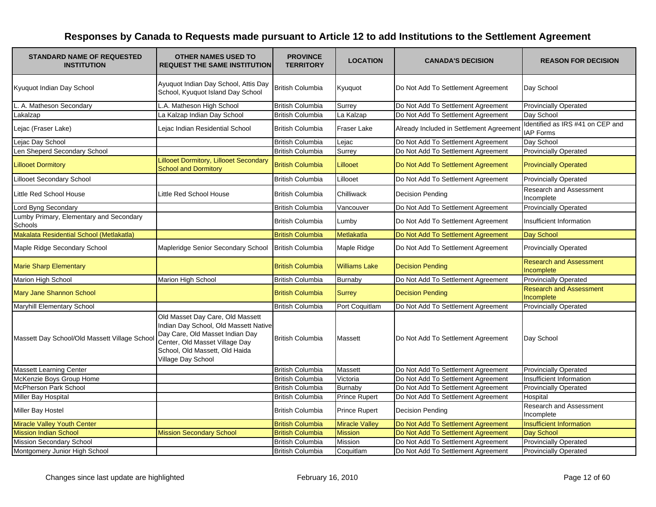| <b>STANDARD NAME OF REQUESTED</b><br><b>INSTITUTION</b> | <b>OTHER NAMES USED TO</b><br><b>REQUEST THE SAME INSTITUTION</b>                                                                                                                                      | <b>PROVINCE</b><br><b>TERRITORY</b> | <b>LOCATION</b>       | <b>CANADA'S DECISION</b>                 | <b>REASON FOR DECISION</b>                           |
|---------------------------------------------------------|--------------------------------------------------------------------------------------------------------------------------------------------------------------------------------------------------------|-------------------------------------|-----------------------|------------------------------------------|------------------------------------------------------|
| Kyuquot Indian Day School                               | Ayuquot Indian Day School, Attis Day<br>School, Kyuquot Island Day School                                                                                                                              | <b>British Columbia</b>             | Kyuquot               | Do Not Add To Settlement Agreement       | Day School                                           |
| L. A. Matheson Secondary                                | L.A. Matheson High School                                                                                                                                                                              | <b>British Columbia</b>             | Surrey                | Do Not Add To Settlement Agreement       | <b>Provincially Operated</b>                         |
| Lakalzap                                                | La Kalzap Indian Day School                                                                                                                                                                            | <b>British Columbia</b>             | La Kalzap             | Do Not Add To Settlement Agreement       | Day School                                           |
| Lejac (Fraser Lake)                                     | Lejac Indian Residential School                                                                                                                                                                        | <b>British Columbia</b>             | Fraser Lake           | Already Included in Settlement Agreement | Identified as IRS #41 on CEP and<br><b>IAP Forms</b> |
| Lejac Day School                                        |                                                                                                                                                                                                        | <b>British Columbia</b>             | Lejac                 | Do Not Add To Settlement Agreement       | Day School                                           |
| Len Sheperd Secondary School                            |                                                                                                                                                                                                        | <b>British Columbia</b>             | Surrey                | Do Not Add To Settlement Agreement       | <b>Provincially Operated</b>                         |
| <b>Lillooet Dormitory</b>                               | Lillooet Dormitory, Lillooet Secondary<br><b>School and Dormitory</b>                                                                                                                                  | <b>British Columbia</b>             | Lillooet              | Do Not Add To Settlement Agreement       | <b>Provincially Operated</b>                         |
| <b>Lillooet Secondary School</b>                        |                                                                                                                                                                                                        | <b>British Columbia</b>             | Lillooet              | Do Not Add To Settlement Agreement       | <b>Provincially Operated</b>                         |
| Little Red School House                                 | Little Red School House                                                                                                                                                                                | <b>British Columbia</b>             | Chilliwack            | <b>Decision Pending</b>                  | <b>Research and Assessment</b><br>Incomplete         |
| Lord Byng Secondary                                     |                                                                                                                                                                                                        | <b>British Columbia</b>             | Vancouver             | Do Not Add To Settlement Agreement       | <b>Provincially Operated</b>                         |
| Lumby Primary, Elementary and Secondary<br>Schools      |                                                                                                                                                                                                        | <b>British Columbia</b>             | Lumby                 | Do Not Add To Settlement Agreement       | <b>Insufficient Information</b>                      |
| Makalata Residential School (Metlakatla)                |                                                                                                                                                                                                        | <b>British Columbia</b>             | Metlakatla            | Do Not Add To Settlement Agreement       | Day School                                           |
| Maple Ridge Secondary School                            | Mapleridge Senior Secondary School                                                                                                                                                                     | <b>British Columbia</b>             | Maple Ridge           | Do Not Add To Settlement Agreement       | <b>Provincially Operated</b>                         |
| <b>Marie Sharp Elementary</b>                           |                                                                                                                                                                                                        | <b>British Columbia</b>             | <b>Williams Lake</b>  | <b>Decision Pending</b>                  | <b>Research and Assessment</b><br>Incomplete         |
| Marion High School                                      | Marion High School                                                                                                                                                                                     | <b>British Columbia</b>             | <b>Burnaby</b>        | Do Not Add To Settlement Agreement       | <b>Provincially Operated</b>                         |
| Mary Jane Shannon School                                |                                                                                                                                                                                                        | <b>British Columbia</b>             | <b>Surrey</b>         | <b>Decision Pending</b>                  | <b>Research and Assessment</b><br>Incomplete         |
| Maryhill Elementary School                              |                                                                                                                                                                                                        | <b>British Columbia</b>             | Port Coquitlam        | Do Not Add To Settlement Agreement       | <b>Provincially Operated</b>                         |
| Massett Day School/Old Massett Village School           | Old Masset Day Care, Old Massett<br>Indian Day School, Old Massett Native<br>Day Care, Old Masset Indian Day<br>Center, Old Masset Village Day<br>School, Old Massett, Old Haida<br>Village Day School | <b>British Columbia</b>             | Massett               | Do Not Add To Settlement Agreement       | Day School                                           |
| <b>Massett Learning Center</b>                          |                                                                                                                                                                                                        | <b>British Columbia</b>             | Massett               | Do Not Add To Settlement Agreement       | <b>Provincially Operated</b>                         |
| McKenzie Boys Group Home                                |                                                                                                                                                                                                        | <b>British Columbia</b>             | Victoria              | Do Not Add To Settlement Agreement       | Insufficient Information                             |
| <b>McPherson Park School</b>                            |                                                                                                                                                                                                        | <b>British Columbia</b>             | Burnaby               | Do Not Add To Settlement Agreement       | <b>Provincially Operated</b>                         |
| Miller Bay Hospital                                     |                                                                                                                                                                                                        | <b>British Columbia</b>             | <b>Prince Rupert</b>  | Do Not Add To Settlement Agreement       | Hospital                                             |
| Miller Bay Hostel                                       |                                                                                                                                                                                                        | <b>British Columbia</b>             | <b>Prince Rupert</b>  | Decision Pending                         | <b>Research and Assessment</b><br>Incomplete         |
| Miracle Valley Youth Center                             |                                                                                                                                                                                                        | <b>British Columbia</b>             | <b>Miracle Valley</b> | Do Not Add To Settlement Agreement       | <b>Insufficient Information</b>                      |
| <b>Mission Indian School</b>                            | <b>Mission Secondary School</b>                                                                                                                                                                        | <b>British Columbia</b>             | <b>Mission</b>        | Do Not Add To Settlement Agreement       | <b>Day School</b>                                    |
| <b>Mission Secondary School</b>                         |                                                                                                                                                                                                        | <b>British Columbia</b>             | <b>Mission</b>        | Do Not Add To Settlement Agreement       | <b>Provincially Operated</b>                         |
| Montgomery Junior High School                           |                                                                                                                                                                                                        | <b>British Columbia</b>             | Coquitlam             | Do Not Add To Settlement Agreement       | <b>Provincially Operated</b>                         |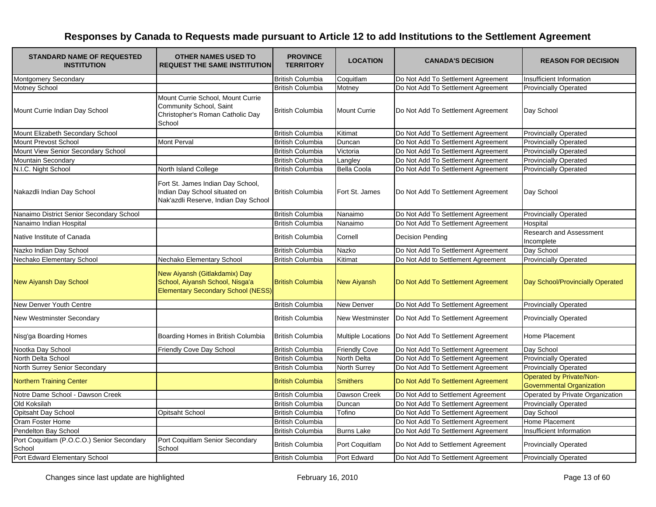| <b>STANDARD NAME OF REQUESTED</b><br><b>INSTITUTION</b> | <b>OTHER NAMES USED TO</b><br><b>REQUEST THE SAME INSTITUTION</b>                                             | <b>PROVINCE</b><br><b>TERRITORY</b> | <b>LOCATION</b>      | <b>CANADA'S DECISION</b>                                | <b>REASON FOR DECISION</b>                                   |
|---------------------------------------------------------|---------------------------------------------------------------------------------------------------------------|-------------------------------------|----------------------|---------------------------------------------------------|--------------------------------------------------------------|
| <b>Montgomery Secondary</b>                             |                                                                                                               | <b>British Columbia</b>             | Coquitlam            | Do Not Add To Settlement Agreement                      | <b>Insufficient Information</b>                              |
| Motney School                                           |                                                                                                               | <b>British Columbia</b>             | Motney               | Do Not Add To Settlement Agreement                      | <b>Provincially Operated</b>                                 |
| Mount Currie Indian Day School                          | Mount Currie School. Mount Currie<br>Community School, Saint<br>Christopher's Roman Catholic Day<br>School    | <b>British Columbia</b>             | <b>Mount Currie</b>  | Do Not Add To Settlement Agreement                      | Day School                                                   |
| Mount Elizabeth Secondary School                        |                                                                                                               | <b>British Columbia</b>             | Kitimat              | Do Not Add To Settlement Agreement                      | <b>Provincially Operated</b>                                 |
| Mount Prevost School                                    | <b>Mont Perval</b>                                                                                            | <b>British Columbia</b>             | Duncan               | Do Not Add To Settlement Agreement                      | <b>Provincially Operated</b>                                 |
| Mount View Senior Secondary School                      |                                                                                                               | <b>British Columbia</b>             | Victoria             | Do Not Add To Settlement Agreement                      | <b>Provincially Operated</b>                                 |
| Mountain Secondary                                      |                                                                                                               | <b>British Columbia</b>             | Langley              | Do Not Add To Settlement Agreement                      | <b>Provincially Operated</b>                                 |
| N.I.C. Night School                                     | North Island College                                                                                          | <b>British Columbia</b>             | <b>Bella Coola</b>   | Do Not Add To Settlement Agreement                      | <b>Provincially Operated</b>                                 |
| Nakazdli Indian Day School                              | Fort St. James Indian Day School,<br>Indian Day School situated on<br>Nak'azdli Reserve, Indian Day School    | <b>British Columbia</b>             | Fort St. James       | Do Not Add To Settlement Agreement                      | Day School                                                   |
| Nanaimo District Senior Secondary School                |                                                                                                               | <b>British Columbia</b>             | Nanaimo              | Do Not Add To Settlement Agreement                      | <b>Provincially Operated</b>                                 |
| Nanaimo Indian Hospital                                 |                                                                                                               | <b>British Columbia</b>             | Nanaimo              | Do Not Add To Settlement Agreement                      | Hospital                                                     |
| Native Institute of Canada                              |                                                                                                               | <b>British Columbia</b>             | Cornell              | <b>Decision Pending</b>                                 | Research and Assessment<br>Incomplete                        |
| Nazko Indian Day School                                 |                                                                                                               | <b>British Columbia</b>             | Nazko                | Do Not Add To Settlement Agreement                      | Day School                                                   |
| Nechako Elementary School                               | Nechako Elementary School                                                                                     | <b>British Columbia</b>             | Kitimat              | Do Not Add to Settlement Agreement                      | <b>Provincially Operated</b>                                 |
| <b>New Aiyansh Day School</b>                           | New Aiyansh (Gitlakdamix) Day<br>School, Aiyansh School, Nisga'a<br><b>Elementary Secondary School (NESS)</b> | <b>British Columbia</b>             | <b>New Aiyansh</b>   | Do Not Add To Settlement Agreement                      | Day School/Provincially Operated                             |
| New Denver Youth Centre                                 |                                                                                                               | <b>British Columbia</b>             | New Denver           | Do Not Add To Settlement Agreement                      | <b>Provincially Operated</b>                                 |
| New Westminster Secondary                               |                                                                                                               | <b>British Columbia</b>             | New Westminster      | Do Not Add To Settlement Agreement                      | <b>Provincially Operated</b>                                 |
| Nisg'ga Boarding Homes                                  | Boarding Homes in British Columbia                                                                            | <b>British Columbia</b>             |                      | Multiple Locations   Do Not Add To Settlement Agreement | Home Placement                                               |
| Nootka Day School                                       | Friendly Cove Day School                                                                                      | <b>British Columbia</b>             | <b>Friendly Cove</b> | Do Not Add To Settlement Agreement                      | Day School                                                   |
| North Delta School                                      |                                                                                                               | <b>British Columbia</b>             | North Delta          | Do Not Add To Settlement Agreement                      | <b>Provincially Operated</b>                                 |
| North Surrey Senior Secondary                           |                                                                                                               | <b>British Columbia</b>             | North Surrey         | Do Not Add To Settlement Agreement                      | <b>Provincially Operated</b>                                 |
| <b>Northern Training Center</b>                         |                                                                                                               | <b>British Columbia</b>             | <b>Smithers</b>      | Do Not Add To Settlement Agreement                      | Operated by Private/Non-<br><b>Governmental Organization</b> |
| Notre Dame School - Dawson Creek                        |                                                                                                               | <b>British Columbia</b>             | Dawson Creek         | Do Not Add to Settlement Agreement                      | Operated by Private Organization                             |
| Old Koksilah                                            |                                                                                                               | <b>British Columbia</b>             | Duncan               | Do Not Add To Settlement Agreement                      | <b>Provincially Operated</b>                                 |
| Opitsaht Day School                                     | Opitsaht School                                                                                               | <b>British Columbia</b>             | Tofino               | Do Not Add To Settlement Agreement                      | Day School                                                   |
| Oram Foster Home                                        |                                                                                                               | <b>British Columbia</b>             |                      | Do Not Add To Settlement Agreement                      | Home Placement                                               |
| Pendelton Bay School                                    |                                                                                                               | <b>British Columbia</b>             | <b>Burns Lake</b>    | Do Not Add To Settlement Agreement                      | Insufficient Information                                     |
| Port Coquitlam (P.O.C.O.) Senior Secondary<br>School    | Port Coquitlam Senior Secondary<br>School                                                                     | <b>British Columbia</b>             | Port Coquitlam       | Do Not Add to Settlement Agreement                      | <b>Provincially Operated</b>                                 |
| Port Edward Elementary School                           |                                                                                                               | <b>British Columbia</b>             | Port Edward          | Do Not Add To Settlement Agreement                      | <b>Provincially Operated</b>                                 |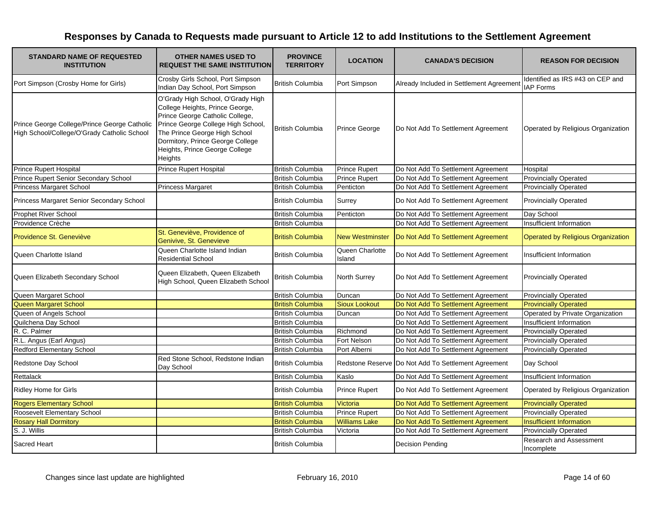| <b>STANDARD NAME OF REQUESTED</b><br><b>INSTITUTION</b>                                     | <b>OTHER NAMES USED TO</b><br><b>REQUEST THE SAME INSTITUTION</b>                                                                                                                                                                                               | <b>PROVINCE</b><br><b>TERRITORY</b> | <b>LOCATION</b>           | <b>CANADA'S DECISION</b>                            | <b>REASON FOR DECISION</b>                           |
|---------------------------------------------------------------------------------------------|-----------------------------------------------------------------------------------------------------------------------------------------------------------------------------------------------------------------------------------------------------------------|-------------------------------------|---------------------------|-----------------------------------------------------|------------------------------------------------------|
| Port Simpson (Crosby Home for Girls)                                                        | Crosby Girls School, Port Simpson<br>Indian Day School, Port Simpson                                                                                                                                                                                            | <b>British Columbia</b>             | Port Simpson              | Already Included in Settlement Agreement            | Identified as IRS #43 on CEP and<br><b>IAP Forms</b> |
| Prince George College/Prince George Catholic<br>High School/College/O'Grady Catholic School | O'Grady High School, O'Grady High<br>College Heights, Prince George,<br>Prince George Catholic College,<br>Prince George College High School,<br>The Prince George High School<br>Dormitory, Prince George College<br>Heights, Prince George College<br>Heights | <b>British Columbia</b>             | Prince George             | Do Not Add To Settlement Agreement                  | Operated by Religious Organization                   |
| <b>Prince Rupert Hospital</b>                                                               | <b>Prince Rupert Hospital</b>                                                                                                                                                                                                                                   | <b>British Columbia</b>             | <b>Prince Rupert</b>      | Do Not Add To Settlement Agreement                  | Hospital                                             |
| Prince Rupert Senior Secondary School                                                       |                                                                                                                                                                                                                                                                 | <b>British Columbia</b>             | <b>Prince Rupert</b>      | Do Not Add To Settlement Agreement                  | <b>Provincially Operated</b>                         |
| Princess Margaret School                                                                    | <b>Princess Margaret</b>                                                                                                                                                                                                                                        | <b>British Columbia</b>             | Penticton                 | Do Not Add To Settlement Agreement                  | <b>Provincially Operated</b>                         |
| Princess Margaret Senior Secondary School                                                   |                                                                                                                                                                                                                                                                 | <b>British Columbia</b>             | Surrey                    | Do Not Add To Settlement Agreement                  | <b>Provincially Operated</b>                         |
| <b>Prophet River School</b>                                                                 |                                                                                                                                                                                                                                                                 | <b>British Columbia</b>             | Penticton                 | Do Not Add To Settlement Agreement                  | Day School                                           |
| Providence Crèche                                                                           |                                                                                                                                                                                                                                                                 | <b>British Columbia</b>             |                           | Do Not Add To Settlement Agreement                  | Insufficient Information                             |
| Providence St. Geneviève                                                                    | St. Geneviève, Providence of<br>Genivive, St. Genevieve                                                                                                                                                                                                         | <b>British Columbia</b>             | <b>New Westminster</b>    | Do Not Add To Settlement Agreement                  | <b>Operated by Religious Organization</b>            |
| Queen Charlotte Island                                                                      | Queen Charlotte Island Indian<br><b>Residential School</b>                                                                                                                                                                                                      | <b>British Columbia</b>             | Queen Charlotte<br>Island | Do Not Add To Settlement Agreement                  | Insufficient Information                             |
| Queen Elizabeth Secondary School                                                            | Queen Elizabeth, Queen Elizabeth<br>High School, Queen Elizabeth School                                                                                                                                                                                         | <b>British Columbia</b>             | <b>North Surrey</b>       | Do Not Add To Settlement Agreement                  | <b>Provincially Operated</b>                         |
| Queen Margaret School                                                                       |                                                                                                                                                                                                                                                                 | <b>British Columbia</b>             | Duncan                    | Do Not Add To Settlement Agreement                  | <b>Provincially Operated</b>                         |
| Queen Margaret School                                                                       |                                                                                                                                                                                                                                                                 | <b>British Columbia</b>             | <b>Sioux Lookout</b>      | Do Not Add To Settlement Agreement                  | <b>Provincially Operated</b>                         |
| Queen of Angels School                                                                      |                                                                                                                                                                                                                                                                 | <b>British Columbia</b>             | Duncan                    | Do Not Add To Settlement Agreement                  | Operated by Private Organization                     |
| Quilchena Day School                                                                        |                                                                                                                                                                                                                                                                 | <b>British Columbia</b>             |                           | Do Not Add To Settlement Agreement                  | Insufficient Information                             |
| R. C. Palmer                                                                                |                                                                                                                                                                                                                                                                 | <b>British Columbia</b>             | Richmond                  | Do Not Add To Settlement Agreement                  | <b>Provincially Operated</b>                         |
| R.L. Angus (Earl Angus)                                                                     |                                                                                                                                                                                                                                                                 | <b>British Columbia</b>             | Fort Nelson               | Do Not Add To Settlement Agreement                  | <b>Provincially Operated</b>                         |
| <b>Redford Elementary School</b>                                                            |                                                                                                                                                                                                                                                                 | <b>British Columbia</b>             | Port Alberni              | Do Not Add To Settlement Agreement                  | <b>Provincially Operated</b>                         |
| Redstone Day School                                                                         | Red Stone School, Redstone Indian<br>Day School                                                                                                                                                                                                                 | <b>British Columbia</b>             |                           | Redstone Reserve Do Not Add To Settlement Agreement | Day School                                           |
| Rettalack                                                                                   |                                                                                                                                                                                                                                                                 | <b>British Columbia</b>             | Kaslo                     | Do Not Add To Settlement Agreement                  | Insufficient Information                             |
| <b>Ridley Home for Girls</b>                                                                |                                                                                                                                                                                                                                                                 | <b>British Columbia</b>             | <b>Prince Rupert</b>      | Do Not Add To Settlement Agreement                  | Operated by Religious Organization                   |
| <b>Rogers Elementary School</b>                                                             |                                                                                                                                                                                                                                                                 | <b>British Columbia</b>             | Victoria                  | Do Not Add To Settlement Agreement                  | <b>Provincially Operated</b>                         |
| Roosevelt Elementary School                                                                 |                                                                                                                                                                                                                                                                 | <b>British Columbia</b>             | <b>Prince Rupert</b>      | Do Not Add To Settlement Agreement                  | <b>Provincially Operated</b>                         |
| <b>Rosary Hall Dormitory</b>                                                                |                                                                                                                                                                                                                                                                 | <b>British Columbia</b>             | <b>Williams Lake</b>      | Do Not Add To Settlement Agreement                  | Insufficient Information                             |
| S. J. Willis                                                                                |                                                                                                                                                                                                                                                                 | <b>British Columbia</b>             | Victoria                  | Do Not Add To Settlement Agreement                  | <b>Provincially Operated</b>                         |
| <b>Sacred Heart</b>                                                                         |                                                                                                                                                                                                                                                                 | <b>British Columbia</b>             |                           | <b>Decision Pending</b>                             | Research and Assessment<br>Incomplete                |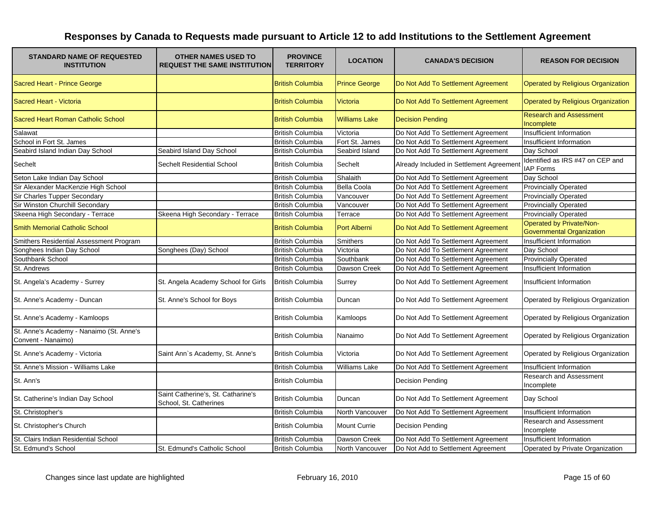| <b>STANDARD NAME OF REQUESTED</b><br><b>INSTITUTION</b>        | <b>OTHER NAMES USED TO</b><br><b>REQUEST THE SAME INSTITUTION</b> | <b>PROVINCE</b><br><b>TERRITORY</b> | <b>LOCATION</b>      | <b>CANADA'S DECISION</b>                 | <b>REASON FOR DECISION</b>                                   |
|----------------------------------------------------------------|-------------------------------------------------------------------|-------------------------------------|----------------------|------------------------------------------|--------------------------------------------------------------|
| Sacred Heart - Prince George                                   |                                                                   | <b>British Columbia</b>             | <b>Prince George</b> | Do Not Add To Settlement Agreement       | Operated by Religious Organization                           |
| Sacred Heart - Victoria                                        |                                                                   | <b>British Columbia</b>             | <b>Victoria</b>      | Do Not Add To Settlement Agreement       | Operated by Religious Organization                           |
| Sacred Heart Roman Catholic School                             |                                                                   | <b>British Columbia</b>             | <b>Williams Lake</b> | <b>Decision Pending</b>                  | <b>Research and Assessment</b><br>Incomplete                 |
| Salawat                                                        |                                                                   | <b>British Columbia</b>             | Victoria             | Do Not Add To Settlement Agreement       | Insufficient Information                                     |
| School in Fort St. James                                       |                                                                   | <b>British Columbia</b>             | Fort St. James       | Do Not Add To Settlement Agreement       | Insufficient Information                                     |
| Seabird Island Indian Day School                               | Seabird Island Day School                                         | <b>British Columbia</b>             | Seabird Island       | Do Not Add To Settlement Agreement       | Day School                                                   |
| Sechelt                                                        | Sechelt Residential School                                        | <b>British Columbia</b>             | Sechelt              | Already Included in Settlement Agreement | Identified as IRS #47 on CEP and<br><b>IAP Forms</b>         |
| Seton Lake Indian Day School                                   |                                                                   | <b>British Columbia</b>             | Shalaith             | Do Not Add To Settlement Agreement       | Day School                                                   |
| Sir Alexander MacKenzie High School                            |                                                                   | <b>British Columbia</b>             | <b>Bella Coola</b>   | Do Not Add To Settlement Agreement       | <b>Provincially Operated</b>                                 |
| Sir Charles Tupper Secondary                                   |                                                                   | <b>British Columbia</b>             | Vancouver            | Do Not Add To Settlement Agreement       | <b>Provincially Operated</b>                                 |
| Sir Winston Churchill Secondary                                |                                                                   | <b>British Columbia</b>             | Vancouver            | Do Not Add To Settlement Agreement       | <b>Provincially Operated</b>                                 |
| Skeena High Secondary - Terrace                                | Skeena High Secondary - Terrace                                   | <b>British Columbia</b>             | Terrace              | Do Not Add To Settlement Agreement       | <b>Provincially Operated</b>                                 |
| <b>Smith Memorial Catholic School</b>                          |                                                                   | <b>British Columbia</b>             | <b>Port Alberni</b>  | Do Not Add To Settlement Agreement       | Operated by Private/Non-<br><b>Governmental Organization</b> |
| Smithers Residential Assessment Program                        |                                                                   | <b>British Columbia</b>             | <b>Smithers</b>      | Do Not Add To Settlement Agreement       | Insufficient Information                                     |
| Songhees Indian Day School                                     | Songhees (Day) School                                             | <b>British Columbia</b>             | Victoria             | Do Not Add To Settlement Agreement       | Day School                                                   |
| Southbank School                                               |                                                                   | <b>British Columbia</b>             | Southbank            | Do Not Add To Settlement Agreement       | <b>Provincially Operated</b>                                 |
| St. Andrews                                                    |                                                                   | <b>British Columbia</b>             | Dawson Creek         | Do Not Add To Settlement Agreement       | Insufficient Information                                     |
| St. Angela's Academy - Surrey                                  | St. Angela Academy School for Girls                               | <b>British Columbia</b>             | Surrey               | Do Not Add To Settlement Agreement       | Insufficient Information                                     |
| St. Anne's Academy - Duncan                                    | St. Anne's School for Boys                                        | <b>British Columbia</b>             | Duncan               | Do Not Add To Settlement Agreement       | Operated by Religious Organization                           |
| St. Anne's Academy - Kamloops                                  |                                                                   | <b>British Columbia</b>             | Kamloops             | Do Not Add To Settlement Agreement       | Operated by Religious Organization                           |
| St. Anne's Academy - Nanaimo (St. Anne's<br>Convent - Nanaimo) |                                                                   | <b>British Columbia</b>             | Nanaimo              | Do Not Add To Settlement Agreement       | Operated by Religious Organization                           |
| St. Anne's Academy - Victoria                                  | Saint Ann's Academy, St. Anne's                                   | <b>British Columbia</b>             | Victoria             | Do Not Add To Settlement Agreement       | Operated by Religious Organization                           |
| St. Anne's Mission - Williams Lake                             |                                                                   | <b>British Columbia</b>             | Williams Lake        | Do Not Add To Settlement Agreement       | Insufficient Information                                     |
| St. Ann's                                                      |                                                                   | <b>British Columbia</b>             |                      | <b>Decision Pending</b>                  | Research and Assessment<br>Incomplete                        |
| St. Catherine's Indian Day School                              | Saint Catherine's, St. Catharine's<br>School, St. Catherines      | <b>British Columbia</b>             | Duncan               | Do Not Add To Settlement Agreement       | Day School                                                   |
| St. Christopher's                                              |                                                                   | <b>British Columbia</b>             | North Vancouver      | Do Not Add To Settlement Agreement       | Insufficient Information                                     |
| St. Christopher's Church                                       |                                                                   | <b>British Columbia</b>             | Mount Currie         | <b>Decision Pending</b>                  | Research and Assessment<br>Incomplete                        |
| St. Clairs Indian Residential School                           |                                                                   | <b>British Columbia</b>             | Dawson Creek         | Do Not Add To Settlement Agreement       | Insufficient Information                                     |
| St. Edmund's School                                            | St. Edmund's Catholic School                                      | <b>British Columbia</b>             | North Vancouver      | Do Not Add to Settlement Agreement       | Operated by Private Organization                             |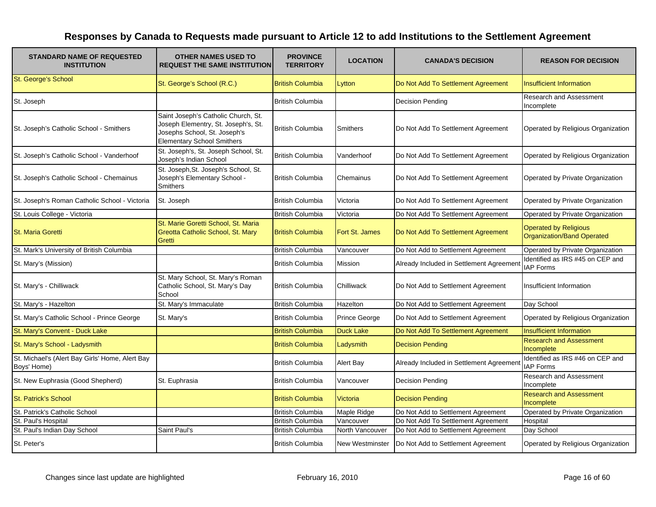| <b>STANDARD NAME OF REQUESTED</b><br><b>INSTITUTION</b>        | <b>OTHER NAMES USED TO</b><br><b>REQUEST THE SAME INSTITUTION</b>                                                                               | <b>PROVINCE</b><br><b>TERRITORY</b> | <b>LOCATION</b>  | <b>CANADA'S DECISION</b>                 | <b>REASON FOR DECISION</b>                                 |
|----------------------------------------------------------------|-------------------------------------------------------------------------------------------------------------------------------------------------|-------------------------------------|------------------|------------------------------------------|------------------------------------------------------------|
| St. George's School                                            | St. George's School (R.C.)                                                                                                                      | <b>British Columbia</b>             | Lytton           | Do Not Add To Settlement Agreement       | <b>Insufficient Information</b>                            |
| St. Joseph                                                     |                                                                                                                                                 | <b>British Columbia</b>             |                  | <b>Decision Pending</b>                  | <b>Research and Assessment</b><br>Incomplete               |
| St. Joseph's Catholic School - Smithers                        | Saint Joseph's Catholic Church, St.<br>Joseph Elementry, St. Joseph's, St.<br>Josephs School, St. Joseph's<br><b>Elementary School Smithers</b> | <b>British Columbia</b>             | Smithers         | Do Not Add To Settlement Agreement       | Operated by Religious Organization                         |
| St. Joseph's Catholic School - Vanderhoof                      | St. Joseph's, St. Joseph School, St.<br>Joseph's Indian School                                                                                  | <b>British Columbia</b>             | Vanderhoof       | Do Not Add To Settlement Agreement       | Operated by Religious Organization                         |
| St. Joseph's Catholic School - Chemainus                       | St. Joseph, St. Joseph's School, St.<br>Joseph's Elementary School -<br>Smithers                                                                | <b>British Columbia</b>             | Chemainus        | Do Not Add To Settlement Agreement       | Operated by Private Organization                           |
| St. Joseph's Roman Catholic School - Victoria                  | St. Joseph                                                                                                                                      | <b>British Columbia</b>             | Victoria         | Do Not Add To Settlement Agreement       | Operated by Private Organization                           |
| St. Louis College - Victoria                                   |                                                                                                                                                 | <b>British Columbia</b>             | Victoria         | Do Not Add To Settlement Agreement       | Operated by Private Organization                           |
| <b>St. Maria Goretti</b>                                       | St. Marie Goretti School, St. Maria<br>Greotta Catholic School, St. Mary<br><b>Gretti</b>                                                       | <b>British Columbia</b>             | Fort St. James   | Do Not Add To Settlement Agreement       | <b>Operated by Religious</b><br>Organization/Band Operated |
| St. Mark's University of British Columbia                      |                                                                                                                                                 | <b>British Columbia</b>             | Vancouver        | Do Not Add to Settlement Agreement       | Operated by Private Organization                           |
| St. Mary's (Mission)                                           |                                                                                                                                                 | <b>British Columbia</b>             | Mission          | Already Included in Settlement Agreement | Identified as IRS #45 on CEP and<br><b>IAP Forms</b>       |
| St. Mary's - Chilliwack                                        | St. Mary School, St. Mary's Roman<br>Catholic School, St. Mary's Day<br>School                                                                  | <b>British Columbia</b>             | Chilliwack       | Do Not Add to Settlement Agreement       | Insufficient Information                                   |
| St. Mary's - Hazelton                                          | St. Mary's Immaculate                                                                                                                           | <b>British Columbia</b>             | Hazelton         | Do Not Add to Settlement Agreement       | Day School                                                 |
| St. Mary's Catholic School - Prince George                     | St. Mary's                                                                                                                                      | <b>British Columbia</b>             | Prince George    | Do Not Add to Settlement Agreement       | Operated by Religious Organization                         |
| St. Mary's Convent - Duck Lake                                 |                                                                                                                                                 | <b>British Columbia</b>             | <b>Duck Lake</b> | Do Not Add To Settlement Agreement       | <b>Insufficient Information</b>                            |
| St. Mary's School - Ladysmith                                  |                                                                                                                                                 | <b>British Columbia</b>             | Ladysmith        | <b>Decision Pending</b>                  | <b>Research and Assessment</b><br>Incomplete               |
| St. Michael's (Alert Bay Girls' Home, Alert Bay<br>Boys' Home) |                                                                                                                                                 | <b>British Columbia</b>             | Alert Bay        | Already Included in Settlement Agreemen  | Identified as IRS #46 on CEP and<br><b>IAP Forms</b>       |
| St. New Euphrasia (Good Shepherd)                              | St. Euphrasia                                                                                                                                   | <b>British Columbia</b>             | Vancouver        | Decision Pending                         | Research and Assessment<br>Incomplete                      |
| <b>St. Patrick's School</b>                                    |                                                                                                                                                 | <b>British Columbia</b>             | Victoria         | <b>Decision Pending</b>                  | <b>Research and Assessment</b><br>Incomplete               |
| St. Patrick's Catholic School                                  |                                                                                                                                                 | <b>British Columbia</b>             | Maple Ridge      | Do Not Add to Settlement Agreement       | Operated by Private Organization                           |
| St. Paul's Hospital                                            |                                                                                                                                                 | <b>British Columbia</b>             | Vancouver        | Do Not Add To Settlement Agreement       | Hospital                                                   |
| St. Paul's Indian Day School                                   | Saint Paul's                                                                                                                                    | <b>British Columbia</b>             | North Vancouver  | Do Not Add to Settlement Agreement       | Day School                                                 |
| St. Peter's                                                    |                                                                                                                                                 | <b>British Columbia</b>             | New Westminster  | Do Not Add to Settlement Agreement       | Operated by Religious Organization                         |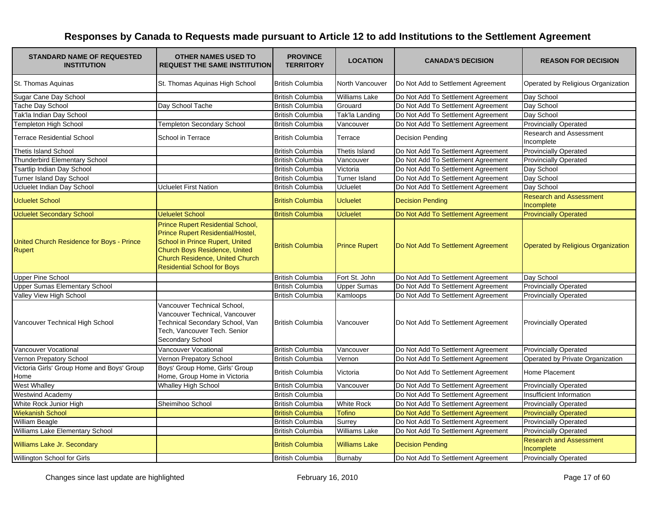| <b>STANDARD NAME OF REQUESTED</b><br><b>INSTITUTION</b> | <b>OTHER NAMES USED TO</b><br><b>REQUEST THE SAME INSTITUTION</b>                                                                                                                                                   | <b>PROVINCE</b><br><b>TERRITORY</b> | <b>LOCATION</b>      | <b>CANADA'S DECISION</b>           | <b>REASON FOR DECISION</b>                   |
|---------------------------------------------------------|---------------------------------------------------------------------------------------------------------------------------------------------------------------------------------------------------------------------|-------------------------------------|----------------------|------------------------------------|----------------------------------------------|
| St. Thomas Aquinas                                      | St. Thomas Aquinas High School                                                                                                                                                                                      | <b>British Columbia</b>             | North Vancouver      | Do Not Add to Settlement Agreement | Operated by Religious Organization           |
| Sugar Cane Day School                                   |                                                                                                                                                                                                                     | <b>British Columbia</b>             | Williams Lake        | Do Not Add To Settlement Agreement | Day School                                   |
| Tache Day School                                        | Day School Tache                                                                                                                                                                                                    | <b>British Columbia</b>             | Grouard              | Do Not Add To Settlement Agreement | Day School                                   |
| Tak'la Indian Day School                                |                                                                                                                                                                                                                     | <b>British Columbia</b>             | Tak'la Landing       | Do Not Add To Settlement Agreement | Day School                                   |
| <b>Templeton High School</b>                            | <b>Templeton Secondary School</b>                                                                                                                                                                                   | <b>British Columbia</b>             | Vancouver            | Do Not Add To Settlement Agreement | <b>Provincially Operated</b>                 |
| <b>Terrace Residential School</b>                       | School in Terrace                                                                                                                                                                                                   | <b>British Columbia</b>             | Terrace              | <b>Decision Pending</b>            | Research and Assessment<br>Incomplete        |
| <b>Thetis Island School</b>                             |                                                                                                                                                                                                                     | <b>British Columbia</b>             | Thetis Island        | Do Not Add To Settlement Agreement | <b>Provincially Operated</b>                 |
| Thunderbird Elementary School                           |                                                                                                                                                                                                                     | <b>British Columbia</b>             | Vancouver            | Do Not Add To Settlement Agreement | <b>Provincially Operated</b>                 |
| <b>Tsartlip Indian Day School</b>                       |                                                                                                                                                                                                                     | <b>British Columbia</b>             | Victoria             | Do Not Add To Settlement Agreement | Day School                                   |
| Turner Island Day School                                |                                                                                                                                                                                                                     | <b>British Columbia</b>             | <b>Turner Island</b> | Do Not Add To Settlement Agreement | Day School                                   |
| Ucluelet Indian Day School                              | <b>Ucluelet First Nation</b>                                                                                                                                                                                        | <b>British Columbia</b>             | Ucluelet             | Do Not Add To Settlement Agreement | Day School                                   |
| <b>Ucluelet School</b>                                  |                                                                                                                                                                                                                     | <b>British Columbia</b>             | <b>Ucluelet</b>      | <b>Decision Pending</b>            | <b>Research and Assessment</b><br>Incomplete |
| <b>Ucluelet Secondary School</b>                        | <b>Ueluelet School</b>                                                                                                                                                                                              | <b>British Columbia</b>             | <b>Ucluelet</b>      | Do Not Add To Settlement Agreement | <b>Provincially Operated</b>                 |
| United Church Residence for Boys - Prince<br>Rupert     | Prince Rupert Residential School,<br>Prince Rupert Residential/Hostel,<br>School in Prince Rupert, United<br>Church Boys Residence, United<br>Church Residence, United Church<br><b>Residential School for Boys</b> | <b>British Columbia</b>             | <b>Prince Rupert</b> | Do Not Add To Settlement Agreement | Operated by Religious Organization           |
| <b>Upper Pine School</b>                                |                                                                                                                                                                                                                     | <b>British Columbia</b>             | Fort St. John        | Do Not Add To Settlement Agreement | Day School                                   |
| <b>Upper Sumas Elementary School</b>                    |                                                                                                                                                                                                                     | <b>British Columbia</b>             | <b>Upper Sumas</b>   | Do Not Add To Settlement Agreement | <b>Provincially Operated</b>                 |
| Valley View High School                                 |                                                                                                                                                                                                                     | <b>British Columbia</b>             | Kamloops             | Do Not Add To Settlement Agreement | <b>Provincially Operated</b>                 |
| Vancouver Technical High School                         | Vancouver Technical School,<br>Vancouver Technical, Vancouver<br>Technical Secondary School, Van<br>Tech, Vancouver Tech. Senior<br>Secondary School                                                                | <b>British Columbia</b>             | Vancouver            | Do Not Add To Settlement Agreement | <b>Provincially Operated</b>                 |
| Vancouver Vocational                                    | Vancouver Vocational                                                                                                                                                                                                | <b>British Columbia</b>             | Vancouver            | Do Not Add To Settlement Agreement | <b>Provincially Operated</b>                 |
| Vernon Prepatory School                                 | Vernon Prepatory School                                                                                                                                                                                             | <b>British Columbia</b>             | Vernon               | Do Not Add To Settlement Agreement | Operated by Private Organization             |
| Victoria Girls' Group Home and Boys' Group<br>Home      | Boys' Group Home, Girls' Group<br>Home, Group Home in Victoria                                                                                                                                                      | <b>British Columbia</b>             | Victoria             | Do Not Add To Settlement Agreement | <b>Home Placement</b>                        |
| <b>West Whalley</b>                                     | <b>Whalley High School</b>                                                                                                                                                                                          | <b>British Columbia</b>             | Vancouver            | Do Not Add To Settlement Agreement | <b>Provincially Operated</b>                 |
| <b>Westwind Academy</b>                                 |                                                                                                                                                                                                                     | <b>British Columbia</b>             |                      | Do Not Add To Settlement Agreement | Insufficient Information                     |
| White Rock Junior High                                  | Sheimihoo School                                                                                                                                                                                                    | <b>British Columbia</b>             | <b>White Rock</b>    | Do Not Add To Settlement Agreement | <b>Provincially Operated</b>                 |
| <b>Wiekanish School</b>                                 |                                                                                                                                                                                                                     | <b>British Columbia</b>             | <b>Tofino</b>        | Do Not Add To Settlement Agreement | <b>Provincially Operated</b>                 |
| William Beagle                                          |                                                                                                                                                                                                                     | <b>British Columbia</b>             | Surrev               | Do Not Add To Settlement Agreement | <b>Provincially Operated</b>                 |
| Williams Lake Elementary School                         |                                                                                                                                                                                                                     | <b>British Columbia</b>             | <b>Williams Lake</b> | Do Not Add To Settlement Agreement | <b>Provincially Operated</b>                 |
| Williams Lake Jr. Secondary                             |                                                                                                                                                                                                                     | <b>British Columbia</b>             | <b>Williams Lake</b> | <b>Decision Pending</b>            | <b>Research and Assessment</b><br>Incomplete |
| Willington School for Girls                             |                                                                                                                                                                                                                     | <b>British Columbia</b>             | Burnaby              | Do Not Add To Settlement Agreement | <b>Provincially Operated</b>                 |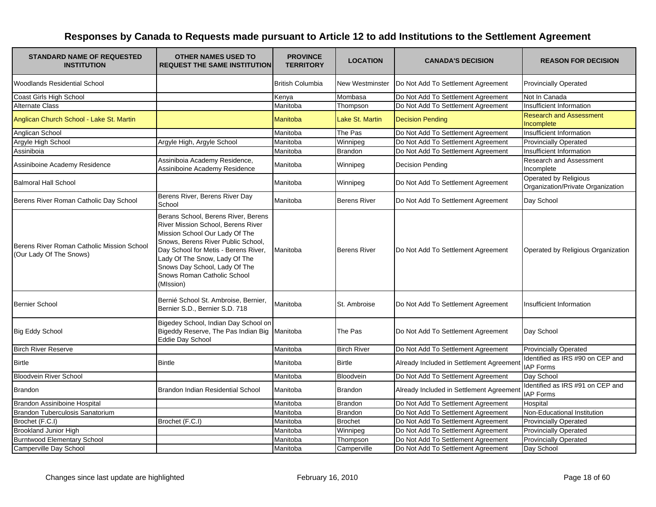| <b>STANDARD NAME OF REQUESTED</b><br><b>INSTITUTION</b>               | <b>OTHER NAMES USED TO</b><br><b>REQUEST THE SAME INSTITUTION</b>                                                                                                                                                                                                                                       | <b>PROVINCE</b><br><b>TERRITORY</b> | <b>LOCATION</b>        | <b>CANADA'S DECISION</b>                 | <b>REASON FOR DECISION</b>                                 |
|-----------------------------------------------------------------------|---------------------------------------------------------------------------------------------------------------------------------------------------------------------------------------------------------------------------------------------------------------------------------------------------------|-------------------------------------|------------------------|------------------------------------------|------------------------------------------------------------|
| <b>Woodlands Residential School</b>                                   |                                                                                                                                                                                                                                                                                                         | <b>British Columbia</b>             | <b>New Westminster</b> | Do Not Add To Settlement Agreement       | <b>Provincially Operated</b>                               |
| Coast Girls High School                                               |                                                                                                                                                                                                                                                                                                         | Kenya                               | Mombasa                | Do Not Add To Settlement Agreement       | Not In Canada                                              |
| <b>Alternate Class</b>                                                |                                                                                                                                                                                                                                                                                                         | Manitoba                            | Thompson               | Do Not Add To Settlement Agreement       | Insufficient Information                                   |
| Anglican Church School - Lake St. Martin                              |                                                                                                                                                                                                                                                                                                         | Manitoba                            | Lake St. Martin        | <b>Decision Pending</b>                  | <b>Research and Assessment</b><br>Incomplete               |
| Anglican School                                                       |                                                                                                                                                                                                                                                                                                         | Manitoba                            | The Pas                | Do Not Add To Settlement Agreement       | Insufficient Information                                   |
| Argyle High School                                                    | Argyle High, Argyle School                                                                                                                                                                                                                                                                              | Manitoba                            | Winnipeg               | Do Not Add To Settlement Agreement       | <b>Provincially Operated</b>                               |
| Assiniboia                                                            |                                                                                                                                                                                                                                                                                                         | Manitoba                            | <b>Brandon</b>         | Do Not Add To Settlement Agreement       | Insufficient Information                                   |
| Assiniboine Academy Residence                                         | Assiniboia Academy Residence,<br>Assiniboine Academy Residence                                                                                                                                                                                                                                          | Manitoba                            | Winnipeg               | <b>Decision Pending</b>                  | Research and Assessment<br>Incomplete                      |
| <b>Balmoral Hall School</b>                                           |                                                                                                                                                                                                                                                                                                         | Manitoba                            | Winnipeg               | Do Not Add To Settlement Agreement       | Operated by Religious<br>Organization/Private Organization |
| Berens River Roman Catholic Day School                                | Berens River, Berens River Day<br>School                                                                                                                                                                                                                                                                | Manitoba                            | <b>Berens River</b>    | Do Not Add To Settlement Agreement       | Day School                                                 |
| Berens River Roman Catholic Mission School<br>(Our Lady Of The Snows) | Berans School, Berens River, Berens<br>River Mission School, Berens River<br>Mission School Our Lady Of The<br>Snows, Berens River Public School,<br>Day School for Metis - Berens River,<br>Lady Of The Snow, Lady Of The<br>Snows Day School, Lady Of The<br>Snows Roman Catholic School<br>(MIssion) | Manitoba                            | <b>Berens River</b>    | Do Not Add To Settlement Agreement       | Operated by Religious Organization                         |
| <b>Bernier School</b>                                                 | Bernié School St. Ambroise, Bernier,<br>Bernier S.D., Bernier S.D. 718                                                                                                                                                                                                                                  | Manitoba                            | St. Ambroise           | Do Not Add To Settlement Agreement       | Insufficient Information                                   |
| <b>Big Eddy School</b>                                                | Bigedey School, Indian Day School on<br>Bigeddy Reserve, The Pas Indian Big<br>Eddie Day School                                                                                                                                                                                                         | Manitoba                            | The Pas                | Do Not Add To Settlement Agreement       | Day School                                                 |
| <b>Birch River Reserve</b>                                            |                                                                                                                                                                                                                                                                                                         | Manitoba                            | <b>Birch River</b>     | Do Not Add To Settlement Agreement       | <b>Provincially Operated</b>                               |
| <b>Birtle</b>                                                         | <b>Bintle</b>                                                                                                                                                                                                                                                                                           | Manitoba                            | <b>Birtle</b>          | Already Included in Settlement Agreement | Identified as IRS #90 on CEP and<br><b>IAP Forms</b>       |
| <b>Bloodvein River School</b>                                         |                                                                                                                                                                                                                                                                                                         | Manitoba                            | Bloodvein              | Do Not Add To Settlement Agreement       | Day School                                                 |
| <b>Brandon</b>                                                        | Brandon Indian Residential School                                                                                                                                                                                                                                                                       | Manitoba                            | <b>Brandon</b>         | Already Included in Settlement Agreement | Identified as IRS #91 on CEP and<br><b>IAP Forms</b>       |
| Brandon Assiniboine Hospital                                          |                                                                                                                                                                                                                                                                                                         | Manitoba                            | <b>Brandon</b>         | Do Not Add To Settlement Agreement       | Hospital                                                   |
| <b>Brandon Tuberculosis Sanatorium</b>                                |                                                                                                                                                                                                                                                                                                         | Manitoba                            | Brandon                | Do Not Add To Settlement Agreement       | Non-Educational Institution                                |
| Brochet (F.C.I)                                                       | Brochet (F.C.I)                                                                                                                                                                                                                                                                                         | Manitoba                            | <b>Brochet</b>         | Do Not Add To Settlement Agreement       | <b>Provincially Operated</b>                               |
| <b>Brookland Junior High</b>                                          |                                                                                                                                                                                                                                                                                                         | Manitoba                            | Winnipeg               | Do Not Add To Settlement Agreement       | <b>Provincially Operated</b>                               |
| <b>Burntwood Elementary School</b>                                    |                                                                                                                                                                                                                                                                                                         | Manitoba                            | Thompson               | Do Not Add To Settlement Agreement       | <b>Provincially Operated</b>                               |
| Camperville Day School                                                |                                                                                                                                                                                                                                                                                                         | Manitoba                            | Camperville            | Do Not Add To Settlement Agreement       | Day School                                                 |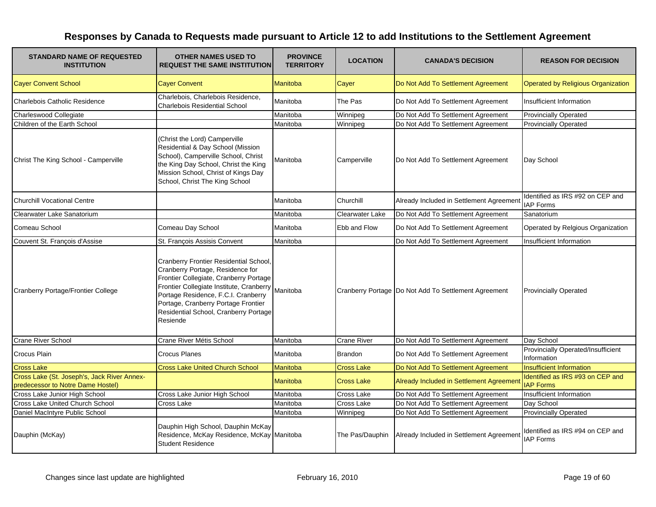| <b>STANDARD NAME OF REQUESTED</b><br><b>INSTITUTION</b>                          | <b>OTHER NAMES USED TO</b><br><b>REQUEST THE SAME INSTITUTION</b>                                                                                                                                                                                                                                   | <b>PROVINCE</b><br><b>TERRITORY</b> | <b>LOCATION</b>        | <b>CANADA'S DECISION</b>                               | <b>REASON FOR DECISION</b>                               |
|----------------------------------------------------------------------------------|-----------------------------------------------------------------------------------------------------------------------------------------------------------------------------------------------------------------------------------------------------------------------------------------------------|-------------------------------------|------------------------|--------------------------------------------------------|----------------------------------------------------------|
| <b>Cayer Convent School</b>                                                      | <b>Cayer Convent</b>                                                                                                                                                                                                                                                                                | <b>Manitoba</b>                     | Cayer                  | Do Not Add To Settlement Agreement                     | <b>Operated by Religious Organization</b>                |
| <b>Charlebois Catholic Residence</b>                                             | Charlebois, Charlebois Residence,<br><b>Charlebois Residential School</b>                                                                                                                                                                                                                           | Manitoba                            | The Pas                | Do Not Add To Settlement Agreement                     | Insufficient Information                                 |
| Charleswood Collegiate                                                           |                                                                                                                                                                                                                                                                                                     | Manitoba                            | Winnipeg               | Do Not Add To Settlement Agreement                     | <b>Provincially Operated</b>                             |
| Children of the Earth School                                                     |                                                                                                                                                                                                                                                                                                     | Manitoba                            | Winnipeg               | Do Not Add To Settlement Agreement                     | <b>Provincially Operated</b>                             |
| Christ The King School - Camperville                                             | (Christ the Lord) Camperville<br>Residential & Day School (Mission<br>School), Camperville School, Christ<br>the King Day School, Christ the King<br>Mission School, Christ of Kings Day<br>School, Christ The King School                                                                          | Manitoba                            | Camperville            | Do Not Add To Settlement Agreement                     | Day School                                               |
| <b>Churchill Vocational Centre</b>                                               |                                                                                                                                                                                                                                                                                                     | Manitoba                            | Churchill              | Already Included in Settlement Agreement               | Identified as IRS #92 on CEP and<br><b>IAP Forms</b>     |
| Clearwater Lake Sanatorium                                                       |                                                                                                                                                                                                                                                                                                     | Manitoba                            | <b>Clearwater Lake</b> | Do Not Add To Settlement Agreement                     | Sanatorium                                               |
| Comeau School                                                                    | Comeau Day School                                                                                                                                                                                                                                                                                   | Manitoba                            | Ebb and Flow           | Do Not Add To Settlement Agreement                     | Operated by Relgious Organization                        |
| Couvent St. François d'Assise                                                    | St. François Assisis Convent                                                                                                                                                                                                                                                                        | Manitoba                            |                        | Do Not Add To Settlement Agreement                     | Insufficient Information                                 |
| Cranberry Portage/Frontier College                                               | Cranberry Frontier Residential School,<br>Cranberry Portage, Residence for<br>Frontier Collegiate, Cranberry Portage<br>Frontier Collegiate Institute, Cranberry<br>Portage Residence, F.C.I. Cranberry<br>Portage, Cranberry Portage Frontier<br>Residential School, Cranberry Portage<br>Resiende | Manitoba                            |                        | Cranberry Portage   Do Not Add To Settlement Agreement | <b>Provincially Operated</b>                             |
| <b>Crane River School</b>                                                        | Crane River Métis School                                                                                                                                                                                                                                                                            | Manitoba                            | <b>Crane River</b>     | Do Not Add To Settlement Agreement                     | Day School                                               |
| Crocus Plain                                                                     | <b>Crocus Planes</b>                                                                                                                                                                                                                                                                                | Manitoba                            | <b>Brandon</b>         | Do Not Add To Settlement Agreement                     | <b>Provincially Operated/Insufficient</b><br>Information |
| <b>Cross Lake</b>                                                                | <b>Cross Lake United Church School</b>                                                                                                                                                                                                                                                              | <b>Manitoba</b>                     | <b>Cross Lake</b>      | Do Not Add To Settlement Agreement                     | <b>Insufficient Information</b>                          |
| Cross Lake (St. Joseph's, Jack River Annex-<br>predecessor to Notre Dame Hostel) |                                                                                                                                                                                                                                                                                                     | <b>Manitoba</b>                     | <b>Cross Lake</b>      | Already Included in Settlement Agreemen                | Identified as IRS #93 on CEP and<br><b>IAP Forms</b>     |
| Cross Lake Junior High School                                                    | Cross Lake Junior High School                                                                                                                                                                                                                                                                       | Manitoba                            | <b>Cross Lake</b>      | Do Not Add To Settlement Agreement                     | Insufficient Information                                 |
| Cross Lake United Church School                                                  | Cross Lake                                                                                                                                                                                                                                                                                          | Manitoba                            | <b>Cross Lake</b>      | Do Not Add To Settlement Agreement                     | Day School                                               |
| Daniel MacIntyre Public School                                                   |                                                                                                                                                                                                                                                                                                     | Manitoba                            | Winnipeg               | Do Not Add To Settlement Agreement                     | <b>Provincially Operated</b>                             |
| Dauphin (McKay)                                                                  | Dauphin High School, Dauphin McKay<br>Residence, McKay Residence, McKay Manitoba<br><b>Student Residence</b>                                                                                                                                                                                        |                                     | The Pas/Dauphin        | Already Included in Settlement Agreement               | Identified as IRS #94 on CEP and<br><b>IAP Forms</b>     |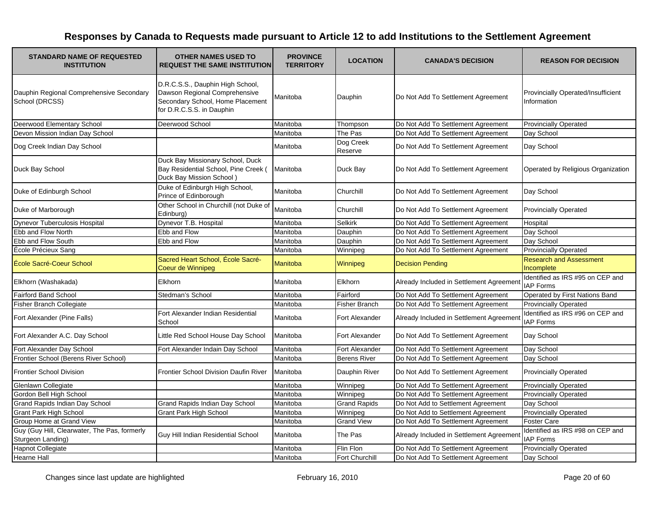| <b>STANDARD NAME OF REQUESTED</b><br><b>INSTITUTION</b>           | <b>OTHER NAMES USED TO</b><br><b>REQUEST THE SAME INSTITUTION</b>                                                                  | <b>PROVINCE</b><br><b>TERRITORY</b> | <b>LOCATION</b>       | <b>CANADA'S DECISION</b>                 | <b>REASON FOR DECISION</b>                           |
|-------------------------------------------------------------------|------------------------------------------------------------------------------------------------------------------------------------|-------------------------------------|-----------------------|------------------------------------------|------------------------------------------------------|
| Dauphin Regional Comprehensive Secondary<br>School (DRCSS)        | D.R.C.S.S., Dauphin High School,<br>Dawson Regional Comprehensive<br>Secondary School, Home Placement<br>for D.R.C.S.S. in Dauphin | Manitoba                            | Dauphin               | Do Not Add To Settlement Agreement       | Provincially Operated/Insufficient<br>Information    |
| Deerwood Elementary School                                        | Deerwood School                                                                                                                    | Manitoba                            | Thompson              | Do Not Add To Settlement Agreement       | <b>Provincially Operated</b>                         |
| Devon Mission Indian Day School                                   |                                                                                                                                    | Manitoba                            | The Pas               | Do Not Add To Settlement Agreement       | Day School                                           |
| Dog Creek Indian Day School                                       |                                                                                                                                    | Manitoba                            | Dog Creek<br>Reserve  | Do Not Add To Settlement Agreement       | Day School                                           |
| Duck Bay School                                                   | Duck Bay Missionary School, Duck<br>Bay Residential School, Pine Creek (<br>Duck Bay Mission School)                               | Manitoba                            | Duck Bay              | Do Not Add To Settlement Agreement       | Operated by Religious Organization                   |
| Duke of Edinburgh School                                          | Duke of Edinburgh High School,<br>Prince of Edinborough                                                                            | Manitoba                            | Churchill             | Do Not Add To Settlement Agreement       | Day School                                           |
| Duke of Marborough                                                | Other School in Churchill (not Duke of<br>Edinburg)                                                                                | Manitoba                            | Churchill             | Do Not Add To Settlement Agreement       | <b>Provincially Operated</b>                         |
| <b>Dynevor Tuberculosis Hospital</b>                              | Dynevor T.B. Hospital                                                                                                              | Manitoba                            | <b>Selkirk</b>        | Do Not Add To Settlement Agreement       | Hospital                                             |
| Ebb and Flow North                                                | Ebb and Flow                                                                                                                       | Manitoba                            | Dauphin               | Do Not Add To Settlement Agreement       | Day School                                           |
| Ebb and Flow South                                                | Ebb and Flow                                                                                                                       | Manitoba                            | Dauphin               | Do Not Add To Settlement Agreement       | Day School                                           |
| École Précieux Sang                                               |                                                                                                                                    | Manitoba                            | Winnipeg              | Do Not Add To Settlement Agreement       | <b>Provincially Operated</b>                         |
| École Sacré-Coeur School                                          | Sacred Heart School, École Sacré-<br>Coeur de Winnipeg                                                                             | <b>Manitoba</b>                     | Winnipeg              | <b>Decision Pending</b>                  | <b>Research and Assessment</b><br>Incomplete         |
| Elkhorn (Washakada)                                               | Elkhorn                                                                                                                            | Manitoba                            | <b>Elkhorn</b>        | Already Included in Settlement Agreement | Identified as IRS #95 on CEP and<br><b>IAP Forms</b> |
| <b>Fairford Band School</b>                                       | Stedman's School                                                                                                                   | Manitoba                            | Fairford              | Do Not Add To Settlement Agreement       | Operated by First Nations Band                       |
| Fisher Branch Collegiate                                          |                                                                                                                                    | Manitoba                            | <b>Fisher Branch</b>  | Do Not Add To Settlement Agreement       | <b>Provincially Operated</b>                         |
| Fort Alexander (Pine Falls)                                       | Fort Alexander Indian Residential<br>School                                                                                        | Manitoba                            | Fort Alexander        | Already Included in Settlement Agreemen  | Identified as IRS #96 on CEP and<br><b>IAP Forms</b> |
| Fort Alexander A.C. Day School                                    | Little Red School House Day School                                                                                                 | Manitoba                            | <b>Fort Alexander</b> | Do Not Add To Settlement Agreement       | Day School                                           |
| Fort Alexander Day School                                         | Fort Alexander Indain Day School                                                                                                   | Manitoba                            | Fort Alexander        | Do Not Add To Settlement Agreement       | Day School                                           |
| Frontier School (Berens River School)                             |                                                                                                                                    | Manitoba                            | <b>Berens River</b>   | Do Not Add To Settlement Agreement       | Day School                                           |
| <b>Frontier School Division</b>                                   | <b>Frontier School Division Daufin River</b>                                                                                       | Manitoba                            | Dauphin River         | Do Not Add To Settlement Agreement       | <b>Provincially Operated</b>                         |
| Glenlawn Collegiate                                               |                                                                                                                                    | Manitoba                            | Winnipeg              | Do Not Add To Settlement Agreement       | <b>Provincially Operated</b>                         |
| Gordon Bell High School                                           |                                                                                                                                    | Manitoba                            | Winnipeg              | Do Not Add To Settlement Agreement       | <b>Provincially Operated</b>                         |
| <b>Grand Rapids Indian Day School</b>                             | <b>Grand Rapids Indian Day School</b>                                                                                              | Manitoba                            | <b>Grand Rapids</b>   | Do Not Add to Settlement Agreement       | Day School                                           |
| <b>Grant Park High School</b>                                     | Grant Park High School                                                                                                             | Manitoba                            | Winnipeg              | Do Not Add to Settlement Agreement       | <b>Provincially Operated</b>                         |
| Group Home at Grand View                                          |                                                                                                                                    | Manitoba                            | <b>Grand View</b>     | Do Not Add To Settlement Agreement       | <b>Foster Care</b>                                   |
| Guy (Guy Hill, Clearwater, The Pas, formerly<br>Sturgeon Landing) | Guy Hill Indian Residential School                                                                                                 | Manitoba                            | The Pas               | Already Included in Settlement Agreemen  | Identified as IRS #98 on CEP and<br><b>IAP Forms</b> |
| <b>Hapnot Collegiate</b>                                          |                                                                                                                                    | Manitoba                            | Flin Flon             | Do Not Add To Settlement Agreement       | <b>Provincially Operated</b>                         |
| Hearne Hall                                                       |                                                                                                                                    | Manitoba                            | <b>Fort Churchill</b> | Do Not Add To Settlement Agreement       | Day School                                           |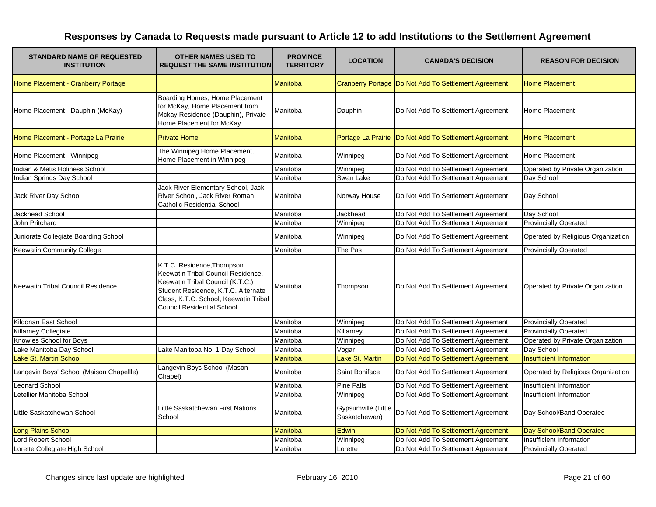| <b>STANDARD NAME OF REQUESTED</b><br><b>INSTITUTION</b> | <b>OTHER NAMES USED TO</b><br><b>REQUEST THE SAME INSTITUTION</b>                                                                                                                                                         | <b>PROVINCE</b><br><b>TERRITORY</b> | <b>LOCATION</b>                      | <b>CANADA'S DECISION</b>                               | <b>REASON FOR DECISION</b>         |
|---------------------------------------------------------|---------------------------------------------------------------------------------------------------------------------------------------------------------------------------------------------------------------------------|-------------------------------------|--------------------------------------|--------------------------------------------------------|------------------------------------|
| Home Placement - Cranberry Portage                      |                                                                                                                                                                                                                           | <b>Manitoba</b>                     |                                      | Cranberry Portage   Do Not Add To Settlement Agreement | <b>Home Placement</b>              |
| Home Placement - Dauphin (McKay)                        | Boarding Homes, Home Placement<br>for McKay, Home Placement from<br>Mckay Residence (Dauphin), Private<br>Home Placement for McKay                                                                                        | Manitoba                            | Dauphin                              | Do Not Add To Settlement Agreement                     | Home Placement                     |
| Home Placement - Portage La Prairie                     | <b>Private Home</b>                                                                                                                                                                                                       | <b>Manitoba</b>                     | Portage La Prairie                   | Do Not Add To Settlement Agreement                     | <b>Home Placement</b>              |
| Home Placement - Winnipeg                               | The Winnipeg Home Placement,<br>Home Placement in Winnipeg                                                                                                                                                                | Manitoba                            | Winnipeg                             | Do Not Add To Settlement Agreement                     | Home Placement                     |
| Indian & Metis Holiness School                          |                                                                                                                                                                                                                           | Manitoba                            | Winnipeg                             | Do Not Add To Settlement Agreement                     | Operated by Private Organization   |
| Indian Springs Day School                               |                                                                                                                                                                                                                           | Manitoba                            | Swan Lake                            | Do Not Add To Settlement Agreement                     | Day School                         |
| Jack River Day School                                   | Jack River Elementary School, Jack<br>River School, Jack River Roman<br><b>Catholic Residential School</b>                                                                                                                | Manitoba                            | Norway House                         | Do Not Add To Settlement Agreement                     | Day School                         |
| Jackhead School                                         |                                                                                                                                                                                                                           | Manitoba                            | Jackhead                             | Do Not Add To Settlement Agreement                     | Day School                         |
| John Pritchard                                          |                                                                                                                                                                                                                           | Manitoba                            | Winnipeg                             | Do Not Add To Settlement Agreement                     | <b>Provincially Operated</b>       |
| Juniorate Collegiate Boarding School                    |                                                                                                                                                                                                                           | Manitoba                            | Winnipeg                             | Do Not Add To Settlement Agreement                     | Operated by Religious Organization |
| Keewatin Community College                              |                                                                                                                                                                                                                           | Manitoba                            | The Pas                              | Do Not Add To Settlement Agreement                     | <b>Provincially Operated</b>       |
| Keewatin Tribal Council Residence                       | K.T.C. Residence, Thompson<br>Keewatin Tribal Council Residence,<br>Keewatin Tribal Council (K.T.C.)<br>Student Residence, K.T.C. Alternate<br>Class, K.T.C. School, Keewatin Tribal<br><b>Council Residential School</b> | Manitoba                            | Thompson                             | Do Not Add To Settlement Agreement                     | Operated by Private Organization   |
| Kildonan East School                                    |                                                                                                                                                                                                                           | Manitoba                            | Winnipeg                             | Do Not Add To Settlement Agreement                     | <b>Provincially Operated</b>       |
| Killarney Collegiate                                    |                                                                                                                                                                                                                           | Manitoba                            | Killarney                            | Do Not Add To Settlement Agreement                     | <b>Provincially Operated</b>       |
| Knowles School for Boys                                 |                                                                                                                                                                                                                           | Manitoba                            | Winnipeg                             | Do Not Add To Settlement Agreement                     | Operated by Private Organization   |
| Lake Manitoba Day School                                | Lake Manitoba No. 1 Day School                                                                                                                                                                                            | Manitoba                            | Vogar                                | Do Not Add To Settlement Agreement                     | Day School                         |
| Lake St. Martin School                                  |                                                                                                                                                                                                                           | Manitoba                            | Lake St. Martin                      | Do Not Add To Settlement Agreement                     | <b>Insufficient Information</b>    |
| Langevin Boys' School (Maison Chapellle)                | Langevin Boys School (Mason<br>Chapel)                                                                                                                                                                                    | Manitoba                            | Saint Boniface                       | Do Not Add To Settlement Agreement                     | Operated by Religious Organization |
| Leonard School                                          |                                                                                                                                                                                                                           | Manitoba                            | <b>Pine Falls</b>                    | Do Not Add To Settlement Agreement                     | Insufficient Information           |
| Letellier Manitoba School                               |                                                                                                                                                                                                                           | Manitoba                            | Winnipeg                             | Do Not Add To Settlement Agreement                     | Insufficient Information           |
| Little Saskatchewan School                              | Little Saskatchewan First Nations<br>School                                                                                                                                                                               | Manitoba                            | Gypsumville (Little<br>Saskatchewan) | Do Not Add To Settlement Agreement                     | Day School/Band Operated           |
| <b>Long Plains School</b>                               |                                                                                                                                                                                                                           | Manitoba                            | Edwin                                | Do Not Add To Settlement Agreement                     | Day School/Band Operated           |
| <b>Lord Robert School</b>                               |                                                                                                                                                                                                                           | Manitoba                            | Winnipeg                             | Do Not Add To Settlement Agreement                     | Insufficient Information           |
| Lorette Collegiate High School                          |                                                                                                                                                                                                                           | Manitoba                            | Lorette                              | Do Not Add To Settlement Agreement                     | <b>Provincially Operated</b>       |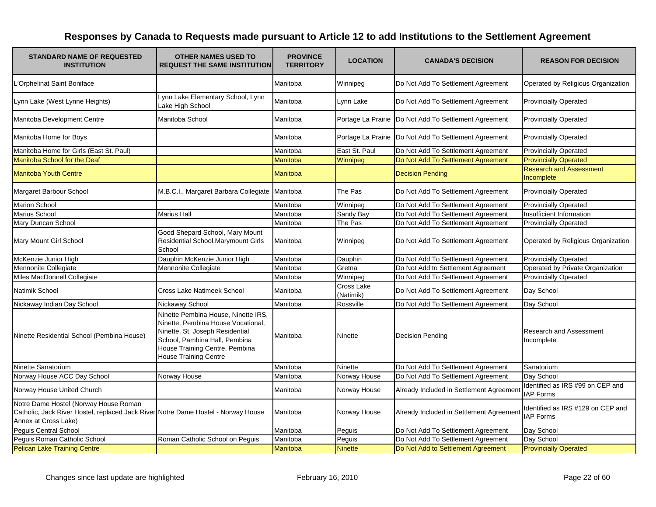| <b>STANDARD NAME OF REQUESTED</b><br><b>INSTITUTION</b>                                                                                            | <b>OTHER NAMES USED TO</b><br><b>REQUEST THE SAME INSTITUTION</b>                                                                                                                                               | <b>PROVINCE</b><br><b>TERRITORY</b> | <b>LOCATION</b>         | <b>CANADA'S DECISION</b>                                | <b>REASON FOR DECISION</b>                            |
|----------------------------------------------------------------------------------------------------------------------------------------------------|-----------------------------------------------------------------------------------------------------------------------------------------------------------------------------------------------------------------|-------------------------------------|-------------------------|---------------------------------------------------------|-------------------------------------------------------|
| <b>Crphelinat Saint Boniface</b>                                                                                                                   |                                                                                                                                                                                                                 | Manitoba                            | Winnipeg                | Do Not Add To Settlement Agreement                      | Operated by Religious Organization                    |
| Lynn Lake (West Lynne Heights)                                                                                                                     | Lynn Lake Elementary School, Lynn<br>Lake High School                                                                                                                                                           | Manitoba                            | Lynn Lake               | Do Not Add To Settlement Agreement                      | <b>Provincially Operated</b>                          |
| Manitoba Development Centre                                                                                                                        | Manitoba School                                                                                                                                                                                                 | Manitoba                            |                         | Portage La Prairie   Do Not Add To Settlement Agreement | <b>Provincially Operated</b>                          |
| Manitoba Home for Boys                                                                                                                             |                                                                                                                                                                                                                 | Manitoba                            |                         | Portage La Prairie   Do Not Add To Settlement Agreement | <b>Provincially Operated</b>                          |
| Manitoba Home for Girls (East St. Paul)                                                                                                            |                                                                                                                                                                                                                 | Manitoba                            | East St. Paul           | Do Not Add To Settlement Agreement                      | <b>Provincially Operated</b>                          |
| Manitoba School for the Deaf                                                                                                                       |                                                                                                                                                                                                                 | <b>Manitoba</b>                     | Winnipeg                | Do Not Add To Settlement Agreement                      | <b>Provincially Operated</b>                          |
| <b>Manitoba Youth Centre</b>                                                                                                                       |                                                                                                                                                                                                                 | Manitoba                            |                         | <b>Decision Pending</b>                                 | <b>Research and Assessment</b><br>Incomplete          |
| Margaret Barbour School                                                                                                                            | M.B.C.I., Margaret Barbara Collegiate Manitoba                                                                                                                                                                  |                                     | The Pas                 | Do Not Add To Settlement Agreement                      | <b>Provincially Operated</b>                          |
| Marion School                                                                                                                                      |                                                                                                                                                                                                                 | Manitoba                            | Winnipeg                | Do Not Add To Settlement Agreement                      | <b>Provincially Operated</b>                          |
| <b>Marius School</b>                                                                                                                               | Marius Hall                                                                                                                                                                                                     | Manitoba                            | Sandy Bay               | Do Not Add To Settlement Agreement                      | Insufficient Information                              |
| Mary Duncan School                                                                                                                                 |                                                                                                                                                                                                                 | Manitoba                            | The Pas                 | Do Not Add To Settlement Agreement                      | Provincially Operated                                 |
| Mary Mount Girl School                                                                                                                             | Good Shepard School, Mary Mount<br>Residential School, Marymount Girls<br>School                                                                                                                                | Manitoba                            | Winnipeg                | Do Not Add To Settlement Agreement                      | Operated by Religious Organization                    |
| McKenzie Junior High                                                                                                                               | Dauphin McKenzie Junior High                                                                                                                                                                                    | Manitoba                            | Dauphin                 | Do Not Add To Settlement Agreement                      | <b>Provincially Operated</b>                          |
| Mennonite Collegiate                                                                                                                               | Mennonite Collegiate                                                                                                                                                                                            | Manitoba                            | Gretna                  | Do Not Add to Settlement Agreement                      | Operated by Private Organization                      |
| Miles MacDonnell Collegiate                                                                                                                        |                                                                                                                                                                                                                 | Manitoba                            | Winnipeg                | Do Not Add To Settlement Agreement                      | <b>Provincially Operated</b>                          |
| Natimik School                                                                                                                                     | <b>Cross Lake Natimeek School</b>                                                                                                                                                                               | Manitoba                            | Cross Lake<br>(Natimik) | Do Not Add To Settlement Agreement                      | Day School                                            |
| Nickaway Indian Day School                                                                                                                         | Nickaway School                                                                                                                                                                                                 | Manitoba                            | Rossville               | Do Not Add To Settlement Agreement                      | Day School                                            |
| Ninette Residential School (Pembina House)                                                                                                         | Ninette Pembina House, Ninette IRS,<br>Ninette, Pembina House Vocational,<br>Ninette, St. Joseph Residential<br>School, Pambina Hall, Pembina<br>House Training Centre, Pembina<br><b>House Training Centre</b> | Manitoba                            | Ninette                 | Decision Pending                                        | <b>Research and Assessment</b><br>Incomplete          |
| Ninette Sanatorium                                                                                                                                 |                                                                                                                                                                                                                 | Manitoba                            | <b>Ninette</b>          | Do Not Add To Settlement Agreement                      | Sanatorium                                            |
| Norway House ACC Day School                                                                                                                        | Norway House                                                                                                                                                                                                    | Manitoba                            | Norway House            | Do Not Add To Settlement Agreement                      | Day School                                            |
| Norway House United Church                                                                                                                         |                                                                                                                                                                                                                 | Manitoba                            | Norway House            | Already Included in Settlement Agreement                | Identified as IRS #99 on CEP and<br><b>IAP Forms</b>  |
| Notre Dame Hostel (Norway House Roman<br>Catholic, Jack River Hostel, replaced Jack River Notre Dame Hostel - Norway House<br>Annex at Cross Lake) |                                                                                                                                                                                                                 | Manitoba                            | Norway House            | Already Included in Settlement Agreement                | Identified as IRS #129 on CEP and<br><b>IAP Forms</b> |
| Peguis Central School                                                                                                                              |                                                                                                                                                                                                                 | Manitoba                            | Peguis                  | Do Not Add To Settlement Agreement                      | Day School                                            |
| Peguis Roman Catholic School                                                                                                                       | Roman Catholic School on Peguis                                                                                                                                                                                 | Manitoba                            | Peguis                  | Do Not Add To Settlement Agreement                      | Day School                                            |
| <b>Pelican Lake Training Centre</b>                                                                                                                |                                                                                                                                                                                                                 | <b>Manitoba</b>                     | <b>Ninette</b>          | Do Not Add to Settlement Agreement                      | <b>Provincially Operated</b>                          |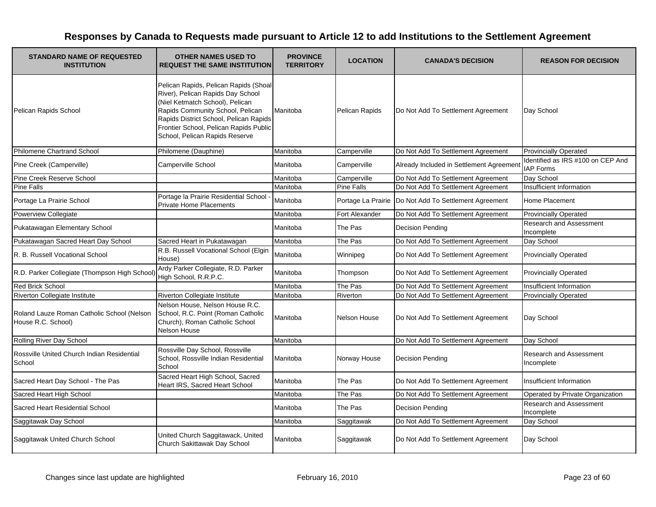| <b>STANDARD NAME OF REQUESTED</b><br><b>INSTITUTION</b>          | <b>OTHER NAMES USED TO</b><br><b>REQUEST THE SAME INSTITUTION</b>                                                                                                                                                                                                       | <b>PROVINCE</b><br><b>TERRITORY</b> | <b>LOCATION</b>       | <b>CANADA'S DECISION</b>                                | <b>REASON FOR DECISION</b>                            |
|------------------------------------------------------------------|-------------------------------------------------------------------------------------------------------------------------------------------------------------------------------------------------------------------------------------------------------------------------|-------------------------------------|-----------------------|---------------------------------------------------------|-------------------------------------------------------|
| Pelican Rapids School                                            | Pelican Rapids, Pelican Rapids (Shoal<br>River), Pelican Rapids Day School<br>(Niel Ketmatch School), Pelican<br>Rapids Community School, Pelican<br>Rapids District School, Pelican Rapids<br>Frontier School, Pelican Rapids Public<br>School, Pelican Rapids Reserve | Manitoba                            | <b>Pelican Rapids</b> | Do Not Add To Settlement Agreement                      | Day School                                            |
| Philomene Chartrand School                                       | Philomene (Dauphine)                                                                                                                                                                                                                                                    | Manitoba                            | Camperville           | Do Not Add To Settlement Agreement                      | <b>Provincially Operated</b>                          |
| Pine Creek (Camperville)                                         | Camperville School                                                                                                                                                                                                                                                      | Manitoba                            | Camperville           | Already Included in Settlement Agreement                | Identified as IRS #100 on CEP And<br><b>IAP Forms</b> |
| Pine Creek Reserve School                                        |                                                                                                                                                                                                                                                                         | Manitoba                            | Camperville           | Do Not Add To Settlement Agreement                      | Day School                                            |
| Pine Falls                                                       |                                                                                                                                                                                                                                                                         | Manitoba                            | <b>Pine Falls</b>     | Do Not Add To Settlement Agreement                      | Insufficient Information                              |
| Portage La Prairie School                                        | Portage la Prairie Residential School<br><b>Private Home Placements</b>                                                                                                                                                                                                 | Manitoba                            |                       | Portage La Prairie   Do Not Add To Settlement Agreement | Home Placement                                        |
| Powerview Collegiate                                             |                                                                                                                                                                                                                                                                         | Manitoba                            | Fort Alexander        | Do Not Add To Settlement Agreement                      | <b>Provincially Operated</b>                          |
| Pukatawagan Elementary School                                    |                                                                                                                                                                                                                                                                         | Manitoba                            | The Pas               | Decision Pending                                        | Research and Assessment<br>Incomplete                 |
| Pukatawagan Sacred Heart Day School                              | Sacred Heart in Pukatawagan                                                                                                                                                                                                                                             | Manitoba                            | The Pas               | Do Not Add To Settlement Agreement                      | Day School                                            |
| R. B. Russell Vocational School                                  | R.B. Russell Vocational School (Elgin<br>House)                                                                                                                                                                                                                         | Manitoba                            | Winnipeg              | Do Not Add To Settlement Agreement                      | <b>Provincially Operated</b>                          |
| R.D. Parker Collegiate (Thompson High School)                    | Ardy Parker Collegiate, R.D. Parker<br>High School, R.R.P.C.                                                                                                                                                                                                            | Manitoba                            | Thompson              | Do Not Add To Settlement Agreement                      | <b>Provincially Operated</b>                          |
| <b>Red Brick School</b>                                          |                                                                                                                                                                                                                                                                         | Manitoba                            | The Pas               | Do Not Add To Settlement Agreement                      | Insufficient Information                              |
| Riverton Collegiate Institute                                    | Riverton Collegiate Institute                                                                                                                                                                                                                                           | Manitoba                            | Riverton              | Do Not Add To Settlement Agreement                      | <b>Provincially Operated</b>                          |
| Roland Lauze Roman Catholic School (Nelson<br>House R.C. School) | Nelson House, Nelson House R.C.<br>School, R.C. Point (Roman Catholic<br>Church), Roman Catholic School<br>Nelson House                                                                                                                                                 | Manitoba                            | Nelson House          | Do Not Add To Settlement Agreement                      | Day School                                            |
| Rolling River Day School                                         |                                                                                                                                                                                                                                                                         | Manitoba                            |                       | Do Not Add To Settlement Agreement                      | Day School                                            |
| Rossville United Church Indian Residential<br>School             | Rossville Day School, Rossville<br>School, Rossville Indian Residential<br>School                                                                                                                                                                                       | Manitoba                            | Norway House          | <b>Decision Pending</b>                                 | Research and Assessment<br>Incomplete                 |
| Sacred Heart Day School - The Pas                                | Sacred Heart High School, Sacred<br>Heart IRS, Sacred Heart School                                                                                                                                                                                                      | Manitoba                            | The Pas               | Do Not Add To Settlement Agreement                      | Insufficient Information                              |
| Sacred Heart High School                                         |                                                                                                                                                                                                                                                                         | Manitoba                            | The Pas               | Do Not Add To Settlement Agreement                      | Operated by Private Organization                      |
| Sacred Heart Residential School                                  |                                                                                                                                                                                                                                                                         | Manitoba                            | The Pas               | <b>Decision Pending</b>                                 | Research and Assessment<br>Incomplete                 |
| Saggitawak Day School                                            |                                                                                                                                                                                                                                                                         | Manitoba                            | Saggitawak            | Do Not Add To Settlement Agreement                      | Day School                                            |
| Saggitawak United Church School                                  | United Church Saggitawack, United<br>Church Sakittawak Day School                                                                                                                                                                                                       | Manitoba                            | Saggitawak            | Do Not Add To Settlement Agreement                      | Day School                                            |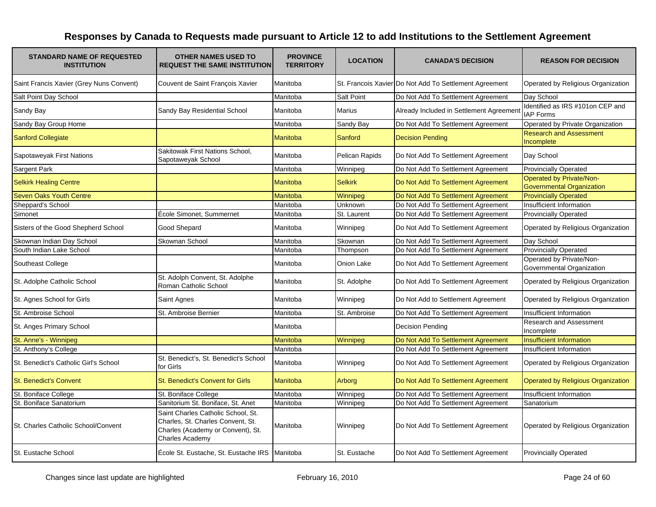| <b>STANDARD NAME OF REQUESTED</b><br><b>INSTITUTION</b> | <b>OTHER NAMES USED TO</b><br><b>REQUEST THE SAME INSTITUTION</b>                                                                      | <b>PROVINCE</b><br><b>TERRITORY</b> | <b>LOCATION</b>   | <b>CANADA'S DECISION</b>                               | <b>REASON FOR DECISION</b>                                          |
|---------------------------------------------------------|----------------------------------------------------------------------------------------------------------------------------------------|-------------------------------------|-------------------|--------------------------------------------------------|---------------------------------------------------------------------|
| Saint Francis Xavier (Grey Nuns Convent)                | Couvent de Saint François Xavier                                                                                                       | Manitoba                            |                   | St. Francois Xavier Do Not Add To Settlement Agreement | Operated by Religious Organization                                  |
| Salt Point Day School                                   |                                                                                                                                        | Manitoba                            | <b>Salt Point</b> | Do Not Add To Settlement Agreement                     | Day School                                                          |
| Sandy Bay                                               | Sandy Bay Residential School                                                                                                           | Manitoba                            | Marius            | Already Included in Settlement Agreemen                | Identified as IRS #101on CEP and<br><b>IAP Forms</b>                |
| Sandy Bay Group Home                                    |                                                                                                                                        | Manitoba                            | Sandy Bay         | Do Not Add To Settlement Agreement                     | Operated by Private Organization                                    |
| <b>Sanford Collegiate</b>                               |                                                                                                                                        | Manitoba                            | Sanford           | <b>Decision Pending</b>                                | <b>Research and Assessment</b><br>Incomplete                        |
| Sapotaweyak First Nations                               | Sakitowak First Nations School,<br>Sapotaweyak School                                                                                  | Manitoba                            | Pelican Rapids    | Do Not Add To Settlement Agreement                     | Day School                                                          |
| Sargent Park                                            |                                                                                                                                        | Manitoba                            | Winnipeg          | Do Not Add To Settlement Agreement                     | <b>Provincially Operated</b>                                        |
| <b>Selkirk Healing Centre</b>                           |                                                                                                                                        | Manitoba                            | <b>Selkirk</b>    | Do Not Add To Settlement Agreement                     | <b>Operated by Private/Non-</b><br><b>Governmental Organization</b> |
| <b>Seven Oaks Youth Centre</b>                          |                                                                                                                                        | Manitoba                            | Winnipeg          | Do Not Add To Settlement Agreement                     | <b>Provincially Operated</b>                                        |
| Sheppard's School                                       |                                                                                                                                        | Manitoba                            | Unknown           | Do Not Add To Settlement Agreement                     | Insufficient Information                                            |
| Simonet                                                 | École Simonet, Summernet                                                                                                               | Manitoba                            | St. Laurent       | Do Not Add To Settlement Agreement                     | <b>Provincially Operated</b>                                        |
| Sisters of the Good Shepherd School                     | Good Shepard                                                                                                                           | Manitoba                            | Winnipeg          | Do Not Add To Settlement Agreement                     | Operated by Religious Organization                                  |
| Skownan Indian Day School                               | Skownan School                                                                                                                         | Manitoba                            | Skownan           | Do Not Add To Settlement Agreement                     | Day School                                                          |
| South Indian Lake School                                |                                                                                                                                        | Manitoba                            | Thompson          | Do Not Add To Settlement Agreement                     | <b>Provincially Operated</b>                                        |
| Southeast College                                       |                                                                                                                                        | Manitoba                            | Onion Lake        | Do Not Add To Settlement Agreement                     | Operated by Private/Non-<br>Governmental Organization               |
| St. Adolphe Catholic School                             | St. Adolph Convent, St. Adolphe<br>Roman Catholic School                                                                               | Manitoba                            | St. Adolphe       | Do Not Add To Settlement Agreement                     | Operated by Religious Organization                                  |
| St. Agnes School for Girls                              | Saint Agnes                                                                                                                            | Manitoba                            | Winnipeg          | Do Not Add to Settlement Agreement                     | Operated by Religious Organization                                  |
| St. Ambroise School                                     | St. Ambroise Bernier                                                                                                                   | Manitoba                            | St. Ambroise      | Do Not Add To Settlement Agreement                     | Insufficient Information                                            |
| St. Anges Primary School                                |                                                                                                                                        | Manitoba                            |                   | <b>Decision Pending</b>                                | <b>Research and Assessment</b><br>Incomplete                        |
| St. Anne's - Winnipeg                                   |                                                                                                                                        | Manitoba                            | Winnipeg          | Do Not Add To Settlement Agreement                     | <b>Insufficient Information</b>                                     |
| St. Anthony's College                                   |                                                                                                                                        | Manitoba                            |                   | Do Not Add To Settlement Agreement                     | Insufficient Information                                            |
| St. Benedict's Catholic Girl's School                   | St. Benedict's, St. Benedict's School<br>for Girls                                                                                     | Manitoba                            | Winnipeg          | Do Not Add To Settlement Agreement                     | Operated by Religious Organization                                  |
| <b>St. Benedict's Convent</b>                           | St. Benedict's Convent for Girls                                                                                                       | <b>Manitoba</b>                     | Arborg            | Do Not Add To Settlement Agreement                     | <b>Operated by Religious Organization</b>                           |
| St. Boniface College                                    | St. Boniface College                                                                                                                   | Manitoba                            | Winnipeg          | Do Not Add To Settlement Agreement                     | Insufficient Information                                            |
| St. Boniface Sanatorium                                 | Sanitorium St. Boniface, St. Anet                                                                                                      | Manitoba                            | Winnipeg          | Do Not Add To Settlement Agreement                     | Sanatorium                                                          |
| St. Charles Catholic School/Convent                     | Saint Charles Catholic School, St.<br>Charles, St. Charles Convent, St.<br>Charles (Academy or Convent), St.<br><b>Charles Academy</b> | Manitoba                            | Winnipeg          | Do Not Add To Settlement Agreement                     | Operated by Religious Organization                                  |
| St. Eustache School                                     | École St. Eustache, St. Eustache IRS                                                                                                   | Manitoba                            | St. Eustache      | Do Not Add To Settlement Agreement                     | <b>Provincially Operated</b>                                        |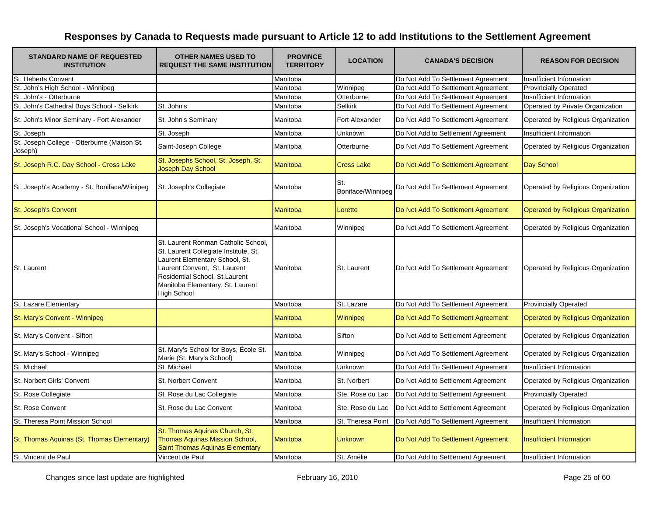| <b>STANDARD NAME OF REQUESTED</b><br><b>INSTITUTION</b> | <b>OTHER NAMES USED TO</b><br><b>REQUEST THE SAME INSTITUTION</b>                                                                                                                                                                   | <b>PROVINCE</b><br><b>TERRITORY</b> | <b>LOCATION</b>          | <b>CANADA'S DECISION</b>           | <b>REASON FOR DECISION</b>                |
|---------------------------------------------------------|-------------------------------------------------------------------------------------------------------------------------------------------------------------------------------------------------------------------------------------|-------------------------------------|--------------------------|------------------------------------|-------------------------------------------|
| St. Heberts Convent                                     |                                                                                                                                                                                                                                     | Manitoba                            |                          | Do Not Add To Settlement Agreement | Insufficient Information                  |
| St. John's High School - Winnipeg                       |                                                                                                                                                                                                                                     | Manitoba                            | Winnipeg                 | Do Not Add To Settlement Agreement | <b>Provincially Operated</b>              |
| St. John's - Otterburne                                 |                                                                                                                                                                                                                                     | Manitoba                            | Otterburne               | Do Not Add To Settlement Agreement | Insufficient Information                  |
| St. John's Cathedral Boys School - Selkirk              | St. John's                                                                                                                                                                                                                          | Manitoba                            | <b>Selkirk</b>           | Do Not Add To Settlement Agreement | Operated by Private Organization          |
| St. John's Minor Seminary - Fort Alexander              | St. John's Seminary                                                                                                                                                                                                                 | Manitoba                            | Fort Alexander           | Do Not Add To Settlement Agreement | Operated by Religious Organization        |
| St. Joseph                                              | St. Joseph                                                                                                                                                                                                                          | Manitoba                            | Unknown                  | Do Not Add to Settlement Agreement | Insufficient Information                  |
| St. Joseph College - Otterburne (Maison St.<br>Joseph)  | Saint-Joseph College                                                                                                                                                                                                                | Manitoba                            | Otterburne               | Do Not Add To Settlement Agreement | Operated by Religious Organization        |
| St. Joseph R.C. Day School - Cross Lake                 | St. Josephs School, St. Joseph, St.<br><b>Joseph Day School</b>                                                                                                                                                                     | Manitoba                            | <b>Cross Lake</b>        | Do Not Add To Settlement Agreement | Day School                                |
| St. Joseph's Academy - St. Boniface/Wiinipeg            | St. Joseph's Collegiate                                                                                                                                                                                                             | Manitoba                            | St.<br>Boniface/Winnipeg | Do Not Add To Settlement Agreement | Operated by Religious Organization        |
| St. Joseph's Convent                                    |                                                                                                                                                                                                                                     | Manitoba                            | Lorette                  | Do Not Add To Settlement Agreement | <b>Operated by Religious Organization</b> |
| St. Joseph's Vocational School - Winnipeg               |                                                                                                                                                                                                                                     | Manitoba                            | Winnipeg                 | Do Not Add To Settlement Agreement | Operated by Religious Organization        |
| St. Laurent                                             | St. Laurent Ronman Catholic School,<br>St. Laurent Collegiate Institute, St.<br>Laurent Elementary School, St.<br>Laurent Convent, St. Laurent<br>Residential School, St.Laurent<br>Manitoba Elementary, St. Laurent<br>High School | Manitoba                            | St. Laurent              | Do Not Add To Settlement Agreement | Operated by Religious Organization        |
| St. Lazare Elementary                                   |                                                                                                                                                                                                                                     | Manitoba                            | St. Lazare               | Do Not Add To Settlement Agreement | <b>Provincially Operated</b>              |
| St. Mary's Convent - Winnipeg                           |                                                                                                                                                                                                                                     | Manitoba                            | Winnipeg                 | Do Not Add To Settlement Agreement | Operated by Religious Organization        |
| St. Mary's Convent - Sifton                             |                                                                                                                                                                                                                                     | Manitoba                            | Sifton                   | Do Not Add to Settlement Agreement | Operated by Religious Organization        |
| St. Mary's School - Winnipeg                            | St. Mary's School for Boys, École St.<br>Marie (St. Mary's School)                                                                                                                                                                  | Manitoba                            | Winnipeg                 | Do Not Add To Settlement Agreement | Operated by Religious Organization        |
| St. Michael                                             | St. Michael                                                                                                                                                                                                                         | Manitoba                            | Unknown                  | Do Not Add To Settlement Agreement | Insufficient Information                  |
| St. Norbert Girls' Convent                              | <b>St. Norbert Convent</b>                                                                                                                                                                                                          | Manitoba                            | St. Norbert              | Do Not Add to Settlement Agreement | Operated by Religious Organization        |
| St. Rose Collegiate                                     | St. Rose du Lac Collegiate                                                                                                                                                                                                          | Manitoba                            | Ste. Rose du Lac         | Do Not Add to Settlement Agreement | <b>Provincially Operated</b>              |
| St. Rose Convent                                        | St. Rose du Lac Convent                                                                                                                                                                                                             | Manitoba                            | Ste. Rose du Lac         | Do Not Add to Settlement Agreement | Operated by Religious Organization        |
| St. Theresa Point Mission School                        |                                                                                                                                                                                                                                     | Manitoba                            | St. Theresa Point        | Do Not Add To Settlement Agreement | Insufficient Information                  |
| St. Thomas Aquinas (St. Thomas Elementary)              | St. Thomas Aquinas Church, St.<br><b>Thomas Aquinas Mission School,</b><br><b>Saint Thomas Aquinas Elementary</b>                                                                                                                   | <b>Manitoba</b>                     | <b>Unknown</b>           | Do Not Add To Settlement Agreement | <b>Insufficient Information</b>           |
| St. Vincent de Paul                                     | Vincent de Paul                                                                                                                                                                                                                     | Manitoba                            | St. Amélie               | Do Not Add to Settlement Agreement | Insufficient Information                  |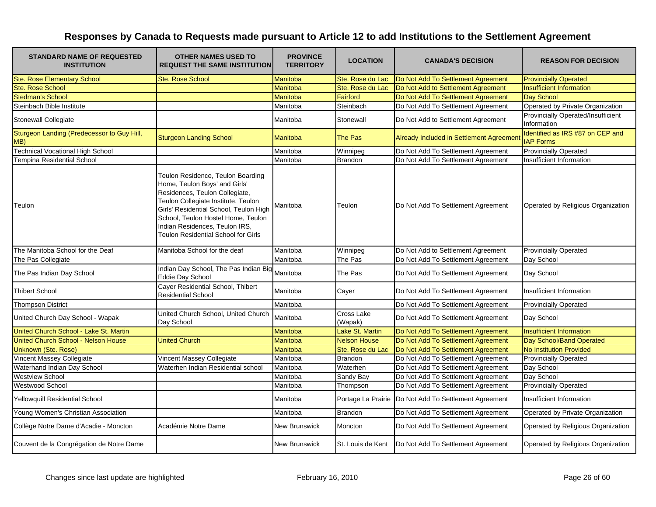| <b>STANDARD NAME OF REQUESTED</b><br><b>INSTITUTION</b> | <b>OTHER NAMES USED TO</b><br><b>REQUEST THE SAME INSTITUTION</b>                                                                                                                                                                                                                                    | <b>PROVINCE</b><br><b>TERRITORY</b> | <b>LOCATION</b>       | <b>CANADA'S DECISION</b>                                | <b>REASON FOR DECISION</b>                           |
|---------------------------------------------------------|------------------------------------------------------------------------------------------------------------------------------------------------------------------------------------------------------------------------------------------------------------------------------------------------------|-------------------------------------|-----------------------|---------------------------------------------------------|------------------------------------------------------|
| <b>Ste. Rose Elementary School</b>                      | <b>Ste. Rose School</b>                                                                                                                                                                                                                                                                              | <b>Manitoba</b>                     | Ste. Rose du Lac      | Do Not Add To Settlement Agreement                      | <b>Provincially Operated</b>                         |
| <b>Ste. Rose School</b>                                 |                                                                                                                                                                                                                                                                                                      | Manitoba                            | Ste. Rose du Lac      | Do Not Add to Settlement Agreement                      | <b>Insufficient Information</b>                      |
| <b>Stedman's School</b>                                 |                                                                                                                                                                                                                                                                                                      | <b>Manitoba</b>                     | Fairford              | Do Not Add To Settlement Agreement                      | Day School                                           |
| Steinbach Bible Institute                               |                                                                                                                                                                                                                                                                                                      | Manitoba                            | Steinbach             | Do Not Add To Settlement Agreement                      | Operated by Private Organization                     |
| <b>Stonewall Collegiate</b>                             |                                                                                                                                                                                                                                                                                                      | Manitoba                            | Stonewall             | Do Not Add to Settlement Agreement                      | Provincially Operated/Insufficient<br>Information    |
| Sturgeon Landing (Predecessor to Guy Hill,<br>MB)       | <b>Sturgeon Landing School</b>                                                                                                                                                                                                                                                                       | <b>Manitoba</b>                     | <b>The Pas</b>        | Already Included in Settlement Agreemen                 | Identified as IRS #87 on CEP and<br><b>IAP Forms</b> |
| <b>Technical Vocational High School</b>                 |                                                                                                                                                                                                                                                                                                      | Manitoba                            | Winnipeg              | Do Not Add To Settlement Agreement                      | <b>Provincially Operated</b>                         |
| <b>Tempina Residential School</b>                       |                                                                                                                                                                                                                                                                                                      | Manitoba                            | Brandon               | Do Not Add To Settlement Agreement                      | Insufficient Information                             |
| Teulon                                                  | Teulon Residence, Teulon Boarding<br>Home, Teulon Boys' and Girls'<br>Residences, Teulon Collegiate,<br>Teulon Collegiate Institute, Teulon<br>Girls' Residential School, Teulon High<br>School, Teulon Hostel Home, Teulon<br>Indian Residences, Teulon IRS,<br>Teulon Residential School for Girls | Manitoba                            | Teulon                | Do Not Add To Settlement Agreement                      | Operated by Religious Organization                   |
| The Manitoba School for the Deaf                        | Manitoba School for the deaf                                                                                                                                                                                                                                                                         | Manitoba                            | Winnipeg              | Do Not Add to Settlement Agreement                      | <b>Provincially Operated</b>                         |
| The Pas Collegiate                                      |                                                                                                                                                                                                                                                                                                      | Manitoba                            | The Pas               | Do Not Add To Settlement Agreement                      | Day School                                           |
| The Pas Indian Day School                               | Indian Day School, The Pas Indian Big<br>Eddie Day School                                                                                                                                                                                                                                            | Manitoba                            | The Pas               | Do Not Add To Settlement Agreement                      | Day School                                           |
| <b>Thibert School</b>                                   | Cayer Residential School, Thibert<br><b>Residential School</b>                                                                                                                                                                                                                                       | Manitoba                            | Cayer                 | Do Not Add To Settlement Agreement                      | Insufficient Information                             |
| <b>Thompson District</b>                                |                                                                                                                                                                                                                                                                                                      | Manitoba                            |                       | Do Not Add To Settlement Agreement                      | <b>Provincially Operated</b>                         |
| United Church Day School - Wapak                        | United Church School, United Church<br>Day School                                                                                                                                                                                                                                                    | Manitoba                            | Cross Lake<br>(Wapak) | Do Not Add To Settlement Agreement                      | Day School                                           |
| United Church School - Lake St. Martin                  |                                                                                                                                                                                                                                                                                                      | Manitoba                            | Lake St. Martin       | Do Not Add To Settlement Agreement                      | <b>Insufficient Information</b>                      |
| United Church School - Nelson House                     | <b>United Church</b>                                                                                                                                                                                                                                                                                 | Manitoba                            | <b>Nelson House</b>   | Do Not Add To Settlement Agreement                      | Day School/Band Operated                             |
| Unknown (Ste. Rose)                                     |                                                                                                                                                                                                                                                                                                      | <b>Manitoba</b>                     | Ste. Rose du Lac      | Do Not Add To Settlement Agreement                      | <b>No Institution Provided</b>                       |
| Vincent Massey Collegiate                               | Vincent Massey Collegiate                                                                                                                                                                                                                                                                            | Manitoba                            | <b>Brandon</b>        | Do Not Add To Settlement Agreement                      | <b>Provincially Operated</b>                         |
| Waterhand Indian Day School                             | Waterhen Indian Residential school                                                                                                                                                                                                                                                                   | Manitoba                            | Waterhen              | Do Not Add To Settlement Agreement                      | Day School                                           |
| <b>Westview School</b>                                  |                                                                                                                                                                                                                                                                                                      | Manitoba                            | Sandy Bay             | Do Not Add To Settlement Agreement                      | Day School                                           |
| Westwood School                                         |                                                                                                                                                                                                                                                                                                      | Manitoba                            | Thompson              | Do Not Add To Settlement Agreement                      | <b>Provincially Operated</b>                         |
| <b>Yellowquill Residential School</b>                   |                                                                                                                                                                                                                                                                                                      | Manitoba                            |                       | Portage La Prairie   Do Not Add To Settlement Agreement | Insufficient Information                             |
| Young Women's Christian Association                     |                                                                                                                                                                                                                                                                                                      | Manitoba                            | <b>Brandon</b>        | Do Not Add To Settlement Agreement                      | Operated by Private Organization                     |
| Collège Notre Dame d'Acadie - Moncton                   | Académie Notre Dame                                                                                                                                                                                                                                                                                  | New Brunswick                       | Moncton               | Do Not Add To Settlement Agreement                      | Operated by Religious Organization                   |
| Couvent de la Congrégation de Notre Dame                |                                                                                                                                                                                                                                                                                                      | <b>New Brunswick</b>                | St. Louis de Kent     | Do Not Add To Settlement Agreement                      | Operated by Religious Organization                   |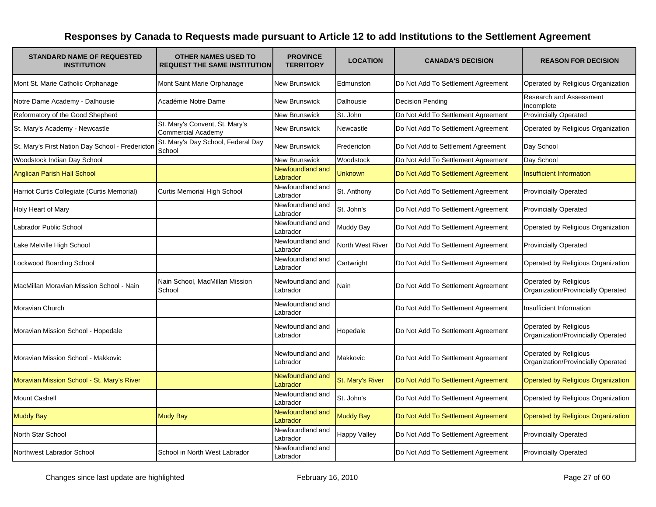| <b>STANDARD NAME OF REQUESTED</b><br><b>INSTITUTION</b> | <b>OTHER NAMES USED TO</b><br><b>REQUEST THE SAME INSTITUTION</b> | <b>PROVINCE</b><br><b>TERRITORY</b> | <b>LOCATION</b>     | <b>CANADA'S DECISION</b>           | <b>REASON FOR DECISION</b>                                  |
|---------------------------------------------------------|-------------------------------------------------------------------|-------------------------------------|---------------------|------------------------------------|-------------------------------------------------------------|
| Mont St. Marie Catholic Orphanage                       | Mont Saint Marie Orphanage                                        | <b>New Brunswick</b>                | Edmunston           | Do Not Add To Settlement Agreement | Operated by Religious Organization                          |
| Notre Dame Academy - Dalhousie                          | Académie Notre Dame                                               | <b>New Brunswick</b>                | Dalhousie           | <b>Decision Pending</b>            | Research and Assessment<br>Incomplete                       |
| Reformatory of the Good Shepherd                        |                                                                   | <b>New Brunswick</b>                | St. John            | Do Not Add To Settlement Agreement | <b>Provincially Operated</b>                                |
| St. Mary's Academy - Newcastle                          | St. Mary's Convent, St. Mary's<br><b>Commercial Academy</b>       | <b>New Brunswick</b>                | Newcastle           | Do Not Add To Settlement Agreement | Operated by Religious Organization                          |
| St. Mary's First Nation Day School - Fredericton        | St. Mary's Day School, Federal Day<br>School                      | <b>New Brunswick</b>                | Fredericton         | Do Not Add to Settlement Agreement | Day School                                                  |
| Woodstock Indian Day School                             |                                                                   | <b>New Brunswick</b>                | Woodstock           | Do Not Add To Settlement Agreement | Day School                                                  |
| Anglican Parish Hall School                             |                                                                   | Newfoundland and<br>Labrador        | <b>Unknown</b>      | Do Not Add To Settlement Agreement | <b>Insufficient Information</b>                             |
| Harriot Curtis Collegiate (Curtis Memorial)             | <b>Curtis Memorial High School</b>                                | Newfoundland and<br>Labrador        | St. Anthony         | Do Not Add To Settlement Agreement | <b>Provincially Operated</b>                                |
| Holy Heart of Mary                                      |                                                                   | Newfoundland and<br>Labrador        | St. John's          | Do Not Add To Settlement Agreement | <b>Provincially Operated</b>                                |
| Labrador Public School                                  |                                                                   | Newfoundland and<br>Labrador        | <b>Muddy Bay</b>    | Do Not Add To Settlement Agreement | Operated by Religious Organization                          |
| Lake Melville High School                               |                                                                   | Newfoundland and<br>Labrador        | North West River    | Do Not Add To Settlement Agreement | <b>Provincially Operated</b>                                |
| Lockwood Boarding School                                |                                                                   | Newfoundland and<br>Labrador        | Cartwright          | Do Not Add To Settlement Agreement | Operated by Religious Organization                          |
| MacMillan Moravian Mission School - Nain                | Nain School, MacMillan Mission<br>School                          | Newfoundland and<br>Labrador        | Nain                | Do Not Add To Settlement Agreement | Operated by Religious<br>Organization/Provincially Operated |
| Moravian Church                                         |                                                                   | Newfoundland and<br>_abrador        |                     | Do Not Add To Settlement Agreement | Insufficient Information                                    |
| Moravian Mission School - Hopedale                      |                                                                   | Newfoundland and<br>Labrador        | Hopedale            | Do Not Add To Settlement Agreement | Operated by Religious<br>Organization/Provincially Operated |
| Moravian Mission School - Makkovic                      |                                                                   | Newfoundland and<br>Labrador        | Makkovic            | Do Not Add To Settlement Agreement | Operated by Religious<br>Organization/Provincially Operated |
| Moravian Mission School - St. Mary's River              |                                                                   | Newfoundland and<br>Labrador        | St. Mary's River    | Do Not Add To Settlement Agreement | <b>Operated by Religious Organization</b>                   |
| <b>Mount Cashell</b>                                    |                                                                   | Newfoundland and<br>Labrador        | St. John's          | Do Not Add To Settlement Agreement | Operated by Religious Organization                          |
| <b>Muddy Bay</b>                                        | <b>Mudy Bay</b>                                                   | Newfoundland and<br>Labrador        | <b>Muddy Bay</b>    | Do Not Add To Settlement Agreement | <b>Operated by Religious Organization</b>                   |
| North Star School                                       |                                                                   | Newfoundland and<br>Labrador        | <b>Happy Valley</b> | Do Not Add To Settlement Agreement | <b>Provincially Operated</b>                                |
| Northwest Labrador School                               | School in North West Labrador                                     | Newfoundland and<br>Labrador        |                     | Do Not Add To Settlement Agreement | <b>Provincially Operated</b>                                |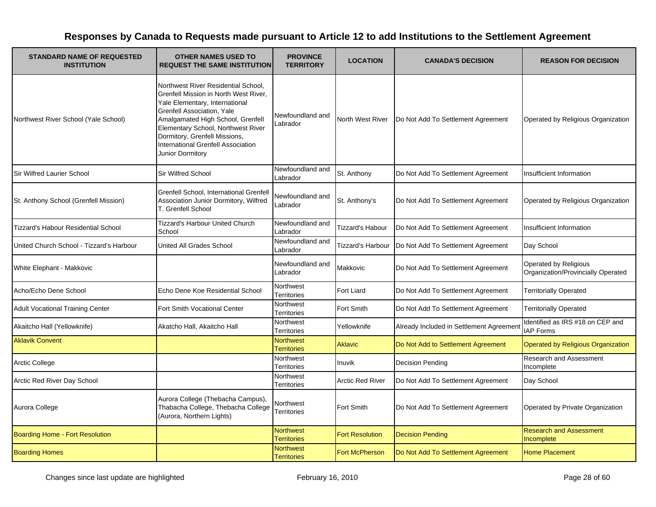| <b>STANDARD NAME OF REQUESTED</b><br><b>INSTITUTION</b> | <b>OTHER NAMES USED TO</b><br><b>REQUEST THE SAME INSTITUTION</b>                                                                                                                                                                                                                                                  | <b>PROVINCE</b><br><b>TERRITORY</b>    | <b>LOCATION</b>         | <b>CANADA'S DECISION</b>                 | <b>REASON FOR DECISION</b>                                  |
|---------------------------------------------------------|--------------------------------------------------------------------------------------------------------------------------------------------------------------------------------------------------------------------------------------------------------------------------------------------------------------------|----------------------------------------|-------------------------|------------------------------------------|-------------------------------------------------------------|
| Northwest River School (Yale School)                    | Northwest River Residential School,<br>Grenfell Mission in North West River,<br>Yale Elementary, International<br>Grenfell Association, Yale<br>Amalgamated High School, Grenfell<br>Elementary School, Northwest River<br>Dormitory, Grenfell Missions,<br>International Grenfell Association<br>Junior Dormitory | Newfoundland and<br>Labrador           | North West River        | Do Not Add To Settlement Agreement       | Operated by Religious Organization                          |
| <b>Sir Wilfred Laurier School</b>                       | <b>Sir Wilfred School</b>                                                                                                                                                                                                                                                                                          | Newfoundland and<br>Labrador           | St. Anthony             | Do Not Add To Settlement Agreement       | Insufficient Information                                    |
| St. Anthony School (Grenfell Mission)                   | Grenfell School, International Grenfell<br>Association Junior Dormitory, Wilfred<br>T. Grenfell School                                                                                                                                                                                                             | Newfoundland and<br>Labrador           | St. Anthony's           | Do Not Add To Settlement Agreement       | Operated by Religious Organization                          |
| <b>Tizzard's Habour Residential School</b>              | <b>Tizzard's Harbour United Church</b><br>School                                                                                                                                                                                                                                                                   | Newfoundland and<br>Labrador           | <b>Tizzard's Habour</b> | Do Not Add To Settlement Agreement       | Insufficient Information                                    |
| United Church School - Tizzard's Harbour                | <b>United All Grades School</b>                                                                                                                                                                                                                                                                                    | Newfoundland and<br>Labrador           | Tizzard's Harbour       | Do Not Add To Settlement Agreement       | Day School                                                  |
| White Elephant - Makkovic                               |                                                                                                                                                                                                                                                                                                                    | Newfoundland and<br>Labrador           | Makkovic                | Do Not Add To Settlement Agreement       | Operated by Religious<br>Organization/Provincially Operated |
| Acho/Echo Dene School                                   | Echo Dene Koe Residential School                                                                                                                                                                                                                                                                                   | Northwest<br><b>Territories</b>        | Fort Liard              | Do Not Add To Settlement Agreement       | <b>Territorially Operated</b>                               |
| <b>Adult Vocational Training Center</b>                 | Fort Smith Vocational Center                                                                                                                                                                                                                                                                                       | <b>Northwest</b><br>Territories        | Fort Smith              | Do Not Add To Settlement Agreement       | <b>Territorially Operated</b>                               |
| Akaitcho Hall (Yellowknife)                             | Akatcho Hall, Akaitcho Hall                                                                                                                                                                                                                                                                                        | Northwest<br>Territories               | Yellowknife             | Already Included in Settlement Agreement | Identified as IRS #18 on CEP and<br><b>IAP Forms</b>        |
| <b>Aklavik Convent</b>                                  |                                                                                                                                                                                                                                                                                                                    | <b>Northwest</b><br><b>Territories</b> | <b>Aklavic</b>          | Do Not Add to Settlement Agreement       | <b>Operated by Religious Organization</b>                   |
| <b>Arctic College</b>                                   |                                                                                                                                                                                                                                                                                                                    | Northwest<br>Territories               | <b>Inuvik</b>           | <b>Decision Pending</b>                  | Research and Assessment<br>Incomplete                       |
| Arctic Red River Day School                             |                                                                                                                                                                                                                                                                                                                    | Northwest<br><b>Territories</b>        | <b>Arctic Red River</b> | Do Not Add To Settlement Agreement       | Day School                                                  |
| Aurora College                                          | Aurora College (Thebacha Campus),<br>Thabacha College, Thebacha College<br>(Aurora, Northern Lights)                                                                                                                                                                                                               | Northwest<br>Territories               | Fort Smith              | Do Not Add To Settlement Agreement       | Operated by Private Organization                            |
| <b>Boarding Home - Fort Resolution</b>                  |                                                                                                                                                                                                                                                                                                                    | <b>Northwest</b><br><b>Territories</b> | <b>Fort Resolution</b>  | <b>Decision Pending</b>                  | <b>Research and Assessment</b><br>Incomplete                |
| <b>Boarding Homes</b>                                   |                                                                                                                                                                                                                                                                                                                    | <b>Northwest</b><br><b>Territories</b> | <b>Fort McPherson</b>   | Do Not Add To Settlement Agreement       | <b>Home Placement</b>                                       |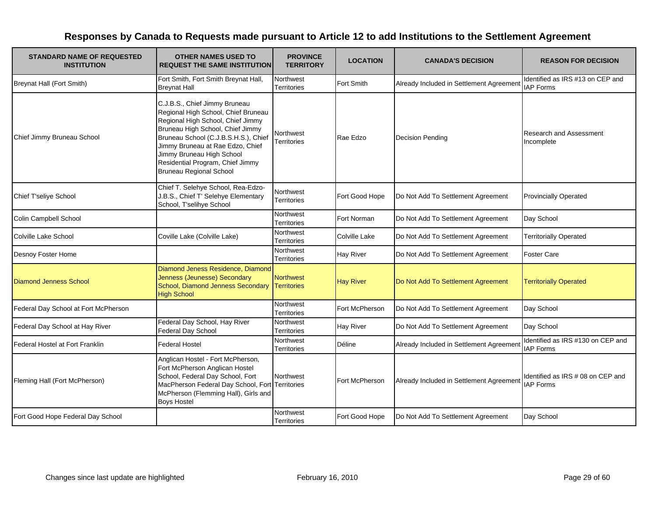| <b>STANDARD NAME OF REQUESTED</b><br><b>INSTITUTION</b> | <b>OTHER NAMES USED TO</b><br><b>REQUEST THE SAME INSTITUTION</b>                                                                                                                                                                                                                                                            | <b>PROVINCE</b><br><b>TERRITORY</b>    | <b>LOCATION</b>  | <b>CANADA'S DECISION</b>                 | <b>REASON FOR DECISION</b>                            |
|---------------------------------------------------------|------------------------------------------------------------------------------------------------------------------------------------------------------------------------------------------------------------------------------------------------------------------------------------------------------------------------------|----------------------------------------|------------------|------------------------------------------|-------------------------------------------------------|
| Breynat Hall (Fort Smith)                               | Fort Smith, Fort Smith Breynat Hall,<br><b>Breynat Hall</b>                                                                                                                                                                                                                                                                  | Northwest<br><b>Territories</b>        | Fort Smith       | Already Included in Settlement Agreement | Identified as IRS #13 on CEP and<br><b>IAP Forms</b>  |
| Chief Jimmy Bruneau School                              | C.J.B.S., Chief Jimmy Bruneau<br>Regional High School, Chief Bruneau<br>Regional High School, Chief Jimmy<br>Bruneau High School, Chief Jimmy<br>Bruneau School (C.J.B.S.H.S.), Chief<br>Jimmy Bruneau at Rae Edzo, Chief<br>Jimmy Bruneau High School<br>Residential Program, Chief Jimmy<br><b>Bruneau Regional School</b> | Northwest<br><b>Territories</b>        | Rae Edzo         | <b>Decision Pending</b>                  | Research and Assessment<br>Incomplete                 |
| Chief T'seliye School                                   | Chief T. Selehye School, Rea-Edzo-<br>J.B.S., Chief T' Selehye Elementary<br>School, T'selihye School                                                                                                                                                                                                                        | Northwest<br><b>Territories</b>        | Fort Good Hope   | Do Not Add To Settlement Agreement       | <b>Provincially Operated</b>                          |
| Colin Campbell School                                   |                                                                                                                                                                                                                                                                                                                              | Northwest<br><b>Territories</b>        | Fort Norman      | Do Not Add To Settlement Agreement       | Day School                                            |
| Colville Lake School                                    | Coville Lake (Colville Lake)                                                                                                                                                                                                                                                                                                 | Northwest<br><b>Territories</b>        | Colville Lake    | Do Not Add To Settlement Agreement       | <b>Territorially Operated</b>                         |
| Desnoy Foster Home                                      |                                                                                                                                                                                                                                                                                                                              | Northwest<br><b>Territories</b>        | <b>Hay River</b> | Do Not Add To Settlement Agreement       | <b>Foster Care</b>                                    |
| <b>Diamond Jenness School</b>                           | Diamond Jeness Residence, Diamond<br>Jenness (Jeunesse) Secondary<br>School, Diamond Jenness Secondary<br><b>High School</b>                                                                                                                                                                                                 | <b>Northwest</b><br><b>Territories</b> | <b>Hay River</b> | Do Not Add To Settlement Agreement       | <b>Territorially Operated</b>                         |
| Federal Day School at Fort McPherson                    |                                                                                                                                                                                                                                                                                                                              | Northwest<br>Territories               | Fort McPherson   | Do Not Add To Settlement Agreement       | Day School                                            |
| Federal Day School at Hay River                         | Federal Day School, Hay River<br>Federal Day School                                                                                                                                                                                                                                                                          | Northwest<br><b>Territories</b>        | <b>Hay River</b> | Do Not Add To Settlement Agreement       | Day School                                            |
| Federal Hostel at Fort Franklin                         | <b>Federal Hostel</b>                                                                                                                                                                                                                                                                                                        | Northwest<br><b>Territories</b>        | Déline           | Already Included in Settlement Agreement | Identified as IRS #130 on CEP and<br><b>IAP Forms</b> |
| Fleming Hall (Fort McPherson)                           | Anglican Hostel - Fort McPherson,<br>Fort McPherson Anglican Hostel<br>School, Federal Day School, Fort<br>MacPherson Federal Day School, Fort Territories<br>McPherson (Flemming Hall), Girls and<br><b>Boys Hostel</b>                                                                                                     | <b>Northwest</b>                       | Fort McPherson   | Already Included in Settlement Agreement | Identified as IRS # 08 on CEP and<br><b>IAP Forms</b> |
| Fort Good Hope Federal Day School                       |                                                                                                                                                                                                                                                                                                                              | Northwest<br>Territories               | Fort Good Hope   | Do Not Add To Settlement Agreement       | Day School                                            |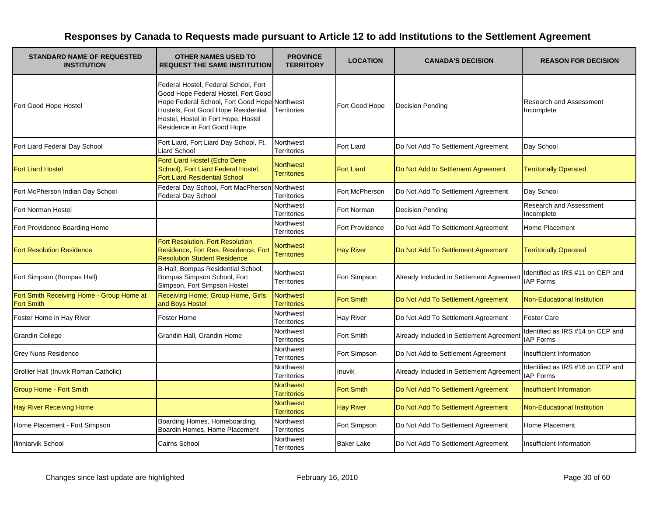| <b>STANDARD NAME OF REQUESTED</b><br><b>INSTITUTION</b>        | <b>OTHER NAMES USED TO</b><br><b>REQUEST THE SAME INSTITUTION</b>                                                                                                                                                                         | <b>PROVINCE</b><br><b>TERRITORY</b>    | <b>LOCATION</b>   | <b>CANADA'S DECISION</b>                 | <b>REASON FOR DECISION</b>                           |
|----------------------------------------------------------------|-------------------------------------------------------------------------------------------------------------------------------------------------------------------------------------------------------------------------------------------|----------------------------------------|-------------------|------------------------------------------|------------------------------------------------------|
| Fort Good Hope Hostel                                          | Federal Hostel, Federal School, Fort<br>Good Hope Federal Hostel, Fort Good<br>Hope Federal School, Fort Good Hope Northwest<br>Hostels, Fort Good Hope Residential<br>Hostel, Hostel in Fort Hope, Hostel<br>Residence in Fort Good Hope | <b>Territories</b>                     | Fort Good Hope    | <b>Decision Pending</b>                  | <b>Research and Assessment</b><br>Incomplete         |
| Fort Liard Federal Day School                                  | Fort Liard, Fort Liard Day School, Ft.<br>Liard School                                                                                                                                                                                    | <b>Northwest</b><br><b>Territories</b> | Fort Liard        | Do Not Add To Settlement Agreement       | Day School                                           |
| <b>Fort Liard Hostel</b>                                       | Ford Liard Hostel (Echo Dene<br>School), Fort Liard Federal Hostel,<br><b>Fort Liard Residential School</b>                                                                                                                               | <b>Northwest</b><br><b>Territories</b> | <b>Fort Liard</b> | Do Not Add to Settlement Agreement       | <b>Territorially Operated</b>                        |
| Fort McPherson Indian Day School                               | Federal Day School, Fort MacPherson Northwest<br>Federal Day School                                                                                                                                                                       | Territories                            | Fort McPherson    | Do Not Add To Settlement Agreement       | Day School                                           |
| Fort Norman Hostel                                             |                                                                                                                                                                                                                                           | Northwest<br><b>Territories</b>        | Fort Norman       | Decision Pending                         | Research and Assessment<br>Incomplete                |
| Fort Providence Boarding Home                                  |                                                                                                                                                                                                                                           | Northwest<br>Territories               | Fort Providence   | Do Not Add To Settlement Agreement       | Home Placement                                       |
| <b>Fort Resolution Residence</b>                               | Fort Resolution, Fort Resolution<br>Residence, Fort Res. Residence, Fort<br><b>Resolution Student Residence</b>                                                                                                                           | <b>Northwest</b><br><b>Territories</b> | <b>Hay River</b>  | Do Not Add To Settlement Agreement       | <b>Territorially Operated</b>                        |
| Fort Simpson (Bompas Hall)                                     | B-Hall, Bompas Residential School,<br>Bompas Simpson School, Fort<br>Simpson, Fort Simpson Hostel                                                                                                                                         | Northwest<br><b>Territories</b>        | Fort Simpson      | Already Included in Settlement Agreement | Identified as IRS #11 on CEP and<br><b>IAP Forms</b> |
| Fort Smith Receiving Home - Group Home at<br><b>Fort Smith</b> | Receiving Home, Group Home, Girls<br>and Boys Hostel                                                                                                                                                                                      | <b>Northwest</b><br><b>Territories</b> | <b>Fort Smith</b> | Do Not Add To Settlement Agreement       | <b>Non-Educational Institution</b>                   |
| Foster Home in Hay River                                       | Foster Home                                                                                                                                                                                                                               | Northwest<br><b>Territories</b>        | Hay River         | Do Not Add To Settlement Agreement       | <b>Foster Care</b>                                   |
| <b>Grandin College</b>                                         | Grandin Hall, Grandin Home                                                                                                                                                                                                                | Northwest<br>Territories               | Fort Smith        | Already Included in Settlement Agreement | Identified as IRS #14 on CEP and<br><b>IAP Forms</b> |
| <b>Grey Nuns Residence</b>                                     |                                                                                                                                                                                                                                           | <b>Northwest</b><br><b>Territories</b> | Fort Simpson      | Do Not Add to Settlement Agreement       | <b>Insufficient Information</b>                      |
| Grollier Hall (Inuvik Roman Catholic)                          |                                                                                                                                                                                                                                           | Northwest<br><b>Territories</b>        | Inuvik            | Already Included in Settlement Agreement | Identified as IRS #16 on CEP and<br><b>IAP Forms</b> |
| <b>Group Home - Fort Smith</b>                                 |                                                                                                                                                                                                                                           | <b>Northwest</b><br><b>Territories</b> | <b>Fort Smith</b> | Do Not Add To Settlement Agreement       | <b>Insufficient Information</b>                      |
| <b>Hay River Receiving Home</b>                                |                                                                                                                                                                                                                                           | <b>Northwest</b><br><b>Territories</b> | <b>Hay River</b>  | Do Not Add To Settlement Agreement       | <b>Non-Educational Institution</b>                   |
| Home Placement - Fort Simpson                                  | Boarding Homes, Homeboarding,<br>Boardin Homes, Home Placement                                                                                                                                                                            | Northwest<br>Territories               | Fort Simpson      | Do Not Add To Settlement Agreement       | Home Placement                                       |
| Ilinniarvik School                                             | Cairns School                                                                                                                                                                                                                             | Northwest<br><b>Territories</b>        | <b>Baker Lake</b> | Do Not Add To Settlement Agreement       | <b>Insufficient Information</b>                      |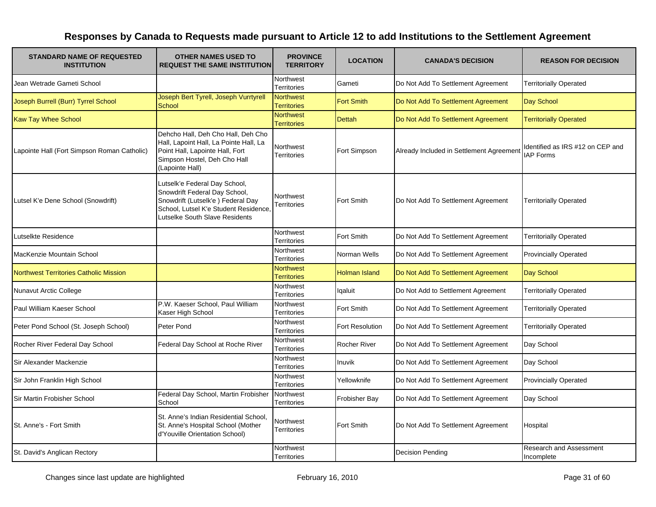| <b>STANDARD NAME OF REQUESTED</b><br><b>INSTITUTION</b> | <b>OTHER NAMES USED TO</b><br><b>REQUEST THE SAME INSTITUTION</b>                                                                                                              | <b>PROVINCE</b><br><b>TERRITORY</b>    | <b>LOCATION</b>        | <b>CANADA'S DECISION</b>                 | <b>REASON FOR DECISION</b>                           |
|---------------------------------------------------------|--------------------------------------------------------------------------------------------------------------------------------------------------------------------------------|----------------------------------------|------------------------|------------------------------------------|------------------------------------------------------|
| Jean Wetrade Gameti School                              |                                                                                                                                                                                | Northwest<br><b>Territories</b>        | Gameti                 | Do Not Add To Settlement Agreement       | <b>Territorially Operated</b>                        |
| Joseph Burrell (Burr) Tyrrel School                     | Joseph Bert Tyrell, Joseph Vurrtyrell<br>School                                                                                                                                | <b>Northwest</b><br><b>Territories</b> | <b>Fort Smith</b>      | Do Not Add To Settlement Agreement       | Day School                                           |
| <b>Kaw Tay Whee School</b>                              |                                                                                                                                                                                | <b>Northwest</b><br><b>Territories</b> | <b>Dettah</b>          | Do Not Add To Settlement Agreement       | <b>Territorially Operated</b>                        |
| Lapointe Hall (Fort Simpson Roman Catholic)             | Dehcho Hall, Deh Cho Hall, Deh Cho<br>Hall, Lapoint Hall, La Pointe Hall, La<br>Point Hall, Lapointe Hall, Fort<br>Simpson Hostel, Deh Cho Hall<br>(Lapointe Hall)             | Northwest<br>Territories               | Fort Simpson           | Already Included in Settlement Agreement | Identified as IRS #12 on CEP and<br><b>IAP Forms</b> |
| Lutsel K'e Dene School (Snowdrift)                      | Lutselk'e Federal Day School,<br>Snowdrift Federal Day School,<br>Snowdrift (Lutselk'e) Federal Day<br>School, Lutsel K'e Student Residence,<br>Lutselke South Slave Residents | Northwest<br>Territories               | Fort Smith             | Do Not Add To Settlement Agreement       | <b>Territorially Operated</b>                        |
| Lutselkte Residence                                     |                                                                                                                                                                                | Northwest<br>Territories               | Fort Smith             | Do Not Add To Settlement Agreement       | <b>Territorially Operated</b>                        |
| MacKenzie Mountain School                               |                                                                                                                                                                                | Northwest<br>Territories               | Norman Wells           | Do Not Add To Settlement Agreement       | <b>Provincially Operated</b>                         |
| Northwest Territories Catholic Mission                  |                                                                                                                                                                                | <b>Northwest</b><br><b>Territories</b> | <b>Holman Island</b>   | Do Not Add To Settlement Agreement       | Day School                                           |
| <b>Nunavut Arctic College</b>                           |                                                                                                                                                                                | Northwest<br><b>Territories</b>        | Igaluit                | Do Not Add to Settlement Agreement       | <b>Territorially Operated</b>                        |
| Paul William Kaeser School                              | P.W. Kaeser School, Paul William<br>Kaser High School                                                                                                                          | Northwest<br>Territories               | Fort Smith             | Do Not Add To Settlement Agreement       | <b>Territorially Operated</b>                        |
| Peter Pond School (St. Joseph School)                   | Peter Pond                                                                                                                                                                     | Northwest<br><b>Territories</b>        | <b>Fort Resolution</b> | Do Not Add To Settlement Agreement       | <b>Territorially Operated</b>                        |
| Rocher River Federal Day School                         | Federal Day School at Roche River                                                                                                                                              | Northwest<br><b>Territories</b>        | <b>Rocher River</b>    | Do Not Add To Settlement Agreement       | Day School                                           |
| Sir Alexander Mackenzie                                 |                                                                                                                                                                                | Northwest<br><b>Territories</b>        | Inuvik                 | Do Not Add To Settlement Agreement       | Day School                                           |
| Sir John Franklin High School                           |                                                                                                                                                                                | Northwest<br><b>Territories</b>        | Yellowknife            | Do Not Add To Settlement Agreement       | <b>Provincially Operated</b>                         |
| Sir Martin Frobisher School                             | Federal Day School, Martin Frobisher<br>School                                                                                                                                 | Northwest<br><b>Territories</b>        | <b>Frobisher Bay</b>   | Do Not Add To Settlement Agreement       | Day School                                           |
| St. Anne's - Fort Smith                                 | St. Anne's Indian Residential School,<br>St. Anne's Hospital School (Mother<br>d'Youville Orientation School)                                                                  | Northwest<br>Territories               | Fort Smith             | Do Not Add To Settlement Agreement       | Hospital                                             |
| St. David's Anglican Rectory                            |                                                                                                                                                                                | Northwest<br>Territories               |                        | <b>Decision Pending</b>                  | Research and Assessment<br>Incomplete                |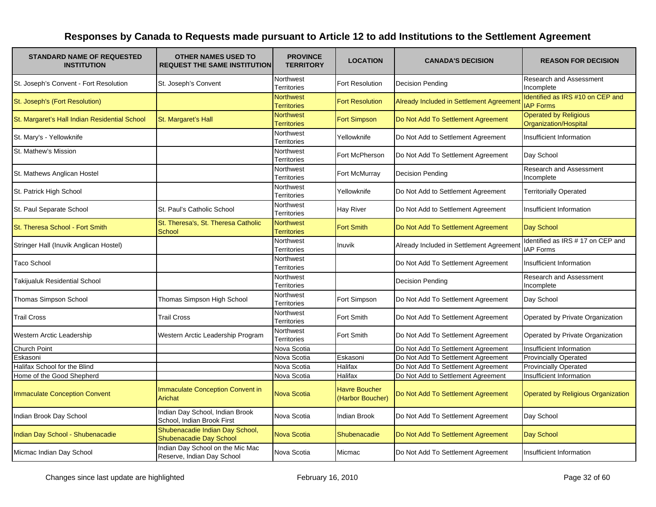| <b>STANDARD NAME OF REQUESTED</b><br><b>INSTITUTION</b> | <b>OTHER NAMES USED TO</b><br><b>REQUEST THE SAME INSTITUTION</b> | <b>PROVINCE</b><br><b>TERRITORY</b>    | <b>LOCATION</b>                          | <b>CANADA'S DECISION</b>                 | <b>REASON FOR DECISION</b>                            |
|---------------------------------------------------------|-------------------------------------------------------------------|----------------------------------------|------------------------------------------|------------------------------------------|-------------------------------------------------------|
| St. Joseph's Convent - Fort Resolution                  | St. Joseph's Convent                                              | Northwest<br>Territories               | Fort Resolution                          | <b>Decision Pending</b>                  | Research and Assessment<br>Incomplete                 |
| St. Joseph's (Fort Resolution)                          |                                                                   | <b>Northwest</b><br><b>Territories</b> | <b>Fort Resolution</b>                   | Already Included in Settlement Agreemen  | Identified as IRS #10 on CEP and<br><b>IAP Forms</b>  |
| St. Margaret's Hall Indian Residential School           | St. Margaret's Hall                                               | <b>Northwest</b><br><b>Territories</b> | <b>Fort Simpson</b>                      | Do Not Add To Settlement Agreement       | <b>Operated by Religious</b><br>Organization/Hospital |
| St. Mary's - Yellowknife                                |                                                                   | Northwest<br><b>Territories</b>        | Yellowknife                              | Do Not Add to Settlement Agreement       | Insufficient Information                              |
| St. Mathew's Mission                                    |                                                                   | Northwest<br>Territories               | Fort McPherson                           | Do Not Add To Settlement Agreement       | Day School                                            |
| St. Mathews Anglican Hostel                             |                                                                   | Northwest<br><b>Territories</b>        | Fort McMurray                            | Decision Pending                         | <b>Research and Assessment</b><br>Incomplete          |
| St. Patrick High School                                 |                                                                   | Northwest<br><b>Territories</b>        | Yellowknife                              | Do Not Add to Settlement Agreement       | <b>Territorially Operated</b>                         |
| St. Paul Separate School                                | St. Paul's Catholic School                                        | Northwest<br>Territories               | <b>Hay River</b>                         | Do Not Add to Settlement Agreement       | Insufficient Information                              |
| St. Theresa School - Fort Smith                         | St. Theresa's, St. Theresa Catholic<br>School                     | Northwest<br><b>Territories</b>        | <b>Fort Smith</b>                        | Do Not Add To Settlement Agreement       | Day School                                            |
| Stringer Hall (Inuvik Anglican Hostel)                  |                                                                   | Northwest<br><b>Territories</b>        | Inuvik                                   | Already Included in Settlement Agreement | Identified as IRS # 17 on CEP and<br><b>IAP Forms</b> |
| <b>Taco School</b>                                      |                                                                   | Northwest<br>Territories               |                                          | Do Not Add To Settlement Agreement       | Insufficient Information                              |
| Takijualuk Residential School                           |                                                                   | Northwest<br><b>Territories</b>        |                                          | Decision Pending                         | Research and Assessment<br>Incomplete                 |
| Thomas Simpson School                                   | Thomas Simpson High School                                        | Northwest<br>Territories               | Fort Simpson                             | Do Not Add To Settlement Agreement       | Day School                                            |
| <b>Trail Cross</b>                                      | <b>Trail Cross</b>                                                | Northwest<br>Territories               | Fort Smith                               | Do Not Add To Settlement Agreement       | Operated by Private Organization                      |
| Western Arctic Leadership                               | Western Arctic Leadership Program                                 | Northwest<br>Territories               | Fort Smith                               | Do Not Add To Settlement Agreement       | Operated by Private Organization                      |
| Church Point                                            |                                                                   | Nova Scotia                            |                                          | Do Not Add To Settlement Agreement       | Insufficient Information                              |
| Eskasoni                                                |                                                                   | Nova Scotia                            | Eskasoni                                 | Do Not Add To Settlement Agreement       | Provincially Operated                                 |
| Halifax School for the Blind                            |                                                                   | Nova Scotia                            | Halifax                                  | Do Not Add To Settlement Agreement       | <b>Provincially Operated</b>                          |
| Home of the Good Shepherd                               |                                                                   | Nova Scotia                            | <b>Halifax</b>                           | Do Not Add to Settlement Agreement       | Insufficient Information                              |
| <b>Immaculate Conception Convent</b>                    | <b>Immaculate Conception Convent in</b><br>Arichat                | <b>Nova Scotia</b>                     | <b>Havre Boucher</b><br>(Harbor Boucher) | Do Not Add To Settlement Agreement       | <b>Operated by Religious Organization</b>             |
| Indian Brook Day School                                 | Indian Day School, Indian Brook<br>School, Indian Brook First     | Nova Scotia                            | <b>Indian Brook</b>                      | Do Not Add To Settlement Agreement       | Day School                                            |
| Indian Day School - Shubenacadie                        | Shubenacadie Indian Day School,<br>Shubenacadie Day School        | <b>Nova Scotia</b>                     | Shubenacadie                             | Do Not Add To Settlement Agreement       | Day School                                            |
| Micmac Indian Day School                                | Indian Day School on the Mic Mac<br>Reserve, Indian Day School    | Nova Scotia                            | Micmac                                   | Do Not Add To Settlement Agreement       | Insufficient Information                              |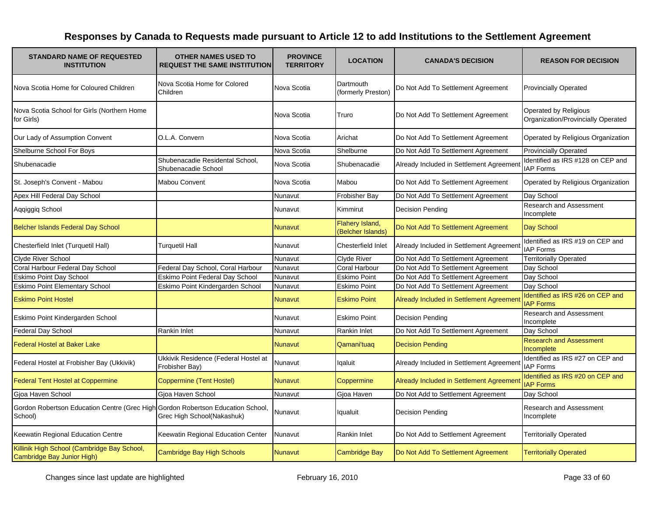| <b>STANDARD NAME OF REQUESTED</b><br><b>INSTITUTION</b>                                    | <b>OTHER NAMES USED TO</b><br><b>REQUEST THE SAME INSTITUTION</b> | <b>PROVINCE</b><br><b>TERRITORY</b> | <b>LOCATION</b>                      | <b>CANADA'S DECISION</b>                 | <b>REASON FOR DECISION</b>                                  |
|--------------------------------------------------------------------------------------------|-------------------------------------------------------------------|-------------------------------------|--------------------------------------|------------------------------------------|-------------------------------------------------------------|
| Nova Scotia Home for Coloured Children                                                     | Nova Scotia Home for Colored<br>Children                          | Nova Scotia                         | Dartmouth<br>(formerly Preston)      | Do Not Add To Settlement Agreement       | <b>Provincially Operated</b>                                |
| Nova Scotia School for Girls (Northern Home<br>for Girls)                                  |                                                                   | Nova Scotia                         | Truro                                | Do Not Add To Settlement Agreement       | Operated by Religious<br>Organization/Provincially Operated |
| Our Lady of Assumption Convent                                                             | O.L.A. Convern                                                    | Nova Scotia                         | Arichat                              | Do Not Add To Settlement Agreement       | Operated by Religious Organization                          |
| Shelburne School For Boys                                                                  |                                                                   | Nova Scotia                         | Shelburne                            | Do Not Add To Settlement Agreement       | <b>Provincially Operated</b>                                |
| Shubenacadie                                                                               | Shubenacadie Residental School,<br>Shubenacadie School            | Nova Scotia                         | Shubenacadie                         | Already Included in Settlement Agreement | Identified as IRS #128 on CEP and<br><b>IAP Forms</b>       |
| St. Joseph's Convent - Mabou                                                               | Mabou Convent                                                     | Nova Scotia                         | Mabou                                | Do Not Add To Settlement Agreement       | Operated by Religious Organization                          |
| Apex Hill Federal Day School                                                               |                                                                   | Nunavut                             | Frobisher Bay                        | Do Not Add To Settlement Agreement       | Day School                                                  |
| Aqqiggiq School                                                                            |                                                                   | Nunavut                             | Kimmirut                             | <b>Decision Pending</b>                  | Research and Assessment<br>Incomplete                       |
| Belcher Islands Federal Day School                                                         |                                                                   | Nunavut                             | Flahery Island,<br>(Belcher Islands) | Do Not Add To Settlement Agreement       | Day School                                                  |
| Chesterfield Inlet (Turquetil Hall)                                                        | Turquetil Hall                                                    | Nunavut                             | Chesterfield Inlet                   | Already Included in Settlement Agreement | Identified as IRS #19 on CEP and<br><b>IAP Forms</b>        |
| Clyde River School                                                                         |                                                                   | Nunavut                             | <b>Clyde River</b>                   | Do Not Add To Settlement Agreement       | <b>Territorially Operated</b>                               |
| Coral Harbour Federal Day School                                                           | Federal Day School, Coral Harbour                                 | Nunavut                             | Coral Harbour                        | Do Not Add To Settlement Agreement       | Day School                                                  |
| Eskimo Point Day School                                                                    | Eskimo Point Federal Day School                                   | Nunavut                             | Eskimo Point                         | Do Not Add To Settlement Agreement       | Day School                                                  |
| <b>Eskimo Point Elementary School</b>                                                      | Eskimo Point Kindergarden School                                  | Nunavut                             | <b>Eskimo Point</b>                  | Do Not Add To Settlement Agreement       | Day School                                                  |
| <b>Eskimo Point Hostel</b>                                                                 |                                                                   | Nunavut                             | <b>Eskimo Point</b>                  | Already Included in Settlement Agreemen  | Identified as IRS #26 on CEP and<br><b>IAP Forms</b>        |
| Eskimo Point Kindergarden School                                                           |                                                                   | Nunavut                             | <b>Eskimo Point</b>                  | <b>Decision Pending</b>                  | Research and Assessment<br>Incomplete                       |
| <b>Federal Day School</b>                                                                  | Rankin Inlet                                                      | Nunavut                             | Rankin Inlet                         | Do Not Add To Settlement Agreement       | Day School                                                  |
| <b>Federal Hostel at Baker Lake</b>                                                        |                                                                   | <b>Nunavut</b>                      | Qamani'tuaq                          | <b>Decision Pending</b>                  | <b>Research and Assessment</b><br>Incomplete                |
| Federal Hostel at Frobisher Bay (Ukkivik)                                                  | Ukkivik Residence (Federal Hostel at<br>Frobisher Bay)            | Nunavut                             | lqaluit                              | Already Included in Settlement Agreement | Identified as IRS #27 on CEP and<br><b>IAP Forms</b>        |
| <b>Federal Tent Hostel at Coppermine</b>                                                   | Coppermine (Tent Hostel)                                          | Nunavut                             | Coppermine                           | Already Included in Settlement Agreemen  | Identified as IRS #20 on CEP and<br><b>IAP Forms</b>        |
| Gioa Haven School                                                                          | Gioa Haven School                                                 | Nunavut                             | Gioa Haven                           | Do Not Add to Settlement Agreement       | Day School                                                  |
| Gordon Robertson Education Centre (Grec High Gordon Robertson Education School,<br>School) | Grec High School(Nakashuk)                                        | Nunavut                             | Iqualuit                             | <b>Decision Pending</b>                  | <b>Research and Assessment</b><br>Incomplete                |
| Keewatin Regional Education Centre                                                         | Keewatin Regional Education Center                                | Nunavut                             | Rankin Inlet                         | Do Not Add to Settlement Agreement       | <b>Territorially Operated</b>                               |
| Killinik High School (Cambridge Bay School,<br>Cambridge Bay Junior High)                  | Cambridge Bay High Schools                                        | Nunavut                             | <b>Cambridge Bay</b>                 | Do Not Add To Settlement Agreement       | <b>Territorially Operated</b>                               |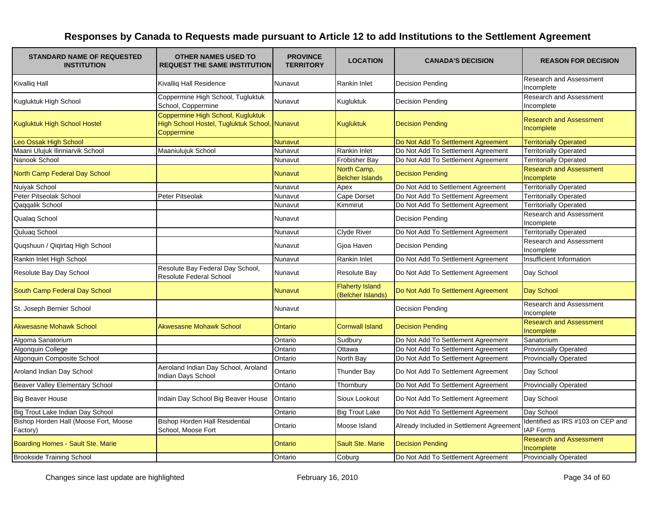| <b>STANDARD NAME OF REQUESTED</b><br><b>INSTITUTION</b> | <b>OTHER NAMES USED TO</b><br><b>REQUEST THE SAME INSTITUTION</b>                                | <b>PROVINCE</b><br><b>TERRITORY</b> | <b>LOCATION</b>                             | <b>CANADA'S DECISION</b>                 | <b>REASON FOR DECISION</b>                            |
|---------------------------------------------------------|--------------------------------------------------------------------------------------------------|-------------------------------------|---------------------------------------------|------------------------------------------|-------------------------------------------------------|
| <b>Kivalliq Hall</b>                                    | Kivalliq Hall Residence                                                                          | Nunavut                             | <b>Rankin Inlet</b>                         | <b>Decision Pending</b>                  | Research and Assessment<br>Incomplete                 |
| Kugluktuk High School                                   | Coppermine High School, Tugluktuk<br>School, Coppermine                                          | Nunavut                             | Kugluktuk                                   | <b>Decision Pending</b>                  | <b>Research and Assessment</b><br>Incomplete          |
| <b>Kugluktuk High School Hostel</b>                     | Coppermine High School, Kugluktuk<br>High School Hostel, Tugluktuk School, Nunavut<br>Coppermine |                                     | Kugluktuk                                   | <b>Decision Pending</b>                  | <b>Research and Assessment</b><br>Incomplete          |
| Leo Ossak High School                                   |                                                                                                  | <b>Nunavut</b>                      |                                             | Do Not Add To Settlement Agreement       | <b>Territorially Operated</b>                         |
| Maani Ulujuk Ilinniarvik School                         | Maaniulujuk School                                                                               | Nunavut                             | <b>Rankin Inlet</b>                         | Do Not Add To Settlement Agreement       | <b>Territorially Operated</b>                         |
| Nanook School                                           |                                                                                                  | Nunavut                             | <b>Frobisher Bay</b>                        | Do Not Add To Settlement Agreement       | <b>Territorially Operated</b>                         |
| North Camp Federal Day School                           |                                                                                                  | Nunavut                             | North Camp,<br><b>Belcher Islands</b>       | <b>Decision Pending</b>                  | <b>Research and Assessment</b><br>Incomplete          |
| Nuiyak School                                           |                                                                                                  | Nunavut                             | Apex                                        | Do Not Add to Settlement Agreement       | <b>Territorially Operated</b>                         |
| Peter Pitseolak School                                  | Peter Pitseolak                                                                                  | Nunavut                             | Cape Dorset                                 | Do Not Add To Settlement Agreement       | <b>Territorially Operated</b>                         |
| Qaqqalik School                                         |                                                                                                  | Nunavut                             | Kimmirut                                    | Do Not Add To Settlement Agreement       | <b>Territorially Operated</b>                         |
| Qualaq School                                           |                                                                                                  | Nunavut                             |                                             | <b>Decision Pending</b>                  | Research and Assessment<br>Incomplete                 |
| Quluaq School                                           |                                                                                                  | Nunavut                             | Clyde River                                 | Do Not Add To Settlement Agreement       | <b>Territorially Operated</b>                         |
| Quqshuun / Qiqirtaq High School                         |                                                                                                  | Nunavut                             | Gjoa Haven                                  | <b>Decision Pending</b>                  | <b>Research and Assessment</b><br>Incomplete          |
| Rankin Inlet High School                                |                                                                                                  | Nunavut                             | <b>Rankin Inlet</b>                         | Do Not Add To Settlement Agreement       | Insufficient Information                              |
| Resolute Bay Day School                                 | Resolute Bay Federal Day School,<br><b>Resolute Federal School</b>                               | Nunavut                             | Resolute Bay                                | Do Not Add To Settlement Agreement       | Day School                                            |
| South Camp Federal Day School                           |                                                                                                  | Nunavut                             | <b>Flaherty Island</b><br>(Belcher Islands) | Do Not Add To Settlement Agreement       | Day School                                            |
| St. Joseph Bernier School                               |                                                                                                  | Nunavut                             |                                             | <b>Decision Pending</b>                  | Research and Assessment<br>Incomplete                 |
| <b>Akwesasne Mohawk School</b>                          | <b>Akwesasne Mohawk School</b>                                                                   | Ontario                             | <b>Cornwall Island</b>                      | <b>Decision Pending</b>                  | <b>Research and Assessment</b><br>Incomplete          |
| Algoma Sanatorium                                       |                                                                                                  | Ontario                             | Sudbury                                     | Do Not Add To Settlement Agreement       | Sanatorium                                            |
| Algonguin College                                       |                                                                                                  | Ontario                             | Ottawa                                      | Do Not Add To Settlement Agreement       | <b>Provincially Operated</b>                          |
| Algonquin Composite School                              |                                                                                                  | Ontario                             | North Bay                                   | Do Not Add To Settlement Agreement       | <b>Provincially Operated</b>                          |
| Aroland Indian Day School                               | Aeroland Indian Day School, Aroland<br>Indian Days School                                        | Ontario                             | <b>Thunder Bay</b>                          | Do Not Add To Settlement Agreement       | Day School                                            |
| Beaver Valley Elementary School                         |                                                                                                  | Ontario                             | Thornbury                                   | Do Not Add To Settlement Agreement       | <b>Provincially Operated</b>                          |
| <b>Big Beaver House</b>                                 | Indain Day School Big Beaver House                                                               | Ontario                             | Sioux Lookout                               | Do Not Add To Settlement Agreement       | Day School                                            |
| Big Trout Lake Indian Day School                        |                                                                                                  | Ontario                             | <b>Big Trout Lake</b>                       | Do Not Add To Settlement Agreement       | Day School                                            |
| Bishop Horden Hall (Moose Fort, Moose<br>Factory)       | Bishop Horden Hall Residential<br>School, Moose Fort                                             | Ontario                             | Moose Island                                | Already Included in Settlement Agreement | Identified as IRS #103 on CEP and<br><b>IAP Forms</b> |
| Boarding Homes - Sault Ste. Marie                       |                                                                                                  | Ontario                             | <b>Sault Ste. Marie</b>                     | <b>Decision Pending</b>                  | <b>Research and Assessment</b><br>Incomplete          |
| <b>Brookside Training School</b>                        |                                                                                                  | Ontario                             | Coburg                                      | Do Not Add To Settlement Agreement       | <b>Provincially Operated</b>                          |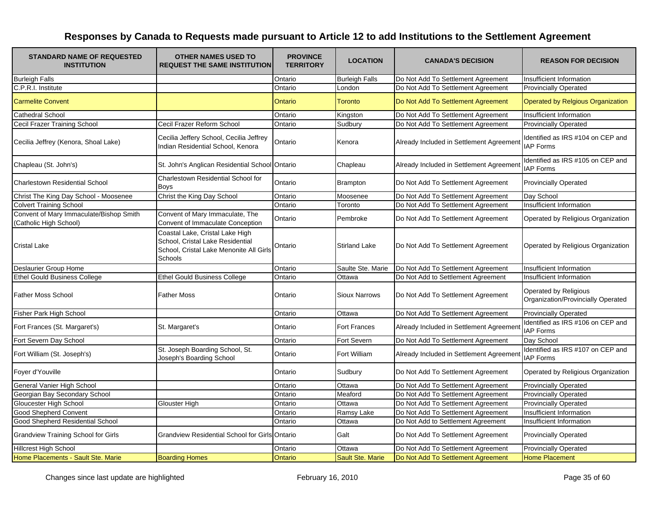| <b>STANDARD NAME OF REQUESTED</b><br><b>INSTITUTION</b>           | <b>OTHER NAMES USED TO</b><br><b>REQUEST THE SAME INSTITUTION</b>                                                         | <b>PROVINCE</b><br><b>TERRITORY</b> | <b>LOCATION</b>         | <b>CANADA'S DECISION</b>                 | <b>REASON FOR DECISION</b>                                  |
|-------------------------------------------------------------------|---------------------------------------------------------------------------------------------------------------------------|-------------------------------------|-------------------------|------------------------------------------|-------------------------------------------------------------|
| <b>Burleigh Falls</b>                                             |                                                                                                                           | Ontario                             | <b>Burleigh Falls</b>   | Do Not Add To Settlement Agreement       | Insufficient Information                                    |
| C.P.R.I. Institute                                                |                                                                                                                           | Ontario                             | London                  | Do Not Add To Settlement Agreement       | <b>Provincially Operated</b>                                |
| <b>Carmelite Convent</b>                                          |                                                                                                                           | Ontario                             | <b>Toronto</b>          | Do Not Add To Settlement Agreement       | <b>Operated by Relgious Organization</b>                    |
| Cathedral School                                                  |                                                                                                                           | Ontario                             | Kingston                | Do Not Add To Settlement Agreement       | Insufficient Information                                    |
| Cecil Frazer Training School                                      | Cecil Frazer Reform School                                                                                                | Ontario                             | Sudbury                 | Do Not Add To Settlement Agreement       | <b>Provincially Operated</b>                                |
| Cecilia Jeffrey (Kenora, Shoal Lake)                              | Cecilia Jeffery School, Cecilia Jeffrey<br>Indian Residential School, Kenora                                              | Ontario                             | Kenora                  | Already Included in Settlement Agreement | Identified as IRS #104 on CEP and<br><b>IAP Forms</b>       |
| Chapleau (St. John's)                                             | St. John's Anglican Residential School Ontario                                                                            |                                     | Chapleau                | Already Included in Settlement Agreement | Identified as IRS #105 on CEP and<br><b>IAP Forms</b>       |
| Charlestown Residential School                                    | Charlestown Residential School for<br><b>Boys</b>                                                                         | Ontario                             | <b>Brampton</b>         | Do Not Add To Settlement Agreement       | <b>Provincially Operated</b>                                |
| Christ The King Day School - Moosenee                             | Christ the King Day School                                                                                                | Ontario                             | Moosenee                | Do Not Add To Settlement Agreement       | Day School                                                  |
| <b>Colvert Training School</b>                                    |                                                                                                                           | Ontario                             | Toronto                 | Do Not Add To Settlement Agreement       | Insufficient Information                                    |
| Convent of Mary Immaculate/Bishop Smith<br>(Catholic High School) | Convent of Mary Immaculate, The<br>Convent of Immaculate Conception                                                       | Ontario                             | Pembroke                | Do Not Add To Settlement Agreement       | Operated by Religious Organization                          |
| <b>Cristal Lake</b>                                               | Coastal Lake, Cristal Lake High<br>School, Cristal Lake Residential<br>School, Cristal Lake Menonite All Girls<br>Schools | Ontario                             | <b>Stirland Lake</b>    | Do Not Add To Settlement Agreement       | Operated by Religious Organization                          |
| <b>Deslaurier Group Home</b>                                      |                                                                                                                           | Ontario                             | Saulte Ste. Marie       | Do Not Add To Settlement Agreement       | Insufficient Information                                    |
| <b>Ethel Gould Business College</b>                               | <b>Ethel Gould Business College</b>                                                                                       | Ontario                             | Ottawa                  | Do Not Add to Settlement Agreement       | Insufficient Information                                    |
| <b>Father Moss School</b>                                         | <b>Father Moss</b>                                                                                                        | Ontario                             | <b>Sioux Narrows</b>    | Do Not Add To Settlement Agreement       | Operated by Religious<br>Organization/Provincially Operated |
| Fisher Park High School                                           |                                                                                                                           | Ontario                             | Ottawa                  | Do Not Add To Settlement Agreement       | <b>Provincially Operated</b>                                |
| Fort Frances (St. Margaret's)                                     | St. Margaret's                                                                                                            | Ontario                             | Fort Frances            | Already Included in Settlement Agreement | Identified as IRS #106 on CEP and<br><b>IAP Forms</b>       |
| Fort Severn Day School                                            |                                                                                                                           | Ontario                             | Fort Severn             | Do Not Add To Settlement Agreement       | Day School                                                  |
| Fort William (St. Joseph's)                                       | St. Joseph Boarding School, St.<br>Joseph's Boarding School                                                               | Ontario                             | Fort William            | Already Included in Settlement Agreement | Identified as IRS #107 on CEP and<br><b>IAP Forms</b>       |
| Foyer d'Youville                                                  |                                                                                                                           | Ontario                             | Sudbury                 | Do Not Add To Settlement Agreement       | Operated by Religious Organization                          |
| General Vanier High School                                        |                                                                                                                           | Ontario                             | Ottawa                  | Do Not Add To Settlement Agreement       | <b>Provincially Operated</b>                                |
| Georgian Bay Secondary School                                     |                                                                                                                           | Ontario                             | Meaford                 | Do Not Add To Settlement Agreement       | <b>Provincially Operated</b>                                |
| Gloucester High School                                            | <b>Glouster High</b>                                                                                                      | Ontario                             | Ottawa                  | Do Not Add To Settlement Agreement       | <b>Provincially Operated</b>                                |
| <b>Good Shepherd Convent</b>                                      |                                                                                                                           | Ontario                             | Ramsy Lake              | Do Not Add To Settlement Agreement       | Insufficient Information                                    |
| Good Shepherd Residential School                                  |                                                                                                                           | Ontario                             | Ottawa                  | Do Not Add to Settlement Agreement       | Insufficient Information                                    |
| <b>Grandview Training School for Girls</b>                        | <b>Grandview Residential School for Girls Ontario</b>                                                                     |                                     | Galt                    | Do Not Add To Settlement Agreement       | <b>Provincially Operated</b>                                |
| <b>Hillcrest High School</b>                                      |                                                                                                                           | Ontario                             | Ottawa                  | Do Not Add To Settlement Agreement       | <b>Provincially Operated</b>                                |
| Home Placements - Sault Ste. Marie                                | <b>Boarding Homes</b>                                                                                                     | Ontario                             | <b>Sault Ste. Marie</b> | Do Not Add To Settlement Agreement       | <b>Home Placement</b>                                       |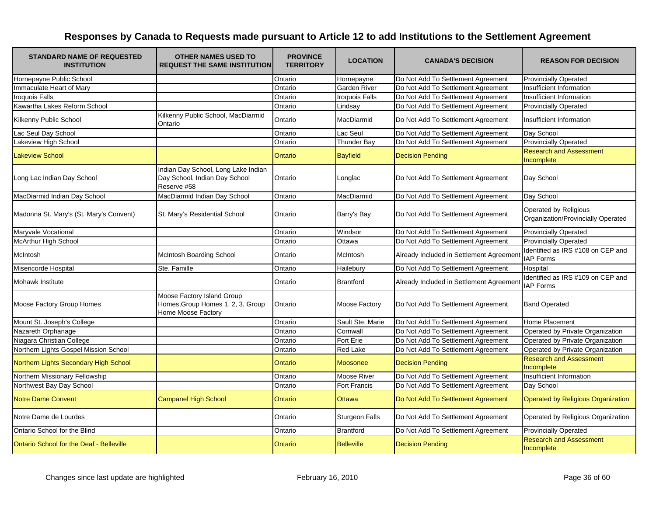| <b>STANDARD NAME OF REQUESTED</b><br><b>INSTITUTION</b> | <b>OTHER NAMES USED TO</b><br><b>REQUEST THE SAME INSTITUTION</b>                     | <b>PROVINCE</b><br><b>TERRITORY</b> | <b>LOCATION</b>       | <b>CANADA'S DECISION</b>                 | <b>REASON FOR DECISION</b>                                  |
|---------------------------------------------------------|---------------------------------------------------------------------------------------|-------------------------------------|-----------------------|------------------------------------------|-------------------------------------------------------------|
| Hornepayne Public School                                |                                                                                       | Ontario                             | Hornepayne            | Do Not Add To Settlement Agreement       | <b>Provincially Operated</b>                                |
| Immaculate Heart of Mary                                |                                                                                       | Ontario                             | Garden River          | Do Not Add To Settlement Agreement       | Insufficient Information                                    |
| <b>Iroquois Falls</b>                                   |                                                                                       | Ontario                             | <b>Iroquois Falls</b> | Do Not Add To Settlement Agreement       | Insufficient Information                                    |
| Kawartha Lakes Reform School                            |                                                                                       | Ontario                             | Lindsay               | Do Not Add To Settlement Agreement       | <b>Provincially Operated</b>                                |
| Kilkenny Public School                                  | Kilkenny Public School, MacDiarmid<br>Ontario                                         | Ontario                             | MacDiarmid            | Do Not Add To Settlement Agreement       | Insufficient Information                                    |
| Lac Seul Day School                                     |                                                                                       | Ontario                             | Lac Seul              | Do Not Add To Settlement Agreement       | Day School                                                  |
| Lakeview High School                                    |                                                                                       | Ontario                             | <b>Thunder Bay</b>    | Do Not Add To Settlement Agreement       | <b>Provincially Operated</b>                                |
| <b>Lakeview School</b>                                  |                                                                                       | Ontario                             | <b>Bayfield</b>       | <b>Decision Pending</b>                  | <b>Research and Assessment</b><br>Incomplete                |
| Long Lac Indian Day School                              | Indian Day School, Long Lake Indian<br>Day School, Indian Day School<br>Reserve #58   | Ontario                             | Longlac               | Do Not Add To Settlement Agreement       | Day School                                                  |
| MacDiarmid Indian Day School                            | MacDiarmid Indian Day School                                                          | Ontario                             | MacDiarmid            | Do Not Add To Settlement Agreement       | Day School                                                  |
| Madonna St. Mary's (St. Mary's Convent)                 | St. Mary's Residential School                                                         | Ontario                             | Barry's Bay           | Do Not Add To Settlement Agreement       | Operated by Religious<br>Organization/Provincially Operated |
| Maryvale Vocational                                     |                                                                                       | Ontario                             | Windsor               | Do Not Add To Settlement Agreement       | <b>Provincially Operated</b>                                |
| McArthur High School                                    |                                                                                       | Ontario                             | Ottawa                | Do Not Add To Settlement Agreement       | <b>Provincially Operated</b>                                |
| McIntosh                                                | McIntosh Boarding School                                                              | Ontario                             | McIntosh              | Already Included in Settlement Agreement | Identified as IRS #108 on CEP and<br><b>IAP Forms</b>       |
| Misericorde Hospital                                    | Ste. Famille                                                                          | Ontario                             | Hailebury             | Do Not Add To Settlement Agreement       | Hospital                                                    |
| Mohawk Institute                                        |                                                                                       | Ontario                             | <b>Brantford</b>      | Already Included in Settlement Agreement | Identified as IRS #109 on CEP and<br><b>IAP Forms</b>       |
| Moose Factory Group Homes                               | Moose Factory Island Group<br>Homes, Group Homes 1, 2, 3, Group<br>Home Moose Factory | Ontario                             | Moose Factory         | Do Not Add To Settlement Agreement       | <b>Band Operated</b>                                        |
| Mount St. Joseph's College                              |                                                                                       | Ontario                             | Sault Ste. Marie      | Do Not Add To Settlement Agreement       | Home Placement                                              |
| Nazareth Orphanage                                      |                                                                                       | Ontario                             | Cornwall              | Do Not Add To Settlement Agreement       | Operated by Private Organization                            |
| Niagara Christian College                               |                                                                                       | Ontario                             | Fort Erie             | Do Not Add To Settlement Agreement       | Operated by Private Organization                            |
| Northern Lights Gospel Mission School                   |                                                                                       | Ontario                             | <b>Red Lake</b>       | Do Not Add To Settlement Agreement       | Operated by Private Organization                            |
| Northern Lights Secondary High School                   |                                                                                       | Ontario                             | Moosonee              | <b>Decision Pending</b>                  | <b>Research and Assessment</b><br>Incomplete                |
| Northern Missionary Fellowship                          |                                                                                       | Ontario                             | <b>Moose River</b>    | Do Not Add To Settlement Agreement       | Insufficient Information                                    |
| Northwest Bay Day School                                |                                                                                       | Ontario                             | Fort Francis          | Do Not Add To Settlement Agreement       | Day School                                                  |
| <b>Notre Dame Convent</b>                               | <b>Campanel High School</b>                                                           | Ontario                             | <b>Ottawa</b>         | Do Not Add To Settlement Agreement       | Operated by Religious Organization                          |
| Notre Dame de Lourdes                                   |                                                                                       | Ontario                             | <b>Sturgeon Falls</b> | Do Not Add To Settlement Agreement       | Operated by Religious Organization                          |
| Ontario School for the Blind                            |                                                                                       | Ontario                             | <b>Brantford</b>      | Do Not Add To Settlement Agreement       | <b>Provincially Operated</b>                                |
| <b>Ontario School for the Deaf - Belleville</b>         |                                                                                       | Ontario                             | <b>Belleville</b>     | <b>Decision Pending</b>                  | <b>Research and Assessment</b><br>Incomplete                |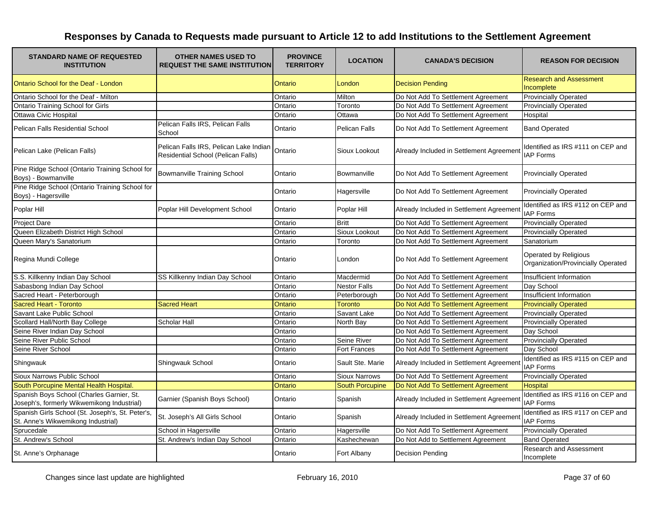| <b>STANDARD NAME OF REQUESTED</b><br><b>INSTITUTION</b>                                 | <b>OTHER NAMES USED TO</b><br><b>REQUEST THE SAME INSTITUTION</b>            | <b>PROVINCE</b><br><b>TERRITORY</b> | <b>LOCATION</b>        | <b>CANADA'S DECISION</b>                 | <b>REASON FOR DECISION</b>                                  |
|-----------------------------------------------------------------------------------------|------------------------------------------------------------------------------|-------------------------------------|------------------------|------------------------------------------|-------------------------------------------------------------|
| Ontario School for the Deaf - London                                                    |                                                                              | Ontario                             | London                 | <b>Decision Pending</b>                  | <b>Research and Assessment</b><br>Incomplete                |
| Ontario School for the Deaf - Milton                                                    |                                                                              | Ontario                             | Milton                 | Do Not Add To Settlement Agreement       | <b>Provincially Operated</b>                                |
| Ontario Training School for Girls                                                       |                                                                              | Ontario                             | Toronto                | Do Not Add To Settlement Agreement       | <b>Provincially Operated</b>                                |
| Ottawa Civic Hospital                                                                   |                                                                              | Ontario                             | Ottawa                 | Do Not Add To Settlement Agreement       | Hospital                                                    |
| Pelican Falls Residential School                                                        | Pelican Falls IRS, Pelican Falls<br>School                                   | Ontario                             | Pelican Falls          | Do Not Add To Settlement Agreement       | <b>Band Operated</b>                                        |
| Pelican Lake (Pelican Falls)                                                            | Pelican Falls IRS, Pelican Lake Indian<br>Residential School (Pelican Falls) | Ontario                             | Sioux Lookout          | Already Included in Settlement Agreement | Identified as IRS #111 on CEP and<br><b>IAP Forms</b>       |
| Pine Ridge School (Ontario Training School for<br>Boys) - Bowmanville                   | Bowmanville Training School                                                  | Ontario                             | Bowmanville            | Do Not Add To Settlement Agreement       | <b>Provincially Operated</b>                                |
| Pine Ridge School (Ontario Training School for<br>Boys) - Hagersville                   |                                                                              | Ontario                             | Hagersville            | Do Not Add To Settlement Agreement       | <b>Provincially Operated</b>                                |
| Poplar Hill                                                                             | Poplar Hill Development School                                               | Ontario                             | Poplar Hill            | Already Included in Settlement Agreement | Identified as IRS #112 on CEP and<br><b>IAP Forms</b>       |
| <b>Project Dare</b>                                                                     |                                                                              | Ontario                             | <b>Britt</b>           | Do Not Add To Settlement Agreement       | <b>Provincially Operated</b>                                |
| Queen Elizabeth District High School                                                    |                                                                              | Ontario                             | Sioux Lookout          | Do Not Add To Settlement Agreement       | <b>Provincially Operated</b>                                |
| Queen Mary's Sanatorium                                                                 |                                                                              | Ontario                             | Toronto                | Do Not Add To Settlement Agreement       | Sanatorium                                                  |
| Regina Mundi College                                                                    |                                                                              | Ontario                             | London                 | Do Not Add To Settlement Agreement       | Operated by Religious<br>Organization/Provincially Operated |
| S.S. Killkenny Indian Day School                                                        | SS Killkenny Indian Day School                                               | Ontario                             | Macdermid              | Do Not Add To Settlement Agreement       | Insufficient Information                                    |
| Sabasbong Indian Day School                                                             |                                                                              | Ontario                             | <b>Nestor Falls</b>    | Do Not Add To Settlement Agreement       | Day School                                                  |
| Sacred Heart - Peterborough                                                             |                                                                              | Ontario                             | Peterborough           | Do Not Add To Settlement Agreement       | Insufficient Information                                    |
| <b>Sacred Heart - Toronto</b>                                                           | <b>Sacred Heart</b>                                                          | Ontario                             | <b>Toronto</b>         | Do Not Add To Settlement Agreement       | <b>Provincially Operated</b>                                |
| Savant Lake Public School                                                               |                                                                              | Ontario                             | Savant Lake            | Do Not Add To Settlement Agreement       | <b>Provincially Operated</b>                                |
| Scollard Hall/North Bay College                                                         | Scholar Hall                                                                 | Ontario                             | North Bay              | Do Not Add To Settlement Agreement       | <b>Provincially Operated</b>                                |
| Seine River Indian Day School                                                           |                                                                              | Ontario                             |                        | Do Not Add To Settlement Agreement       | Day School                                                  |
| Seine River Public School                                                               |                                                                              | Ontario                             | Seine River            | Do Not Add To Settlement Agreement       | <b>Provincially Operated</b>                                |
| Seine River School                                                                      |                                                                              | Ontario                             | Fort Frances           | Do Not Add To Settlement Agreement       | Day School                                                  |
| Shingwauk                                                                               | Shingwauk School                                                             | Ontario                             | Sault Ste. Marie       | Already Included in Settlement Agreement | Identified as IRS #115 on CEP and<br><b>IAP Forms</b>       |
| Sioux Narrows Public School                                                             |                                                                              | Ontario                             | <b>Sioux Narrows</b>   | Do Not Add To Settlement Agreement       | <b>Provincially Operated</b>                                |
| South Porcupine Mental Health Hospital.                                                 |                                                                              | <b>Ontario</b>                      | <b>South Porcupine</b> | Do Not Add To Settlement Agreement       | <b>Hospital</b>                                             |
| Spanish Boys School (Charles Garnier, St.<br>Joseph's, formerly Wikwemikong Industrial) | Garnier (Spanish Boys School)                                                | Ontario                             | Spanish                | Already Included in Settlement Agreemen  | Identified as IRS #116 on CEP and<br><b>IAP Forms</b>       |
| Spanish Girls School (St. Joseph's, St. Peter's,<br>St. Anne's Wikwemikong Industrial)  | St. Joseph's All Girls School                                                | Ontario                             | Spanish                | Already Included in Settlement Agreemen  | Identified as IRS #117 on CEP and<br><b>IAP Forms</b>       |
| Sprucedale                                                                              | School in Hagersville                                                        | Ontario                             | Hagersville            | Do Not Add To Settlement Agreement       | <b>Provincially Operated</b>                                |
| St. Andrew's School                                                                     | St. Andrew's Indian Day School                                               | Ontario                             | Kashechewan            | Do Not Add to Settlement Agreement       | <b>Band Operated</b>                                        |
| St. Anne's Orphanage                                                                    |                                                                              | Ontario                             | Fort Albany            | <b>Decision Pending</b>                  | Research and Assessment<br>Incomplete                       |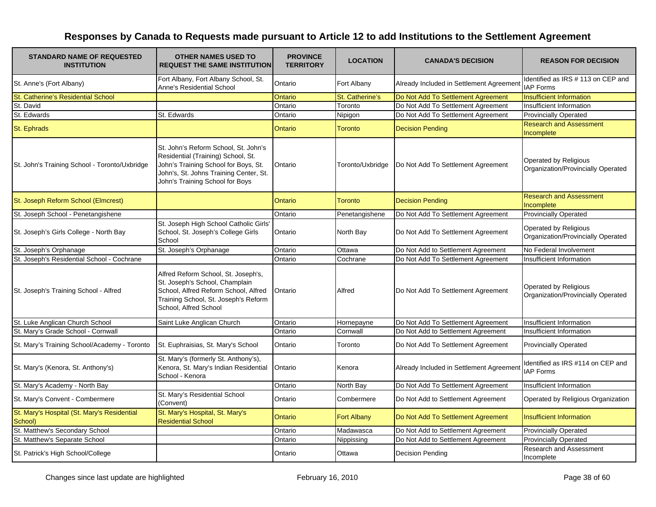| <b>STANDARD NAME OF REQUESTED</b><br><b>INSTITUTION</b> | <b>OTHER NAMES USED TO</b><br><b>REQUEST THE SAME INSTITUTION</b>                                                                                                                               | <b>PROVINCE</b><br><b>TERRITORY</b> | <b>LOCATION</b>        | <b>CANADA'S DECISION</b>                 | <b>REASON FOR DECISION</b>                                  |
|---------------------------------------------------------|-------------------------------------------------------------------------------------------------------------------------------------------------------------------------------------------------|-------------------------------------|------------------------|------------------------------------------|-------------------------------------------------------------|
| St. Anne's (Fort Albany)                                | Fort Albany, Fort Albany School, St.<br>Anne's Residential School                                                                                                                               | Ontario                             | Fort Albany            | Already Included in Settlement Agreement | Identified as IRS # 113 on CEP and<br><b>IAP Forms</b>      |
| St. Catherine's Residential School                      |                                                                                                                                                                                                 | Ontario                             | <b>St. Catherine's</b> | Do Not Add To Settlement Agreement       | <b>Insufficient Information</b>                             |
| St. David                                               |                                                                                                                                                                                                 | Ontario                             | Toronto                | Do Not Add To Settlement Agreement       | Insufficient Information                                    |
| St. Edwards                                             | St. Edwards                                                                                                                                                                                     | Ontario                             | Nipigon                | Do Not Add To Settlement Agreement       | <b>Provincially Operated</b>                                |
| <b>St. Ephrads</b>                                      |                                                                                                                                                                                                 | Ontario                             | <b>Toronto</b>         | <b>Decision Pending</b>                  | <b>Research and Assessment</b><br>Incomplete                |
| St. John's Training School - Toronto/Uxbridge           | St. John's Reform School, St. John's<br>Residential (Training) School, St.<br>John's Training School for Boys, St.<br>John's, St. Johns Training Center, St.<br>John's Training School for Boys | Ontario                             | Toronto/Uxbridge       | Do Not Add To Settlement Agreement       | Operated by Religious<br>Organization/Provincially Operated |
| St. Joseph Reform School (Elmcrest)                     |                                                                                                                                                                                                 | Ontario                             | <b>Toronto</b>         | <b>Decision Pending</b>                  | <b>Research and Assessment</b><br>Incomplete                |
| St. Joseph School - Penetangishene                      |                                                                                                                                                                                                 | Ontario                             | Penetangishene         | Do Not Add To Settlement Agreement       | <b>Provincially Operated</b>                                |
| St. Joseph's Girls College - North Bay                  | St. Joseph High School Catholic Girls'<br>School, St. Joseph's College Girls<br>School                                                                                                          | Ontario                             | North Bay              | Do Not Add To Settlement Agreement       | Operated by Religious<br>Organization/Provincially Operated |
| St. Joseph's Orphanage                                  | St. Joseph's Orphanage                                                                                                                                                                          | Ontario                             | Ottawa                 | Do Not Add to Settlement Agreement       | No Federal Involvement                                      |
| St. Joseph's Residential School - Cochrane              |                                                                                                                                                                                                 | Ontario                             | Cochrane               | Do Not Add To Settlement Agreement       | Insufficient Information                                    |
| St. Joseph's Training School - Alfred                   | Alfred Reform School, St. Joseph's,<br>St. Joseph's School, Champlain<br>School, Alfred Reform School, Alfred<br>Training School, St. Joseph's Reform<br>School, Alfred School                  | Ontario                             | Alfred                 | Do Not Add To Settlement Agreement       | Operated by Religious<br>Organization/Provincially Operated |
| St. Luke Anglican Church School                         | Saint Luke Anglican Church                                                                                                                                                                      | Ontario                             | Hornepayne             | Do Not Add To Settlement Agreement       | Insufficient Information                                    |
| St. Mary's Grade School - Cornwall                      |                                                                                                                                                                                                 | Ontario                             | Cornwall               | Do Not Add to Settlement Agreement       | Insufficient Information                                    |
| St. Mary's Training School/Academy - Toronto            | St. Euphraisias, St. Mary's School                                                                                                                                                              | Ontario                             | Toronto                | Do Not Add To Settlement Agreement       | <b>Provincially Operated</b>                                |
| St. Mary's (Kenora, St. Anthony's)                      | St. Mary's (formerly St. Anthony's),<br>Kenora, St. Mary's Indian Residential<br>School - Kenora                                                                                                | Ontario                             | Kenora                 | Already Included in Settlement Agreement | Identified as IRS #114 on CEP and<br><b>IAP Forms</b>       |
| St. Mary's Academy - North Bay                          |                                                                                                                                                                                                 | Ontario                             | North Bay              | Do Not Add To Settlement Agreement       | Insufficient Information                                    |
| St. Mary's Convent - Combermere                         | St. Mary's Residential School<br>(Convent)                                                                                                                                                      | Ontario                             | Combermere             | Do Not Add to Settlement Agreement       | Operated by Religious Organization                          |
| St. Mary's Hospital (St. Mary's Residential<br>School)  | St. Mary's Hospital, St. Mary's<br><b>Residential School</b>                                                                                                                                    | Ontario                             | <b>Fort Albany</b>     | Do Not Add To Settlement Agreement       | Insufficient Information                                    |
| St. Matthew's Secondary School                          |                                                                                                                                                                                                 | Ontario                             | Madawasca              | Do Not Add to Settlement Agreement       | <b>Provincially Operated</b>                                |
| St. Matthew's Separate School                           |                                                                                                                                                                                                 | Ontario                             | Nippissing             | Do Not Add to Settlement Agreement       | <b>Provincially Operated</b>                                |
| St. Patrick's High School/College                       |                                                                                                                                                                                                 | Ontario                             | Ottawa                 | Decision Pending                         | Research and Assessment<br>Incomplete                       |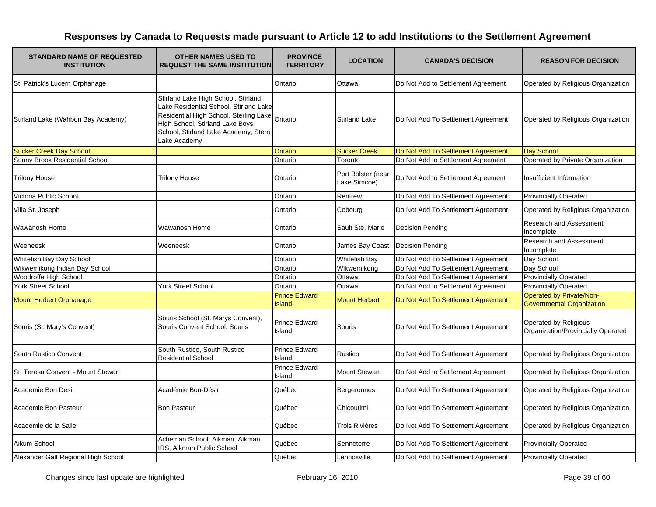| <b>STANDARD NAME OF REQUESTED</b><br><b>INSTITUTION</b> | <b>OTHER NAMES USED TO</b><br><b>REQUEST THE SAME INSTITUTION</b>                                                                                                                                                  | <b>PROVINCE</b><br><b>TERRITORY</b>   | <b>LOCATION</b>                    | <b>CANADA'S DECISION</b>           | <b>REASON FOR DECISION</b>                                   |
|---------------------------------------------------------|--------------------------------------------------------------------------------------------------------------------------------------------------------------------------------------------------------------------|---------------------------------------|------------------------------------|------------------------------------|--------------------------------------------------------------|
| St. Patrick's Lucern Orphanage                          |                                                                                                                                                                                                                    | Ontario                               | Ottawa                             | Do Not Add to Settlement Agreement | Operated by Religious Organization                           |
| Stirland Lake (Wahbon Bay Academy)                      | Stirland Lake High School, Stirland<br>Lake Residential School, Stirland Lake<br>Residential High School, Sterling Lake<br>High School, Stirland Lake Boys<br>School, Stirland Lake Academy, Stern<br>Lake Academy | Ontario                               | <b>Stirland Lake</b>               | Do Not Add To Settlement Agreement | Operated by Religious Organization                           |
| <b>Sucker Creek Day School</b>                          |                                                                                                                                                                                                                    | Ontario                               | <b>Sucker Creek</b>                | Do Not Add To Settlement Agreement | Day School                                                   |
| Sunny Brook Residential School                          |                                                                                                                                                                                                                    | Ontario                               | Toronto                            | Do Not Add to Settlement Agreement | Operated by Private Organization                             |
| <b>Trilony House</b>                                    | <b>Trilony House</b>                                                                                                                                                                                               | Ontario                               | Port Bolster (near<br>Lake Simcoe) | Do Not Add to Settlement Agreement | Insufficient Information                                     |
| Victoria Public School                                  |                                                                                                                                                                                                                    | Ontario                               | Renfrew                            | Do Not Add To Settlement Agreement | <b>Provincially Operated</b>                                 |
| Villa St. Joseph                                        |                                                                                                                                                                                                                    | Ontario                               | Cobourg                            | Do Not Add To Settlement Agreement | Operated by Religious Organization                           |
| Wawanosh Home                                           | Wawanosh Home                                                                                                                                                                                                      | Ontario                               | Sault Ste. Marie                   | <b>Decision Pending</b>            | Research and Assessment<br>Incomplete                        |
| Weeneesk                                                | Weeneesk                                                                                                                                                                                                           | Ontario                               | James Bay Coast                    | Decision Pending                   | Research and Assessment<br>Incomplete                        |
| Whitefish Bay Day School                                |                                                                                                                                                                                                                    | Ontario                               | <b>Whitefish Bay</b>               | Do Not Add To Settlement Agreement | Day School                                                   |
| Wikwemikong Indian Day School                           |                                                                                                                                                                                                                    | Ontario                               | Wikwemikong                        | Do Not Add To Settlement Agreement | Day School                                                   |
| Woodroffe High School                                   |                                                                                                                                                                                                                    | Ontario                               | Ottawa                             | Do Not Add To Settlement Agreement | <b>Provincially Operated</b>                                 |
| <b>York Street School</b>                               | <b>York Street School</b>                                                                                                                                                                                          | Ontario                               | Ottawa                             | Do Not Add to Settlement Agreement | <b>Provincially Operated</b>                                 |
| Mount Herbert Orphanage                                 |                                                                                                                                                                                                                    | <b>Prince Edward</b><br><b>Island</b> | <b>Mount Herbert</b>               | Do Not Add To Settlement Agreement | Operated by Private/Non-<br><b>Governmental Organization</b> |
| Souris (St. Mary's Convent)                             | Souris School (St. Marys Convent),<br>Souris Convent School, Souris                                                                                                                                                | <b>Prince Edward</b><br>Island        | Souris                             | Do Not Add To Settlement Agreement | Operated by Religious<br>Organization/Provincially Operated  |
| South Rustico Convent                                   | South Rustico, South Rustico<br><b>Residential School</b>                                                                                                                                                          | <b>Prince Edward</b><br>Island        | Rustico                            | Do Not Add To Settlement Agreement | Operated by Religious Organization                           |
| St. Teresa Convent - Mount Stewart                      |                                                                                                                                                                                                                    | <b>Prince Edward</b><br>Island        | <b>Mount Stewart</b>               | Do Not Add to Settlement Agreement | Operated by Religious Organization                           |
| Académie Bon Desir                                      | Académie Bon-Désir                                                                                                                                                                                                 | Québec                                | Bergeronnes                        | Do Not Add To Settlement Agreement | Operated by Religious Organization                           |
| Académie Bon Pasteur                                    | <b>Bon Pasteur</b>                                                                                                                                                                                                 | Québec                                | Chicoutimi                         | Do Not Add To Settlement Agreement | Operated by Religious Organization                           |
| Académie de la Salle                                    |                                                                                                                                                                                                                    | Québec                                | Trois Rivières                     | Do Not Add To Settlement Agreement | Operated by Religious Organization                           |
| Aikum School                                            | Acheman School, Aikman, Aikman<br>IRS, Aikman Public School                                                                                                                                                        | Québec                                | Senneterre                         | Do Not Add To Settlement Agreement | <b>Provincially Operated</b>                                 |
| Alexander Galt Regional High School                     |                                                                                                                                                                                                                    | Québec                                | Lennoxville                        | Do Not Add To Settlement Agreement | <b>Provincially Operated</b>                                 |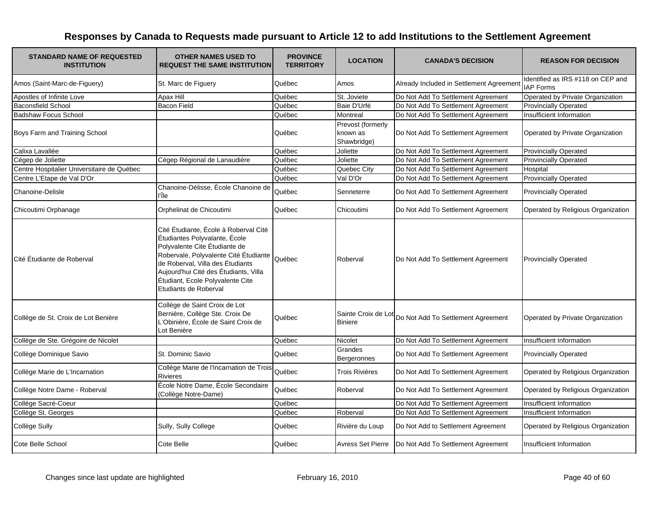| <b>STANDARD NAME OF REQUESTED</b><br><b>INSTITUTION</b> | <b>OTHER NAMES USED TO</b><br><b>REQUEST THE SAME INSTITUTION</b>                                                                                                                                                                                                                          | <b>PROVINCE</b><br><b>TERRITORY</b> | <b>LOCATION</b>                              | <b>CANADA'S DECISION</b>                               | <b>REASON FOR DECISION</b>                            |
|---------------------------------------------------------|--------------------------------------------------------------------------------------------------------------------------------------------------------------------------------------------------------------------------------------------------------------------------------------------|-------------------------------------|----------------------------------------------|--------------------------------------------------------|-------------------------------------------------------|
| Amos (Saint-Marc-de-Figuery)                            | St. Marc de Figuery                                                                                                                                                                                                                                                                        | Québec                              | Amos                                         | Already Included in Settlement Agreement               | Identified as IRS #118 on CEP and<br><b>IAP Forms</b> |
| Apostles of Infinite Love                               | Apax Hill                                                                                                                                                                                                                                                                                  | Québec                              | St. Joviete                                  | Do Not Add To Settlement Agreement                     | Operated by Private Organization                      |
| <b>Baconsfield School</b>                               | Bacon Field                                                                                                                                                                                                                                                                                | Québec                              | Baie D'Urfé                                  | Do Not Add To Settlement Agreement                     | <b>Provincially Operated</b>                          |
| <b>Badshaw Focus School</b>                             |                                                                                                                                                                                                                                                                                            | Québec                              | Montreal                                     | Do Not Add To Settlement Agreement                     | Insufficient Information                              |
| Boys Farm and Training School                           |                                                                                                                                                                                                                                                                                            | Québec                              | Prevost (formerly<br>known as<br>Shawbridge) | Do Not Add To Settlement Agreement                     | Operated by Private Organization                      |
| Calixa Lavallée                                         |                                                                                                                                                                                                                                                                                            | Québec                              | Joliette                                     | Do Not Add To Settlement Agreement                     | <b>Provincially Operated</b>                          |
| Cégep de Joliette                                       | Cégep Régional de Lanaudière                                                                                                                                                                                                                                                               | Québec                              | Joliette                                     | Do Not Add To Settlement Agreement                     | <b>Provincially Operated</b>                          |
| Centre Hospitalier Universitaire de Québec              |                                                                                                                                                                                                                                                                                            | Québec                              | Quebec City                                  | Do Not Add To Settlement Agreement                     | Hospital                                              |
| Centre L'Etape de Val D'Or                              |                                                                                                                                                                                                                                                                                            | Québec                              | Val D'Or                                     | Do Not Add To Settlement Agreement                     | <b>Provincially Operated</b>                          |
| Chanoine-Delisle                                        | Chanoine-Délisse, École Chanoine de<br>l'Île                                                                                                                                                                                                                                               | Québec                              | Senneterre                                   | Do Not Add To Settlement Agreement                     | <b>Provincially Operated</b>                          |
| Chicoutimi Orphanage                                    | Orphelinat de Chicoutimi                                                                                                                                                                                                                                                                   | Québec                              | Chicoutimi                                   | Do Not Add To Settlement Agreement                     | Operated by Religious Organization                    |
| Cité Étudiante de Roberval                              | Cité Étudiante, École à Roberval Cité<br>Étudiantes Polyvalante, École<br>Polyvalente Cite Étudiante de<br>Robervale, Polyvalente Cité Étudiante<br>de Roberval, Villa des Étudiants<br>Aujourd'hui Cité des Étudiants, Villa<br>Étudiant, Ecole Polyvalente Cite<br>Etudiants de Roberval | Québec                              | Roberval                                     | Do Not Add To Settlement Agreement                     | <b>Provincially Operated</b>                          |
| Collège de St. Croix de Lot Benière                     | Collège de Saint Croix de Lot<br>Bernière, Collège Ste. Croix De<br>L'Obinière, École de Saint Croix de<br>Lot Benière                                                                                                                                                                     | Québec                              |                                              | Sainte Croix de Lot Do Not Add To Settlement Agreement | Operated by Private Organization                      |
| Collège de Ste. Grégoire de Nicolet                     |                                                                                                                                                                                                                                                                                            | Québec                              | Nicolet                                      | Do Not Add To Settlement Agreement                     | Insufficient Information                              |
| Collège Dominique Savio                                 | St. Dominic Savio                                                                                                                                                                                                                                                                          | Québec                              | Grandes<br>Bergeronnes                       | Do Not Add To Settlement Agreement                     | <b>Provincially Operated</b>                          |
| Collège Marie de L'Incarnation                          | Collège Marie de l'Incarnation de Trois-<br><b>Rivieres</b>                                                                                                                                                                                                                                | Québec                              | Trois Rivières                               | Do Not Add To Settlement Agreement                     | Operated by Religious Organization                    |
| Collège Notre Dame - Roberval                           | École Notre Dame, École Secondaire<br>(Collège Notre-Dame)                                                                                                                                                                                                                                 | Québec                              | Roberval                                     | Do Not Add To Settlement Agreement                     | Operated by Religious Organization                    |
| Collège Sacré-Coeur                                     |                                                                                                                                                                                                                                                                                            | Québec                              |                                              | Do Not Add To Settlement Agreement                     | Insufficient Information                              |
| Collège St. Georges                                     |                                                                                                                                                                                                                                                                                            | Québec                              | Roberval                                     | Do Not Add To Settlement Agreement                     | Insufficient Information                              |
| Collège Sully                                           | Sully, Sully College                                                                                                                                                                                                                                                                       | Québec                              | Rivière du Loup                              | Do Not Add to Settlement Agreement                     | Operated by Religious Organization                    |
| Cote Belle School                                       | Cote Belle                                                                                                                                                                                                                                                                                 | Québec                              | <b>Avress Set Pierre</b>                     | Do Not Add To Settlement Agreement                     | Insufficient Information                              |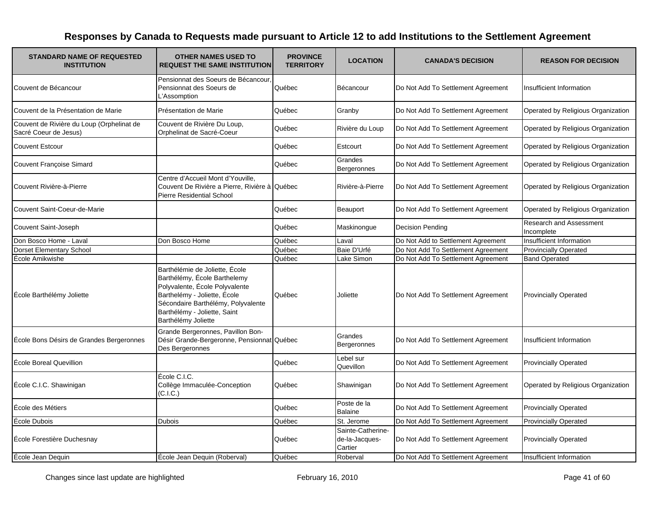| <b>STANDARD NAME OF REQUESTED</b><br><b>INSTITUTION</b>            | <b>OTHER NAMES USED TO</b><br><b>REQUEST THE SAME INSTITUTION</b>                                                                                                                                                             | <b>PROVINCE</b><br><b>TERRITORY</b> | <b>LOCATION</b>                                | <b>CANADA'S DECISION</b>           | <b>REASON FOR DECISION</b>            |
|--------------------------------------------------------------------|-------------------------------------------------------------------------------------------------------------------------------------------------------------------------------------------------------------------------------|-------------------------------------|------------------------------------------------|------------------------------------|---------------------------------------|
| Couvent de Bécancour                                               | Pensionnat des Soeurs de Bécancour<br>Pensionnat des Soeurs de<br>L'Assomption                                                                                                                                                | Québec                              | Bécancour                                      | Do Not Add To Settlement Agreement | Insufficient Information              |
| Couvent de la Présentation de Marie                                | Présentation de Marie                                                                                                                                                                                                         | Québec                              | Granby                                         | Do Not Add To Settlement Agreement | Operated by Religious Organization    |
| Couvent de Rivière du Loup (Orphelinat de<br>Sacré Coeur de Jesus) | Couvent de Rivière Du Loup,<br>Orphelinat de Sacré-Coeur                                                                                                                                                                      | Québec                              | Rivière du Loup                                | Do Not Add To Settlement Agreement | Operated by Religious Organization    |
| <b>Couvent Estcour</b>                                             |                                                                                                                                                                                                                               | Québec                              | Estcourt                                       | Do Not Add To Settlement Agreement | Operated by Religious Organization    |
| <b>Couvent Françoise Simard</b>                                    |                                                                                                                                                                                                                               | Québec                              | Grandes<br>Bergeronnes                         | Do Not Add To Settlement Agreement | Operated by Religious Organization    |
| Couvent Rivière-à-Pierre                                           | Centre d'Accueil Mont d'Youville,<br>Couvent De Rivière a Pierre, Rivière à Québec<br><b>Pierre Residential School</b>                                                                                                        |                                     | Rivière-à-Pierre                               | Do Not Add To Settlement Agreement | Operated by Religious Organization    |
| Couvent Saint-Coeur-de-Marie                                       |                                                                                                                                                                                                                               | Québec                              | Beauport                                       | Do Not Add To Settlement Agreement | Operated by Religious Organization    |
| Couvent Saint-Joseph                                               |                                                                                                                                                                                                                               | Québec                              | Maskinonque                                    | Decision Pending                   | Research and Assessment<br>Incomplete |
| Don Bosco Home - Laval                                             | Don Bosco Home                                                                                                                                                                                                                | Québec                              | Laval                                          | Do Not Add to Settlement Agreement | Insufficient Information              |
| <b>Dorset Elementary School</b>                                    |                                                                                                                                                                                                                               | Québec                              | Baie D'Urfé                                    | Do Not Add To Settlement Agreement | <b>Provincially Operated</b>          |
| École Amikwishe                                                    |                                                                                                                                                                                                                               | Québec                              | Lake Simon                                     | Do Not Add To Settlement Agreement | <b>Band Operated</b>                  |
| École Barthélémy Joliette                                          | Barthélémie de Joliette, École<br>Barthélémy, École Barthelemy<br>Polyvalente, École Polyvalente<br>Barthelémy - Joliette, École<br>Sécondaire Barthélémy, Polyvalente<br>Barthélémy - Joliette, Saint<br>Barthélémy Joliette | Québec                              | Joliette                                       | Do Not Add To Settlement Agreement | <b>Provincially Operated</b>          |
| École Bons Désirs de Grandes Bergeronnes                           | Grande Bergeronnes, Pavillon Bon-<br>Désir Grande-Bergeronne, Pensionnat Québec<br>Des Bergeronnes                                                                                                                            |                                     | Grandes<br>Bergeronnes                         | Do Not Add To Settlement Agreement | Insufficient Information              |
| École Boreal Quevillion                                            |                                                                                                                                                                                                                               | Québec                              | Lebel sur<br>Quevillon                         | Do Not Add To Settlement Agreement | <b>Provincially Operated</b>          |
| École C.I.C. Shawinigan                                            | École C.I.C.<br>Collège Immaculée-Conception<br>(C.I.C.)                                                                                                                                                                      | Québec                              | Shawinigan                                     | Do Not Add To Settlement Agreement | Operated by Religious Organization    |
| École des Métiers                                                  |                                                                                                                                                                                                                               | Québec                              | Poste de la<br><b>Balaine</b>                  | Do Not Add To Settlement Agreement | <b>Provincially Operated</b>          |
| École Dubois                                                       | <b>Dubois</b>                                                                                                                                                                                                                 | Québec                              | St. Jerome                                     | Do Not Add To Settlement Agreement | <b>Provincially Operated</b>          |
| École Forestière Duchesnay                                         |                                                                                                                                                                                                                               | Québec                              | Sainte-Catherine-<br>de-la-Jacques-<br>Cartier | Do Not Add To Settlement Agreement | <b>Provincially Operated</b>          |
| École Jean Dequin                                                  | École Jean Dequin (Roberval)                                                                                                                                                                                                  | Québec                              | Roberval                                       | Do Not Add To Settlement Agreement | Insufficient Information              |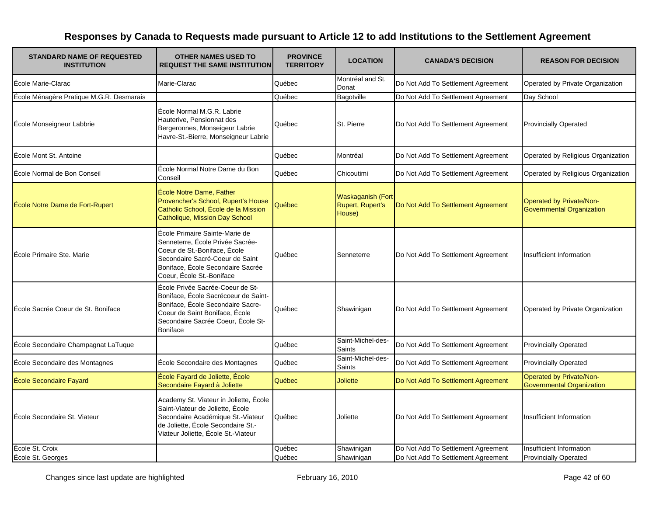| <b>STANDARD NAME OF REQUESTED</b><br><b>INSTITUTION</b> | <b>OTHER NAMES USED TO</b><br><b>REQUEST THE SAME INSTITUTION</b>                                                                                                                                       | <b>PROVINCE</b><br><b>TERRITORY</b> | <b>LOCATION</b>                                               | <b>CANADA'S DECISION</b>           | <b>REASON FOR DECISION</b>                                          |
|---------------------------------------------------------|---------------------------------------------------------------------------------------------------------------------------------------------------------------------------------------------------------|-------------------------------------|---------------------------------------------------------------|------------------------------------|---------------------------------------------------------------------|
| École Marie-Clarac                                      | Marie-Clarac                                                                                                                                                                                            | Québec                              | Montréal and St.<br>Donat                                     | Do Not Add To Settlement Agreement | Operated by Private Organization                                    |
| École Ménagère Pratique M.G.R. Desmarais                |                                                                                                                                                                                                         | Québec                              | Bagotville                                                    | Do Not Add To Settlement Agreement | Day School                                                          |
| École Monseigneur Labbrie                               | École Normal M.G.R. Labrie<br>Hauterive, Pensionnat des<br>Bergeronnes, Monseigeur Labrie<br>Havre-St.-Bierre, Monseigneur Labrie                                                                       | Québec                              | St. Pierre                                                    | Do Not Add To Settlement Agreement | <b>Provincially Operated</b>                                        |
| École Mont St. Antoine                                  |                                                                                                                                                                                                         | Québec                              | Montréal                                                      | Do Not Add To Settlement Agreement | Operated by Religious Organization                                  |
| École Normal de Bon Conseil                             | École Normal Notre Dame du Bon<br>Conseil                                                                                                                                                               | Québec                              | Chicoutimi                                                    | Do Not Add To Settlement Agreement | Operated by Religious Organization                                  |
| École Notre Dame de Fort-Rupert                         | École Notre Dame, Father<br>Provencher's School, Rupert's House<br>Catholic School, École de la Mission<br>Catholique, Mission Day School                                                               | Québec                              | <b>Waskaganish (Fort</b><br><b>Rupert, Rupert's</b><br>House) | Do Not Add To Settlement Agreement | <b>Operated by Private/Non-</b><br><b>Governmental Organization</b> |
| <b>École Primaire Ste. Marie</b>                        | École Primaire Sainte-Marie de<br>Senneterre, École Privée Sacrée-<br>Coeur de St.-Boniface, École<br>Secondaire Sacré-Coeur de Saint<br>Boniface, École Secondaire Sacrée<br>Coeur, École St.-Boniface | Québec                              | Senneterre                                                    | Do Not Add To Settlement Agreement | Insufficient Information                                            |
| École Sacrée Coeur de St. Boniface                      | École Privée Sacrée-Coeur de St-<br>Boniface, École Sacrécoeur de Saint-<br>Boniface, École Secondaire Sacre-<br>Coeur de Saint Boniface, École<br>Secondaire Sacrée Coeur, École St-<br>Boniface       | Québec                              | Shawinigan                                                    | Do Not Add To Settlement Agreement | Operated by Private Organization                                    |
| École Secondaire Champagnat LaTuque                     |                                                                                                                                                                                                         | Québec                              | Saint-Michel-des-<br><b>Saints</b>                            | Do Not Add To Settlement Agreement | <b>Provincially Operated</b>                                        |
| École Secondaire des Montagnes                          | École Secondaire des Montagnes                                                                                                                                                                          | Québec                              | Saint-Michel-des-<br><b>Saints</b>                            | Do Not Add To Settlement Agreement | <b>Provincially Operated</b>                                        |
| <b>Ecole Secondaire Fayard</b>                          | École Fayard de Joliette, École<br>Secondaire Fayard à Joliette                                                                                                                                         | Québec                              | Joliette                                                      | Do Not Add To Settlement Agreement | <b>Operated by Private/Non-</b><br><b>Governmental Organization</b> |
| École Secondaire St. Viateur                            | Academy St. Viateur in Joliette, École<br>Saint-Viateur de Joliette, École<br>Secondaire Académique St.-Viateur<br>de Joliette, École Secondaire St.-<br>Viateur Joliette, École St.-Viateur            | Québec                              | Joliette                                                      | Do Not Add To Settlement Agreement | Insufficient Information                                            |
| École St. Croix                                         |                                                                                                                                                                                                         | Québec                              | Shawinigan                                                    | Do Not Add To Settlement Agreement | Insufficient Information                                            |
| École St. Georges                                       |                                                                                                                                                                                                         | Québec                              | Shawinigan                                                    | Do Not Add To Settlement Agreement | <b>Provincially Operated</b>                                        |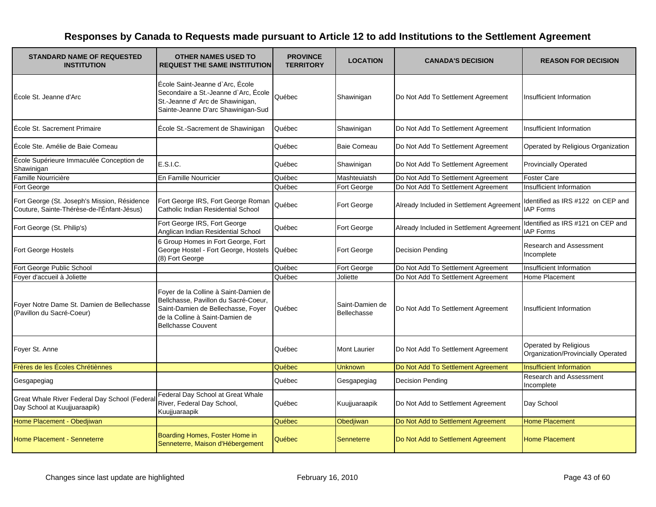| <b>STANDARD NAME OF REQUESTED</b><br><b>INSTITUTION</b>                                    | <b>OTHER NAMES USED TO</b><br><b>REQUEST THE SAME INSTITUTION</b>                                                                                                                   | <b>PROVINCE</b><br><b>TERRITORY</b> | <b>LOCATION</b>                | <b>CANADA'S DECISION</b>                 | <b>REASON FOR DECISION</b>                                  |
|--------------------------------------------------------------------------------------------|-------------------------------------------------------------------------------------------------------------------------------------------------------------------------------------|-------------------------------------|--------------------------------|------------------------------------------|-------------------------------------------------------------|
| École St. Jeanne d'Arc                                                                     | École Saint-Jeanne d'Arc, École<br>Secondaire a St.-Jeanne d'Arc, École<br>St.-Jeanne d' Arc de Shawinigan,<br>Sainte-Jeanne D'arc Shawinigan-Sud                                   | Québec                              | Shawinigan                     | Do Not Add To Settlement Agreement       | Insufficient Information                                    |
| École St. Sacrement Primaire                                                               | École St.-Sacrement de Shawinigan                                                                                                                                                   | Québec                              | Shawinigan                     | Do Not Add To Settlement Agreement       | Insufficient Information                                    |
| École Ste. Amélie de Baie Comeau                                                           |                                                                                                                                                                                     | Québec                              | Baie Comeau                    | Do Not Add To Settlement Agreement       | Operated by Religious Organization                          |
| École Supérieure Immaculée Conception de<br>Shawinigan                                     | E.S.I.C.                                                                                                                                                                            | Québec                              | Shawinigan                     | Do Not Add To Settlement Agreement       | <b>Provincially Operated</b>                                |
| Famille Nourricière                                                                        | En Famille Nourricier                                                                                                                                                               | Québec                              | Mashteuiatsh                   | Do Not Add To Settlement Agreement       | <b>Foster Care</b>                                          |
| Fort George                                                                                |                                                                                                                                                                                     | Québec                              | Fort George                    | Do Not Add To Settlement Agreement       | Insufficient Information                                    |
| Fort George (St. Joseph's Mission, Résidence<br>Couture, Sainte-Thérèse-de-l'Énfant-Jésus) | Fort George IRS, Fort George Roman<br>Catholic Indian Residential School                                                                                                            | Québec                              | Fort George                    | Already Included in Settlement Agreement | Identified as IRS #122 on CEP and<br><b>IAP Forms</b>       |
| Fort George (St. Philip's)                                                                 | Fort George IRS, Fort George<br>Anglican Indian Residential School                                                                                                                  | Québec                              | Fort George                    | Already Included in Settlement Agreement | Identified as IRS #121 on CEP and<br><b>IAP Forms</b>       |
| Fort George Hostels                                                                        | 6 Group Homes in Fort George, Fort<br>George Hostel - Fort George, Hostels<br>(8) Fort George                                                                                       | Québec                              | Fort George                    | <b>Decision Pending</b>                  | <b>Research and Assessment</b><br>Incomplete                |
| Fort George Public School                                                                  |                                                                                                                                                                                     | Québec                              | Fort George                    | Do Not Add To Settlement Agreement       | Insufficient Information                                    |
| Foyer d'accueil à Joliette                                                                 |                                                                                                                                                                                     | Québec                              | Joliette                       | Do Not Add To Settlement Agreement       | Home Placement                                              |
| Foyer Notre Dame St. Damien de Bellechasse<br>(Pavillon du Sacré-Coeur)                    | Foyer de la Colline à Saint-Damien de<br>Bellchasse, Pavillon du Sacré-Coeur,<br>Saint-Damien de Bellechasse, Foyer<br>de la Colline à Saint-Damien de<br><b>Bellchasse Couvent</b> | Québec                              | Saint-Damien de<br>Bellechasse | Do Not Add To Settlement Agreement       | Insufficient Information                                    |
| Foyer St. Anne                                                                             |                                                                                                                                                                                     | Québec                              | <b>Mont Laurier</b>            | Do Not Add To Settlement Agreement       | Operated by Religious<br>Organization/Provincially Operated |
| Frères de les Écoles Chrétiènnes                                                           |                                                                                                                                                                                     | Québec                              | <b>Unknown</b>                 | Do Not Add To Settlement Agreement       | <b>Insufficient Information</b>                             |
| Gesgapegiag                                                                                |                                                                                                                                                                                     | Québec                              | Gesgapegiag                    | <b>Decision Pending</b>                  | Research and Assessment<br>Incomplete                       |
| Great Whale River Federal Day School (Federal<br>Day School at Kuujjuaraapik)              | Federal Day School at Great Whale<br>River, Federal Day School,<br>Kuujjuaraapik                                                                                                    | Québec                              | Kuujjuaraapik                  | Do Not Add to Settlement Agreement       | Day School                                                  |
| Home Placement - Obedjiwan                                                                 |                                                                                                                                                                                     | Québec                              | Obedjiwan                      | Do Not Add to Settlement Agreement       | <b>Home Placement</b>                                       |
| Home Placement - Senneterre                                                                | Boarding Homes, Foster Home in<br>Senneterre, Maison d'Hébergement                                                                                                                  | Québec                              | Senneterre                     | Do Not Add to Settlement Agreement       | <b>Home Placement</b>                                       |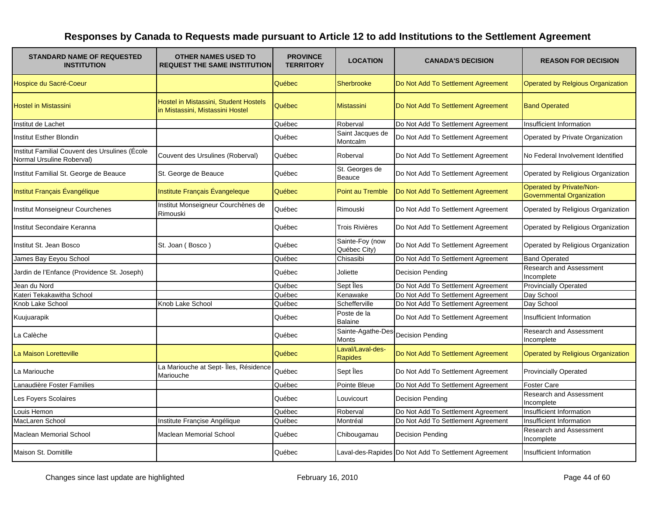| <b>STANDARD NAME OF REQUESTED</b><br><b>INSTITUTION</b>                     | <b>OTHER NAMES USED TO</b><br><b>REQUEST THE SAME INSTITUTION</b>         | <b>PROVINCE</b><br><b>TERRITORY</b> | <b>LOCATION</b>                  | <b>CANADA'S DECISION</b>                             | <b>REASON FOR DECISION</b>                                          |
|-----------------------------------------------------------------------------|---------------------------------------------------------------------------|-------------------------------------|----------------------------------|------------------------------------------------------|---------------------------------------------------------------------|
| Hospice du Sacré-Coeur                                                      |                                                                           | Québec                              | Sherbrooke                       | Do Not Add To Settlement Agreement                   | <b>Operated by Relgious Organization</b>                            |
| <b>Hostel in Mistassini</b>                                                 | Hostel in Mistassini, Student Hostels<br>in Mistassini, Mistassini Hostel | Québec                              | <b>Mistassini</b>                | Do Not Add To Settlement Agreement                   | <b>Band Operated</b>                                                |
| Institut de Lachet                                                          |                                                                           | Québec                              | Roberval                         | Do Not Add To Settlement Agreement                   | <b>Insufficient Information</b>                                     |
| Institut Esther Blondin                                                     |                                                                           | Québec                              | Saint Jacques de<br>Montcalm     | Do Not Add To Settlement Agreement                   | Operated by Private Organization                                    |
| Institut Familial Couvent des Ursulines (École<br>Normal Ursuline Roberval) | Couvent des Ursulines (Roberval)                                          | Québec                              | Roberval                         | Do Not Add To Settlement Agreement                   | No Federal Involvement Identified                                   |
| Institut Familial St. George de Beauce                                      | St. George de Beauce                                                      | Québec                              | St. Georges de<br>Beauce         | Do Not Add To Settlement Agreement                   | Operated by Religious Organization                                  |
| Institut Français Évangélique                                               | Institute Français Évangeleque                                            | Québec                              | Point au Tremble                 | Do Not Add To Settlement Agreement                   | <b>Operated by Private/Non-</b><br><b>Governmental Organization</b> |
| Institut Monseigneur Courchenes                                             | Institut Monseigneur Courchènes de<br>Rimouski                            | Québec                              | Rimouski                         | Do Not Add To Settlement Agreement                   | Operated by Religious Organization                                  |
| Institut Secondaire Keranna                                                 |                                                                           | Québec                              | Trois Rivières                   | Do Not Add To Settlement Agreement                   | Operated by Religious Organization                                  |
| Institut St. Jean Bosco                                                     | St. Joan (Bosco)                                                          | Québec                              | Sainte-Foy (now<br>Québec City)  | Do Not Add To Settlement Agreement                   | Operated by Religious Organization                                  |
| James Bay Eeyou School                                                      |                                                                           | Québec                              | Chisasibi                        | Do Not Add To Settlement Agreement                   | <b>Band Operated</b>                                                |
| Jardin de l'Enfance (Providence St. Joseph)                                 |                                                                           | Québec                              | Joliette                         | <b>Decision Pending</b>                              | Research and Assessment<br>Incomplete                               |
| Jean du Nord                                                                |                                                                           | Québec                              | Sept lles                        | Do Not Add To Settlement Agreement                   | <b>Provincially Operated</b>                                        |
| Kateri Tekakawitha School                                                   |                                                                           | Québec                              | Kenawake                         | Do Not Add To Settlement Agreement                   | Day School                                                          |
| Knob Lake School                                                            | Knob Lake School                                                          | Québec                              | Schefferville                    | Do Not Add To Settlement Agreement                   | Day School                                                          |
| Kuujuarapik                                                                 |                                                                           | Québec                              | Poste de la<br><b>Balaine</b>    | Do Not Add To Settlement Agreement                   | Insufficient Information                                            |
| La Calèche                                                                  |                                                                           | Québec                              | Sainte-Agathe-De<br><b>Monts</b> | <b>Decision Pending</b>                              | Research and Assessment<br>Incomplete                               |
| La Maison Loretteville                                                      |                                                                           | Québec                              | Laval/Laval-des-<br>Rapides      | Do Not Add To Settlement Agreement                   | <b>Operated by Religious Organization</b>                           |
| La Mariouche                                                                | La Mariouche at Sept- Îles, Résidence<br>Mariouche                        | Québec                              | Sept Îles                        | Do Not Add To Settlement Agreement                   | <b>Provincially Operated</b>                                        |
| Lanaudière Foster Families                                                  |                                                                           | Québec                              | Pointe Bleue                     | Do Not Add To Settlement Agreement                   | <b>Foster Care</b>                                                  |
| Les Foyers Scolaires                                                        |                                                                           | Québec                              | Louvicourt                       | <b>Decision Pending</b>                              | <b>Research and Assessment</b><br>Incomplete                        |
| Louis Hemon                                                                 |                                                                           | Québec                              | Roberval                         | Do Not Add To Settlement Agreement                   | Insufficient Information                                            |
| MacLaren School                                                             | Institute Francise Angélique                                              | Québec                              | Montréal                         | Do Not Add To Settlement Agreement                   | Insufficient Information                                            |
| <b>Maclean Memorial School</b>                                              | <b>Maclean Memorial School</b>                                            | Québec                              | Chibougamau                      | <b>Decision Pending</b>                              | Research and Assessment<br>Incomplete                               |
| Maison St. Domitille                                                        |                                                                           | Québec                              |                                  | Laval-des-Rapides Do Not Add To Settlement Agreement | Insufficient Information                                            |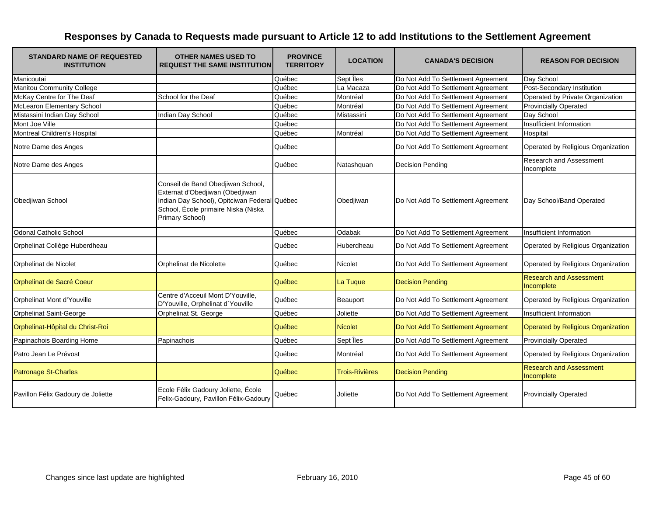| <b>STANDARD NAME OF REQUESTED</b><br><b>INSTITUTION</b> | <b>OTHER NAMES USED TO</b><br><b>REQUEST THE SAME INSTITUTION</b>                                                                                                              | <b>PROVINCE</b><br><b>TERRITORY</b> | <b>LOCATION</b>       | <b>CANADA'S DECISION</b>           | <b>REASON FOR DECISION</b>                   |
|---------------------------------------------------------|--------------------------------------------------------------------------------------------------------------------------------------------------------------------------------|-------------------------------------|-----------------------|------------------------------------|----------------------------------------------|
| Manicoutai                                              |                                                                                                                                                                                | Québec                              | Sept lles             | Do Not Add To Settlement Agreement | Day School                                   |
| Manitou Community College                               |                                                                                                                                                                                | Québec                              | La Macaza             | Do Not Add To Settlement Agreement | Post-Secondary Institution                   |
| McKay Centre for The Deaf                               | School for the Deaf                                                                                                                                                            | Québec                              | Montréal              | Do Not Add To Settlement Agreement | Operated by Private Organization             |
| <b>McLearon Elementary School</b>                       |                                                                                                                                                                                | Québec                              | Montréal              | Do Not Add To Settlement Agreement | <b>Provincially Operated</b>                 |
| Mistassini Indian Day School                            | Indian Day School                                                                                                                                                              | Québec                              | Mistassini            | Do Not Add To Settlement Agreement | Day School                                   |
| Mont Joe Ville                                          |                                                                                                                                                                                | Québec                              |                       | Do Not Add To Settlement Agreement | Insufficient Information                     |
| Montreal Children's Hospital                            |                                                                                                                                                                                | Québec                              | Montréal              | Do Not Add To Settlement Agreement | Hospital                                     |
| Notre Dame des Anges                                    |                                                                                                                                                                                | Québec                              |                       | Do Not Add To Settlement Agreement | Operated by Religious Organization           |
| Notre Dame des Anges                                    |                                                                                                                                                                                | Québec                              | Natashquan            | <b>Decision Pending</b>            | Research and Assessment<br>Incomplete        |
| Obedjiwan School                                        | Conseil de Band Obedjiwan School,<br>Externat d'Obedjiwan (Obedjiwan<br>Indian Day School), Opitciwan Federal Québec<br>School, École primaire Niska (Niska<br>Primary School) |                                     | Obedjiwan             | Do Not Add To Settlement Agreement | Day School/Band Operated                     |
| <b>Odonal Catholic School</b>                           |                                                                                                                                                                                | Québec                              | Odabak                | Do Not Add To Settlement Agreement | Insufficient Information                     |
| Orphelinat Collège Huberdheau                           |                                                                                                                                                                                | Québec                              | Huberdheau            | Do Not Add To Settlement Agreement | Operated by Religious Organization           |
| Orphelinat de Nicolet                                   | Orphelinat de Nicolette                                                                                                                                                        | Québec                              | <b>Nicolet</b>        | Do Not Add To Settlement Agreement | Operated by Religious Organization           |
| Orphelinat de Sacré Coeur                               |                                                                                                                                                                                | Québec                              | La Tuque              | <b>Decision Pending</b>            | <b>Research and Assessment</b><br>Incomplete |
| Orphelinat Mont d'Youville                              | Centre d'Acceuil Mont D'Youville,<br>D'Youville, Orphelinat d'Youville                                                                                                         | Québec                              | Beauport              | Do Not Add To Settlement Agreement | Operated by Religious Organization           |
| <b>Orphelinat Saint-George</b>                          | Orphelinat St. George                                                                                                                                                          | Québec                              | Joliette              | Do Not Add To Settlement Agreement | Insufficient Information                     |
| Orphelinat-Hôpital du Christ-Roi                        |                                                                                                                                                                                | Québec                              | <b>Nicolet</b>        | Do Not Add To Settlement Agreement | Operated by Religious Organization           |
| Papinachois Boarding Home                               | Papinachois                                                                                                                                                                    | Québec                              | Sept lles             | Do Not Add To Settlement Agreement | <b>Provincially Operated</b>                 |
| Patro Jean Le Prévost                                   |                                                                                                                                                                                | Québec                              | Montréal              | Do Not Add To Settlement Agreement | Operated by Religious Organization           |
| <b>Patronage St-Charles</b>                             |                                                                                                                                                                                | Québec                              | <b>Trois-Rivières</b> | <b>Decision Pending</b>            | <b>Research and Assessment</b><br>Incomplete |
| Pavillon Félix Gadoury de Joliette                      | Ecole Félix Gadoury Joliette, École<br>Felix-Gadoury, Pavillon Félix-Gadoury                                                                                                   | Québec                              | Joliette              | Do Not Add To Settlement Agreement | <b>Provincially Operated</b>                 |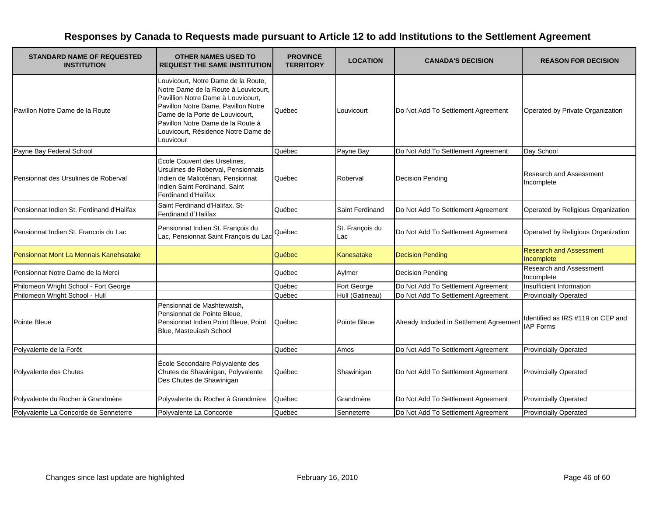| <b>STANDARD NAME OF REQUESTED</b><br><b>INSTITUTION</b> | <b>OTHER NAMES USED TO</b><br><b>REQUEST THE SAME INSTITUTION</b>                                                                                                                                                                                                                    | <b>PROVINCE</b><br><b>TERRITORY</b> | <b>LOCATION</b>        | <b>CANADA'S DECISION</b>                 | <b>REASON FOR DECISION</b>                            |
|---------------------------------------------------------|--------------------------------------------------------------------------------------------------------------------------------------------------------------------------------------------------------------------------------------------------------------------------------------|-------------------------------------|------------------------|------------------------------------------|-------------------------------------------------------|
| Pavillon Notre Dame de la Route                         | Louvicourt, Notre Dame de la Route,<br>Notre Dame de la Route à Louvicourt.<br>Pavillion Notre Dame à Louvicourt,<br>Pavillon Notre Dame, Pavillon Notre<br>Dame de la Porte de Louvicourt,<br>Pavillon Notre Dame de la Route à<br>Louvicourt, Résidence Notre Dame de<br>Louvicour | Québec                              | Louvicourt             | Do Not Add To Settlement Agreement       | Operated by Private Organization                      |
| Payne Bay Federal School                                |                                                                                                                                                                                                                                                                                      | Québec                              | Payne Bay              | Do Not Add To Settlement Agreement       | Day School                                            |
| Pensionnat des Ursulines de Roberval                    | École Couvent des Urselines,<br>Ursulines de Roberval, Pensionnats<br>Indien de Malioténan, Pensionnat<br>Indien Saint Ferdinand, Saint<br>Ferdinand d'Halifax                                                                                                                       | Québec                              | Roberval               | <b>Decision Pending</b>                  | <b>Research and Assessment</b><br>Incomplete          |
| Pensionnat Indien St. Ferdinand d'Halifax               | Saint Ferdinand d'Halifax, St-<br>Ferdinand d'Halifax                                                                                                                                                                                                                                | Québec                              | Saint Ferdinand        | Do Not Add To Settlement Agreement       | Operated by Religious Organization                    |
| Pensionnat Indien St. Francois du Lac                   | Pensionnat Indien St. François du<br>Lac, Pensionnat Saint François du Lac                                                                                                                                                                                                           | Québec                              | St. François du<br>Lac | Do Not Add To Settlement Agreement       | Operated by Religious Organization                    |
| Pensionnat Mont La Mennais Kanehsatake                  |                                                                                                                                                                                                                                                                                      | Québec                              | Kanesatake             | <b>Decision Pending</b>                  | <b>Research and Assessment</b><br>Incomplete          |
| Pensionnat Notre Dame de la Merci                       |                                                                                                                                                                                                                                                                                      | Québec                              | Aylmer                 | <b>Decision Pending</b>                  | <b>Research and Assessment</b><br>Incomplete          |
| Philomeon Wright School - Fort George                   |                                                                                                                                                                                                                                                                                      | Québec                              | Fort George            | Do Not Add To Settlement Agreement       | Insufficient Information                              |
| Philomeon Wright School - Hull                          |                                                                                                                                                                                                                                                                                      | Québec                              | Hull (Gatineau)        | Do Not Add To Settlement Agreement       | <b>Provincially Operated</b>                          |
| <b>Pointe Bleue</b>                                     | Pensionnat de Mashtewatsh,<br>Pensionnat de Pointe Bleue,<br>Pensionnat Indien Point Bleue, Point<br>Blue, Masteuiash School                                                                                                                                                         | Québec                              | Pointe Bleue           | Already Included in Settlement Agreement | ldentified as IRS #119 on CEP and<br><b>IAP Forms</b> |
| Polyvalente de la Forêt                                 |                                                                                                                                                                                                                                                                                      | Québec                              | Amos                   | Do Not Add To Settlement Agreement       | <b>Provincially Operated</b>                          |
| Polyvalente des Chutes                                  | École Secondaire Polyvalente des<br>Chutes de Shawinigan, Polyvalente<br>Des Chutes de Shawinigan                                                                                                                                                                                    | Québec                              | Shawinigan             | Do Not Add To Settlement Agreement       | <b>Provincially Operated</b>                          |
| Polyvalente du Rocher à Grandmère                       | Polyvalente du Rocher à Grandmère                                                                                                                                                                                                                                                    | Québec                              | Grandmère              | Do Not Add To Settlement Agreement       | <b>Provincially Operated</b>                          |
| Polyvalente La Concorde de Senneterre                   | Polyvalente La Concorde                                                                                                                                                                                                                                                              | Québec                              | Senneterre             | Do Not Add To Settlement Agreement       | <b>Provincially Operated</b>                          |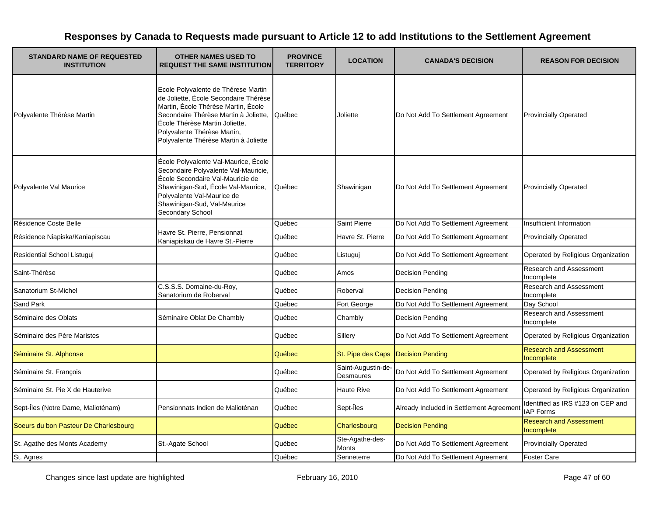| <b>STANDARD NAME OF REQUESTED</b><br><b>INSTITUTION</b> | <b>OTHER NAMES USED TO</b><br><b>REQUEST THE SAME INSTITUTION</b>                                                                                                                                                                                                      | <b>PROVINCE</b><br><b>TERRITORY</b> | <b>LOCATION</b>                | <b>CANADA'S DECISION</b>                 | <b>REASON FOR DECISION</b>                            |
|---------------------------------------------------------|------------------------------------------------------------------------------------------------------------------------------------------------------------------------------------------------------------------------------------------------------------------------|-------------------------------------|--------------------------------|------------------------------------------|-------------------------------------------------------|
| Polyvalente Thérèse Martin                              | Ecole Polyvalente de Thérese Martin<br>de Joliette, École Secondaire Thérèse<br>Martin, École Thérèse Martin, École<br>Secondaire Thérèse Martin à Joliette,<br>École Thérèse Martin Joliette,<br>Polyvalente Thérèse Martin,<br>Polyvalente Thérèse Martin à Joliette | Québec                              | Joliette                       | Do Not Add To Settlement Agreement       | <b>Provincially Operated</b>                          |
| Polyvalente Val Maurice                                 | École Polyvalente Val-Maurice, École<br>Secondaire Polyvalente Val-Mauricie,<br>École Secondaire Val-Mauricie de<br>Shawinigan-Sud, École Val-Maurice,<br>Polyvalente Val-Maurice de<br>Shawinigan-Sud, Val-Maurice<br>Secondary School                                | Québec                              | Shawinigan                     | Do Not Add To Settlement Agreement       | <b>Provincially Operated</b>                          |
| Résidence Coste Belle                                   |                                                                                                                                                                                                                                                                        | Québec                              | <b>Saint Pierre</b>            | Do Not Add To Settlement Agreement       | Insufficient Information                              |
| Résidence Niapiska/Kaniapiscau                          | Havre St. Pierre, Pensionnat<br>Kaniapiskau de Havre St.-Pierre                                                                                                                                                                                                        | Québec                              | Havre St. Pierre               | Do Not Add To Settlement Agreement       | <b>Provincially Operated</b>                          |
| Residential School Listuguj                             |                                                                                                                                                                                                                                                                        | Québec                              | Listuguj                       | Do Not Add To Settlement Agreement       | Operated by Religious Organization                    |
| Saint-Thérèse                                           |                                                                                                                                                                                                                                                                        | Québec                              | Amos                           | <b>Decision Pending</b>                  | Research and Assessment<br>Incomplete                 |
| Sanatorium St-Michel                                    | C.S.S.S. Domaine-du-Roy,<br>Sanatorium de Roberval                                                                                                                                                                                                                     | Québec                              | Roberval                       | <b>Decision Pending</b>                  | Research and Assessment<br>Incomplete                 |
| Sand Park                                               |                                                                                                                                                                                                                                                                        | Québec                              | Fort George                    | Do Not Add To Settlement Agreement       | Day School                                            |
| Séminaire des Oblats                                    | Séminaire Oblat De Chambly                                                                                                                                                                                                                                             | Québec                              | Chambly                        | <b>Decision Pending</b>                  | <b>Research and Assessment</b><br>Incomplete          |
| Séminaire des Père Maristes                             |                                                                                                                                                                                                                                                                        | Québec                              | Sillery                        | Do Not Add To Settlement Agreement       | Operated by Religious Organization                    |
| Séminaire St. Alphonse                                  |                                                                                                                                                                                                                                                                        | Québec                              | St. Pipe des Caps              | Decision Pending                         | <b>Research and Assessment</b><br>Incomplete          |
| Séminaire St. François                                  |                                                                                                                                                                                                                                                                        | Québec                              | Saint-Augustin-de<br>Desmaures | Do Not Add To Settlement Agreement       | Operated by Religious Organization                    |
| Séminaire St. Pie X de Hauterive                        |                                                                                                                                                                                                                                                                        | Québec                              | <b>Haute Rive</b>              | Do Not Add To Settlement Agreement       | Operated by Religious Organization                    |
| Sept-Îles (Notre Dame, Malioténam)                      | Pensionnats Indien de Malioténan                                                                                                                                                                                                                                       | Québec                              | Sept-Îles                      | Already Included in Settlement Agreement | Identified as IRS #123 on CEP and<br><b>IAP Forms</b> |
| Soeurs du bon Pasteur De Charlesbourg                   |                                                                                                                                                                                                                                                                        | Québec                              | Charlesbourg                   | <b>Decision Pending</b>                  | <b>Research and Assessment</b><br>Incomplete          |
| St. Agathe des Monts Academy                            | St.-Agate School                                                                                                                                                                                                                                                       | Québec                              | Ste-Agathe-des-<br>Monts       | Do Not Add To Settlement Agreement       | <b>Provincially Operated</b>                          |
| St. Agnes                                               |                                                                                                                                                                                                                                                                        | Québec                              | Senneterre                     | Do Not Add To Settlement Agreement       | <b>Foster Care</b>                                    |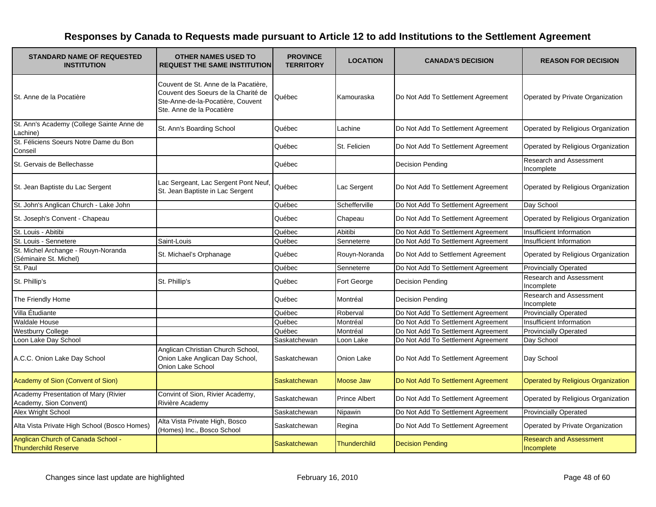| <b>STANDARD NAME OF REQUESTED</b><br><b>INSTITUTION</b>           | <b>OTHER NAMES USED TO</b><br><b>REQUEST THE SAME INSTITUTION</b>                                                                             | <b>PROVINCE</b><br><b>TERRITORY</b> | <b>LOCATION</b>      | <b>CANADA'S DECISION</b>           | <b>REASON FOR DECISION</b>                   |
|-------------------------------------------------------------------|-----------------------------------------------------------------------------------------------------------------------------------------------|-------------------------------------|----------------------|------------------------------------|----------------------------------------------|
| St. Anne de la Pocatière                                          | Couvent de St. Anne de la Pacatière,<br>Couvent des Soeurs de la Charité de<br>Ste-Anne-de-la-Pocatière, Couvent<br>Ste. Anne de la Pocatière | Québec                              | Kamouraska           | Do Not Add To Settlement Agreement | Operated by Private Organization             |
| St. Ann's Academy (College Sainte Anne de<br>Lachine)             | St. Ann's Boarding School                                                                                                                     | Québec                              | Lachine              | Do Not Add To Settlement Agreement | Operated by Religious Organization           |
| St. Féliciens Soeurs Notre Dame du Bon<br>Conseil                 |                                                                                                                                               | Québec                              | St. Felicien         | Do Not Add To Settlement Agreement | Operated by Religious Organization           |
| St. Gervais de Bellechasse                                        |                                                                                                                                               | Québec                              |                      | <b>Decision Pending</b>            | Research and Assessment<br>Incomplete        |
| St. Jean Baptiste du Lac Sergent                                  | Lac Sergeant, Lac Sergent Pont Neuf,<br>St. Jean Baptiste in Lac Sergent                                                                      | Québec                              | Lac Sergent          | Do Not Add To Settlement Agreement | Operated by Religious Organization           |
| St. John's Anglican Church - Lake John                            |                                                                                                                                               | Québec                              | Schefferville        | Do Not Add To Settlement Agreement | Day School                                   |
| St. Joseph's Convent - Chapeau                                    |                                                                                                                                               | Québec                              | Chapeau              | Do Not Add To Settlement Agreement | Operated by Religious Organization           |
| St. Louis - Abitibi                                               |                                                                                                                                               | Québec                              | Abitibi              | Do Not Add To Settlement Agreement | Insufficient Information                     |
| St. Louis - Sennetere                                             | Saint-Louis                                                                                                                                   | Québec                              | Senneterre           | Do Not Add To Settlement Agreement | Insufficient Information                     |
| St. Michel Archange - Rouyn-Noranda<br>(Séminaire St. Michel)     | St. Michael's Orphanage                                                                                                                       | Québec                              | Rouyn-Noranda        | Do Not Add to Settlement Agreement | Operated by Religious Organization           |
| St. Paul                                                          |                                                                                                                                               | Québec                              | Senneterre           | Do Not Add To Settlement Agreement | <b>Provincially Operated</b>                 |
| St. Phillip's                                                     | St. Phillip's                                                                                                                                 | Québec                              | Fort George          | <b>Decision Pending</b>            | <b>Research and Assessment</b><br>Incomplete |
| The Friendly Home                                                 |                                                                                                                                               | Québec                              | Montréal             | <b>Decision Pending</b>            | Research and Assessment<br>Incomplete        |
| Villa Étudiante                                                   |                                                                                                                                               | Québec                              | Roberval             | Do Not Add To Settlement Agreement | <b>Provincially Operated</b>                 |
| Waldale House                                                     |                                                                                                                                               | Québec                              | Montréal             | Do Not Add To Settlement Agreement | Insufficient Information                     |
| <b>Westburry College</b>                                          |                                                                                                                                               | Québec                              | Montréal             | Do Not Add To Settlement Agreement | <b>Provincially Operated</b>                 |
| Loon Lake Day School                                              |                                                                                                                                               | Saskatchewan                        | Loon Lake            | Do Not Add To Settlement Agreement | Day School                                   |
| A.C.C. Onion Lake Day School                                      | Anglican Christian Church School,<br>Onion Lake Anglican Day School,<br>Onion Lake School                                                     | Saskatchewan                        | Onion Lake           | Do Not Add To Settlement Agreement | Day School                                   |
| Academy of Sion (Convent of Sion)                                 |                                                                                                                                               | Saskatchewan                        | Moose Jaw            | Do Not Add To Settlement Agreement | <b>Operated by Religious Organization</b>    |
| Academy Presentation of Mary (Rivier<br>Academy, Sion Convent)    | Convint of Sion, Rivier Academy,<br>Rivière Academy                                                                                           | Saskatchewan                        | <b>Prince Albert</b> | Do Not Add To Settlement Agreement | Operated by Religious Organization           |
| Alex Wright School                                                |                                                                                                                                               | Saskatchewan                        | Nipawin              | Do Not Add To Settlement Agreement | <b>Provincially Operated</b>                 |
| Alta Vista Private High School (Bosco Homes)                      | Alta Vista Private High, Bosco<br>(Homes) Inc., Bosco School                                                                                  | Saskatchewan                        | Regina               | Do Not Add To Settlement Agreement | Operated by Private Organization             |
| Anglican Church of Canada School -<br><b>Thunderchild Reserve</b> |                                                                                                                                               | Saskatchewan                        | <b>Thunderchild</b>  | <b>Decision Pending</b>            | <b>Research and Assessment</b><br>Incomplete |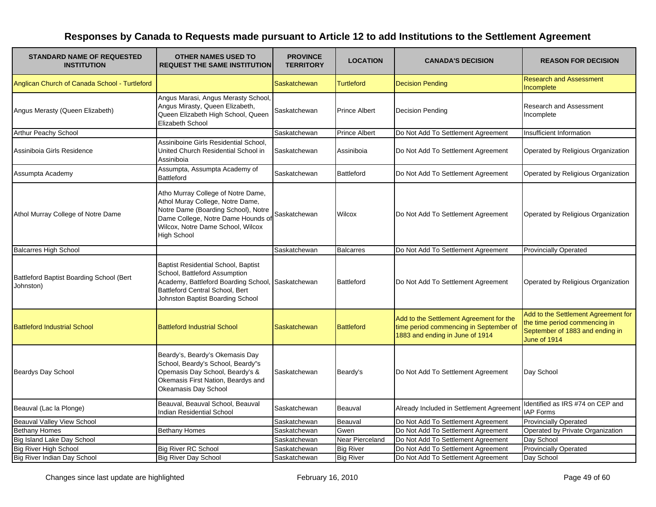| <b>STANDARD NAME OF REQUESTED</b><br><b>INSTITUTION</b> | <b>OTHER NAMES USED TO</b><br><b>REQUEST THE SAME INSTITUTION</b>                                                                                                                                              | <b>PROVINCE</b><br><b>TERRITORY</b> | <b>LOCATION</b>      | <b>CANADA'S DECISION</b>                                                                                             | <b>REASON FOR DECISION</b>                                                                                              |
|---------------------------------------------------------|----------------------------------------------------------------------------------------------------------------------------------------------------------------------------------------------------------------|-------------------------------------|----------------------|----------------------------------------------------------------------------------------------------------------------|-------------------------------------------------------------------------------------------------------------------------|
| Anglican Church of Canada School - Turtleford           |                                                                                                                                                                                                                | <b>Saskatchewan</b>                 | <b>Turtleford</b>    | <b>Decision Pending</b>                                                                                              | <b>Research and Assessment</b><br>Incomplete                                                                            |
| Angus Merasty (Queen Elizabeth)                         | Angus Marasi, Angus Merasty School,<br>Angus Mirasty, Queen Elizabeth,<br>Queen Elizabeth High School, Queen<br>Elizabeth School                                                                               | Saskatchewan                        | <b>Prince Albert</b> | <b>Decision Pending</b>                                                                                              | Research and Assessment<br>Incomplete                                                                                   |
| <b>Arthur Peachy School</b>                             |                                                                                                                                                                                                                | Saskatchewan                        | <b>Prince Albert</b> | Do Not Add To Settlement Agreement                                                                                   | Insufficient Information                                                                                                |
| Assiniboia Girls Residence                              | Assiniboine Girls Residential School,<br>United Church Residential School in<br>Assiniboia                                                                                                                     | Saskatchewan                        | Assiniboia           | Do Not Add To Settlement Agreement                                                                                   | Operated by Religious Organization                                                                                      |
| Assumpta Academy                                        | Assumpta, Assumpta Academy of<br><b>Battleford</b>                                                                                                                                                             | Saskatchewan                        | <b>Battleford</b>    | Do Not Add To Settlement Agreement                                                                                   | Operated by Religious Organization                                                                                      |
| Athol Murray College of Notre Dame                      | Atho Murray College of Notre Dame,<br>Athol Muray College, Notre Dame,<br>Notre Dame (Boarding School), Notre<br>Dame College, Notre Dame Hounds of<br>Wilcox, Notre Dame School, Wilcox<br><b>High School</b> | Saskatchewan                        | Wilcox               | Do Not Add To Settlement Agreement                                                                                   | Operated by Religious Organization                                                                                      |
| <b>Balcarres High School</b>                            |                                                                                                                                                                                                                | Saskatchewan                        | <b>Balcarres</b>     | Do Not Add To Settlement Agreement                                                                                   | <b>Provincially Operated</b>                                                                                            |
| Battleford Baptist Boarding School (Bert<br>Johnston)   | <b>Baptist Residential School, Baptist</b><br>School, Battleford Assumption<br>Academy, Battleford Boarding School<br>Battleford Central School, Bert<br>Johnston Baptist Boarding School                      | Saskatchewan                        | <b>Battleford</b>    | Do Not Add To Settlement Agreement                                                                                   | Operated by Religious Organization                                                                                      |
| <b>Battleford Industrial School</b>                     | <b>Battleford Industrial School</b>                                                                                                                                                                            | <b>Saskatchewan</b>                 | <b>Battleford</b>    | Add to the Settlement Agreement for the<br>time period commencing in September of<br>1883 and ending in June of 1914 | Add to the Settlement Agreement for<br>the time period commencing in<br>September of 1883 and ending in<br>June of 1914 |
| Beardys Day School                                      | Beardy's, Beardy's Okemasis Day<br>School, Beardy's School, Beardy"s<br>Opemasis Day School, Beardy's &<br>Okemasis First Nation, Beardys and<br>Okeamasis Day School                                          | Saskatchewan                        | Beardy's             | Do Not Add To Settlement Agreement                                                                                   | Day School                                                                                                              |
| Beauval (Lac la Plonge)                                 | Beauval, Beauval School, Beauval<br><b>Indian Residential School</b>                                                                                                                                           | Saskatchewan                        | Beauval              | Already Included in Settlement Agreement                                                                             | Identified as IRS #74 on CEP and<br><b>IAP Forms</b>                                                                    |
| Beauval Valley View School                              |                                                                                                                                                                                                                | Saskatchewan                        | Beauval              | Do Not Add To Settlement Agreement                                                                                   | <b>Provincially Operated</b>                                                                                            |
| <b>Bethany Homes</b>                                    | <b>Bethany Homes</b>                                                                                                                                                                                           | Saskatchewan                        | Gwen                 | Do Not Add To Settlement Agreement                                                                                   | Operated by Private Organization                                                                                        |
| Big Island Lake Day School                              |                                                                                                                                                                                                                | Saskatchewan                        | Near Pierceland      | Do Not Add To Settlement Agreement                                                                                   | Day School                                                                                                              |
| <b>Big River High School</b>                            | <b>Big River RC School</b>                                                                                                                                                                                     | Saskatchewan                        | <b>Big River</b>     | Do Not Add To Settlement Agreement                                                                                   | <b>Provincially Operated</b>                                                                                            |
| <b>Big River Indian Day School</b>                      | <b>Big River Day School</b>                                                                                                                                                                                    | Saskatchewan                        | <b>Big River</b>     | Do Not Add To Settlement Agreement                                                                                   | Day School                                                                                                              |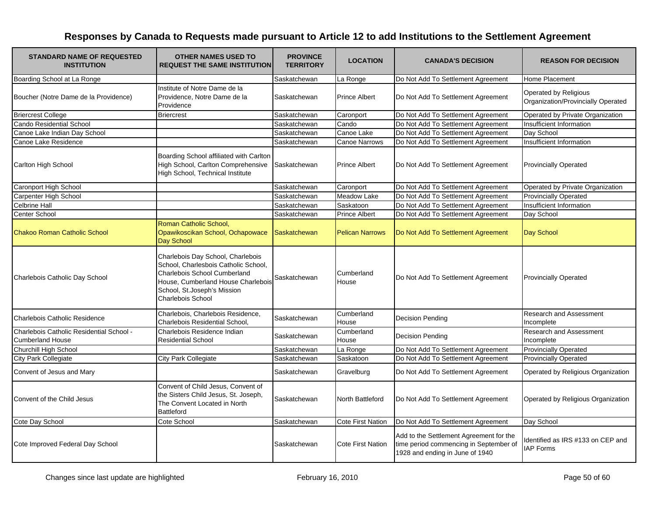| <b>STANDARD NAME OF REQUESTED</b><br><b>INSTITUTION</b>             | <b>OTHER NAMES USED TO</b><br><b>REQUEST THE SAME INSTITUTION</b>                                                                                                                                          | <b>PROVINCE</b><br><b>TERRITORY</b> | <b>LOCATION</b>          | <b>CANADA'S DECISION</b>                                                                                             | <b>REASON FOR DECISION</b>                                  |
|---------------------------------------------------------------------|------------------------------------------------------------------------------------------------------------------------------------------------------------------------------------------------------------|-------------------------------------|--------------------------|----------------------------------------------------------------------------------------------------------------------|-------------------------------------------------------------|
| Boarding School at La Ronge                                         |                                                                                                                                                                                                            | Saskatchewan                        | La Ronge                 | Do Not Add To Settlement Agreement                                                                                   | Home Placement                                              |
| Boucher (Notre Dame de la Providence)                               | Institute of Notre Dame de la<br>Providence, Notre Dame de la<br>Providence                                                                                                                                | Saskatchewan                        | <b>Prince Albert</b>     | Do Not Add To Settlement Agreement                                                                                   | Operated by Religious<br>Organization/Provincially Operated |
| <b>Briercrest College</b>                                           | <b>Briercrest</b>                                                                                                                                                                                          | Saskatchewan                        | Caronport                | Do Not Add To Settlement Agreement                                                                                   | Operated by Private Organization                            |
| <b>Cando Residential School</b>                                     |                                                                                                                                                                                                            | Saskatchewan                        | Cando                    | Do Not Add To Settlement Agreement                                                                                   | Insufficient Information                                    |
| Canoe Lake Indian Day School                                        |                                                                                                                                                                                                            | Saskatchewan                        | Canoe Lake               | Do Not Add To Settlement Agreement                                                                                   | Day School                                                  |
| Canoe Lake Residence                                                |                                                                                                                                                                                                            | Saskatchewan                        | <b>Canoe Narrows</b>     | Do Not Add To Settlement Agreement                                                                                   | Insufficient Information                                    |
| Carlton High School                                                 | Boarding School affiliated with Carlton<br>High School, Carlton Comprehensive<br>High School, Technical Institute                                                                                          | Saskatchewan                        | <b>Prince Albert</b>     | Do Not Add To Settlement Agreement                                                                                   | <b>Provincially Operated</b>                                |
| <b>Caronport High School</b>                                        |                                                                                                                                                                                                            | Saskatchewan                        | Caronport                | Do Not Add To Settlement Agreement                                                                                   | Operated by Private Organization                            |
| Carpenter High School                                               |                                                                                                                                                                                                            | Saskatchewan                        | <b>Meadow Lake</b>       | Do Not Add To Settlement Agreement                                                                                   | <b>Provincially Operated</b>                                |
| <b>Celbrine Hall</b>                                                |                                                                                                                                                                                                            | Saskatchewan                        | Saskatoon                | Do Not Add To Settlement Agreement                                                                                   | Insufficient Information                                    |
| Center School                                                       |                                                                                                                                                                                                            | Saskatchewan                        | <b>Prince Albert</b>     | Do Not Add To Settlement Agreement                                                                                   | Day School                                                  |
| <b>Chakoo Roman Catholic School</b>                                 | Roman Catholic School,<br>Opawikoscikan School, Ochapowace<br>Day School                                                                                                                                   | Saskatchewan                        | <b>Pelican Narrows</b>   | Do Not Add To Settlement Agreement                                                                                   | Day School                                                  |
| Charlebois Catholic Day School                                      | Charlebois Day School, Charlebois<br>School, Charlesbois Catholic School,<br>Charlebois School Cumberland<br>House, Cumberland House Charlebois<br>School, St.Joseph's Mission<br><b>Charlebois School</b> | Saskatchewan                        | Cumberland<br>House      | Do Not Add To Settlement Agreement                                                                                   | <b>Provincially Operated</b>                                |
| Charlebois Catholic Residence                                       | Charlebois, Charlebois Residence,<br>Charlebois Residential School,                                                                                                                                        | Saskatchewan                        | Cumberland<br>House      | <b>Decision Pending</b>                                                                                              | Research and Assessment<br>Incomplete                       |
| Charlebois Catholic Residential School -<br><b>Cumberland House</b> | Charlebois Residence Indian<br><b>Residential School</b>                                                                                                                                                   | Saskatchewan                        | Cumberland<br>House      | <b>Decision Pending</b>                                                                                              | Research and Assessment<br>Incomplete                       |
| Churchill High School                                               |                                                                                                                                                                                                            | Saskatchewan                        | La Ronge                 | Do Not Add To Settlement Agreement                                                                                   | <b>Provincially Operated</b>                                |
| <b>City Park Collegiate</b>                                         | City Park Collegiate                                                                                                                                                                                       | Saskatchewan                        | Saskatoon                | Do Not Add To Settlement Agreement                                                                                   | <b>Provincially Operated</b>                                |
| Convent of Jesus and Mary                                           |                                                                                                                                                                                                            | Saskatchewan                        | Gravelburg               | Do Not Add To Settlement Agreement                                                                                   | Operated by Religious Organization                          |
| Convent of the Child Jesus                                          | Convent of Child Jesus, Convent of<br>the Sisters Child Jesus, St. Joseph,<br>The Convent Located in North<br><b>Battleford</b>                                                                            | Saskatchewan                        | North Battleford         | Do Not Add To Settlement Agreement                                                                                   | Operated by Religious Organization                          |
| Cote Day School                                                     | Cote School                                                                                                                                                                                                | Saskatchewan                        | <b>Cote First Nation</b> | Do Not Add To Settlement Agreement                                                                                   | Day School                                                  |
| Cote Improved Federal Day School                                    |                                                                                                                                                                                                            | Saskatchewan                        | <b>Cote First Nation</b> | Add to the Settlement Agreement for the<br>time period commencing in September of<br>1928 and ending in June of 1940 | dentified as IRS #133 on CEP and<br><b>IAP Forms</b>        |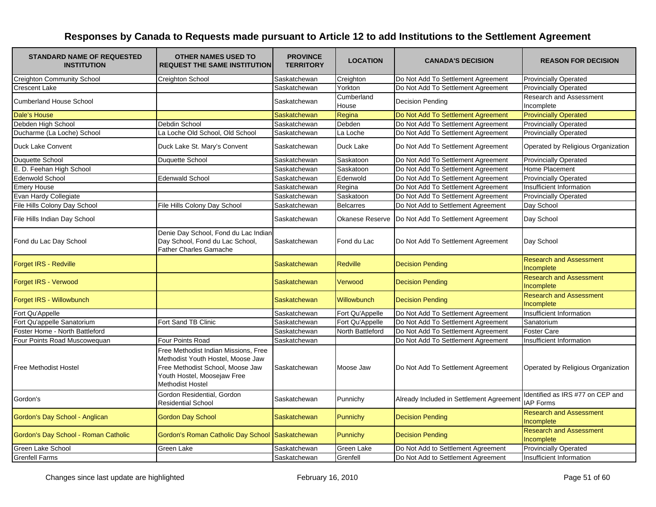| <b>STANDARD NAME OF REQUESTED</b><br><b>INSTITUTION</b> | <b>OTHER NAMES USED TO</b><br><b>REQUEST THE SAME INSTITUTION</b>                                                                                                       | <b>PROVINCE</b><br><b>TERRITORY</b> | <b>LOCATION</b>     | <b>CANADA'S DECISION</b>                 | <b>REASON FOR DECISION</b>                           |
|---------------------------------------------------------|-------------------------------------------------------------------------------------------------------------------------------------------------------------------------|-------------------------------------|---------------------|------------------------------------------|------------------------------------------------------|
| <b>Creighton Community School</b>                       | Creighton School                                                                                                                                                        | Saskatchewan                        | Creighton           | Do Not Add To Settlement Agreement       | <b>Provincially Operated</b>                         |
| <b>Crescent Lake</b>                                    |                                                                                                                                                                         | Saskatchewan                        | Yorkton             | Do Not Add To Settlement Agreement       | <b>Provincially Operated</b>                         |
| <b>Cumberland House School</b>                          |                                                                                                                                                                         | Saskatchewan                        | Cumberland<br>House | <b>Decision Pending</b>                  | <b>Research and Assessment</b><br>Incomplete         |
| Dale's House                                            |                                                                                                                                                                         | Saskatchewan                        | Regina              | Do Not Add To Settlement Agreement       | <b>Provincially Operated</b>                         |
| Debden High School                                      | Debdin School                                                                                                                                                           | Saskatchewan                        | Debden              | Do Not Add To Settlement Agreement       | <b>Provincially Operated</b>                         |
| Ducharme (La Loche) School                              | La Loche Old School, Old School                                                                                                                                         | Saskatchewan                        | La Loche            | Do Not Add To Settlement Agreement       | <b>Provincially Operated</b>                         |
| Duck Lake Convent                                       | Duck Lake St. Mary's Convent                                                                                                                                            | Saskatchewan                        | Duck Lake           | Do Not Add To Settlement Agreement       | Operated by Religious Organization                   |
| Duquette School                                         | Duquette School                                                                                                                                                         | Saskatchewan                        | Saskatoon           | Do Not Add To Settlement Agreement       | <b>Provincially Operated</b>                         |
| E. D. Feehan High School                                |                                                                                                                                                                         | Saskatchewan                        | Saskatoon           | Do Not Add To Settlement Agreement       | <b>Home Placement</b>                                |
| Edenwold School                                         | <b>Edenwald School</b>                                                                                                                                                  | Saskatchewan                        | Edenwold            | Do Not Add To Settlement Agreement       | <b>Provincially Operated</b>                         |
| <b>Emery House</b>                                      |                                                                                                                                                                         | Saskatchewan                        | Regina              | Do Not Add To Settlement Agreement       | Insufficient Information                             |
| Evan Hardy Collegiate                                   |                                                                                                                                                                         | Saskatchewan                        | Saskatoon           | Do Not Add To Settlement Agreement       | <b>Provincially Operated</b>                         |
| File Hills Colony Day School                            | File Hills Colony Day School                                                                                                                                            | Saskatchewan                        | <b>Belcarres</b>    | Do Not Add to Settlement Agreement       | Day School                                           |
| File Hills Indian Day School                            |                                                                                                                                                                         | Saskatchewan                        | Okanese Reserve     | Do Not Add To Settlement Agreement       | Day School                                           |
| Fond du Lac Day School                                  | Denie Day School, Fond du Lac Indian<br>Day School, Fond du Lac School,<br><b>Father Charles Gamache</b>                                                                | Saskatchewan                        | Fond du Lac         | Do Not Add To Settlement Agreement       | Day School                                           |
| <b>Forget IRS - Redville</b>                            |                                                                                                                                                                         | Saskatchewan                        | <b>Redville</b>     | <b>Decision Pending</b>                  | <b>Research and Assessment</b><br>Incomplete         |
| Forget IRS - Verwood                                    |                                                                                                                                                                         | <b>Saskatchewan</b>                 | Verwood             | <b>Decision Pending</b>                  | <b>Research and Assessment</b><br>Incomplete         |
| Forget IRS - Willowbunch                                |                                                                                                                                                                         | <b>Saskatchewan</b>                 | <b>Willowbunch</b>  | <b>Decision Pending</b>                  | <b>Research and Assessment</b><br>Incomplete         |
| Fort Qu'Appelle                                         |                                                                                                                                                                         | Saskatchewan                        | Fort Qu'Appelle     | Do Not Add To Settlement Agreement       | Insufficient Information                             |
| Fort Qu'appelle Sanatorium                              | Fort Sand TB Clinic                                                                                                                                                     | Saskatchewan                        | Fort Qu'Appelle     | Do Not Add To Settlement Agreement       | Sanatorium                                           |
| Foster Home - North Battleford                          |                                                                                                                                                                         | Saskatchewan                        | North Battleford    | Do Not Add To Settlement Agreement       | <b>Foster Care</b>                                   |
| Four Points Road Muscowequan                            | Four Points Road                                                                                                                                                        | Saskatchewan                        |                     | Do Not Add To Settlement Agreement       | <b>Insufficient Information</b>                      |
| <b>Free Methodist Hostel</b>                            | Free Methodist Indian Missions, Free<br>Methodist Youth Hostel, Moose Jaw<br>Free Methodist School, Moose Jaw<br>Youth Hostel, Moosejaw Free<br><b>Methodist Hostel</b> | Saskatchewan                        | Moose Jaw           | Do Not Add To Settlement Agreement       | Operated by Religious Organization                   |
| Gordon's                                                | Gordon Residential, Gordon<br><b>Residential School</b>                                                                                                                 | Saskatchewan                        | Punnichy            | Already Included in Settlement Agreement | Identified as IRS #77 on CEP and<br><b>IAP Forms</b> |
| Gordon's Day School - Anglican                          | <b>Gordon Day School</b>                                                                                                                                                | Saskatchewan                        | <b>Punnichy</b>     | <b>Decision Pending</b>                  | <b>Research and Assessment</b><br>Incomplete         |
| Gordon's Day School - Roman Catholic                    | Gordon's Roman Catholic Day School Saskatchewan                                                                                                                         |                                     | <b>Punnichy</b>     | <b>Decision Pending</b>                  | <b>Research and Assessment</b><br>Incomplete         |
| Green Lake School                                       | Green Lake                                                                                                                                                              | Saskatchewan                        | Green Lake          | Do Not Add to Settlement Agreement       | <b>Provincially Operated</b>                         |
| <b>Grenfell Farms</b>                                   |                                                                                                                                                                         | Saskatchewan                        | Grenfell            | Do Not Add to Settlement Agreement       | Insufficient Information                             |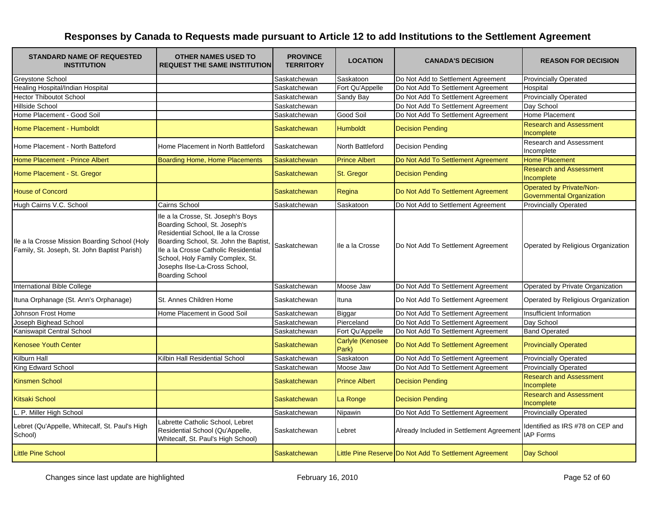| <b>STANDARD NAME OF REQUESTED</b><br><b>INSTITUTION</b>                                       | <b>OTHER NAMES USED TO</b><br><b>REQUEST THE SAME INSTITUTION</b>                                                                                                                                                                                                                           | <b>PROVINCE</b><br><b>TERRITORY</b> | <b>LOCATION</b>                  | <b>CANADA'S DECISION</b>                               | <b>REASON FOR DECISION</b>                                   |
|-----------------------------------------------------------------------------------------------|---------------------------------------------------------------------------------------------------------------------------------------------------------------------------------------------------------------------------------------------------------------------------------------------|-------------------------------------|----------------------------------|--------------------------------------------------------|--------------------------------------------------------------|
| Greystone School                                                                              |                                                                                                                                                                                                                                                                                             | Saskatchewan                        | Saskatoon                        | Do Not Add to Settlement Agreement                     | <b>Provincially Operated</b>                                 |
| <b>Healing Hospital/Indian Hospital</b>                                                       |                                                                                                                                                                                                                                                                                             | Saskatchewan                        | Fort Qu'Appelle                  | Do Not Add To Settlement Agreement                     | Hospital                                                     |
| <b>Hector Thiboutot School</b>                                                                |                                                                                                                                                                                                                                                                                             | Saskatchewan                        | Sandy Bay                        | Do Not Add To Settlement Agreement                     | <b>Provincially Operated</b>                                 |
| Hillside School                                                                               |                                                                                                                                                                                                                                                                                             | Saskatchewan                        |                                  | Do Not Add To Settlement Agreement                     | Day School                                                   |
| Home Placement - Good Soil                                                                    |                                                                                                                                                                                                                                                                                             | Saskatchewan                        | Good Soil                        | Do Not Add To Settlement Agreement                     | Home Placement                                               |
| Home Placement - Humboldt                                                                     |                                                                                                                                                                                                                                                                                             | Saskatchewan                        | <b>Humboldt</b>                  | <b>Decision Pending</b>                                | <b>Research and Assessment</b><br>Incomplete                 |
| Home Placement - North Batteford                                                              | Home Placement in North Battleford                                                                                                                                                                                                                                                          | Saskatchewan                        | North Battleford                 | <b>Decision Pending</b>                                | <b>Research and Assessment</b><br>Incomplete                 |
| Home Placement - Prince Albert                                                                | <b>Boarding Home, Home Placements</b>                                                                                                                                                                                                                                                       | Saskatchewan                        | <b>Prince Albert</b>             | Do Not Add To Settlement Agreement                     | <b>Home Placement</b>                                        |
| Home Placement - St. Gregor                                                                   |                                                                                                                                                                                                                                                                                             | Saskatchewan                        | St. Gregor                       | <b>Decision Pending</b>                                | <b>Research and Assessment</b><br>Incomplete                 |
| <b>House of Concord</b>                                                                       |                                                                                                                                                                                                                                                                                             | Saskatchewan                        | Regina                           | Do Not Add To Settlement Agreement                     | Operated by Private/Non-<br><b>Governmental Organization</b> |
| Hugh Cairns V.C. School                                                                       | Cairns School                                                                                                                                                                                                                                                                               | Saskatchewan                        | Saskatoon                        | Do Not Add to Settlement Agreement                     | <b>Provincially Operated</b>                                 |
| Ile a la Crosse Mission Boarding School (Holy<br>Family, St. Joseph, St. John Baptist Parish) | Ile a la Crosse, St. Joseph's Boys<br>Boarding School, St. Joseph's<br>Residential School, Ile a la Crosse<br>Boarding School, St. John the Baptist,<br>Ile a la Crosse Catholic Residential<br>School, Holy Family Complex, St.<br>Josephs Ilse-La-Cross School,<br><b>Boarding School</b> | Saskatchewan                        | Ile a la Crosse                  | Do Not Add To Settlement Agreement                     | Operated by Religious Organization                           |
| International Bible College                                                                   |                                                                                                                                                                                                                                                                                             | Saskatchewan                        | Moose Jaw                        | Do Not Add To Settlement Agreement                     | Operated by Private Organization                             |
| Ituna Orphanage (St. Ann's Orphanage)                                                         | St. Annes Children Home                                                                                                                                                                                                                                                                     | Saskatchewan                        | Ituna                            | Do Not Add To Settlement Agreement                     | Operated by Religious Organization                           |
| Johnson Frost Home                                                                            | Home Placement in Good Soil                                                                                                                                                                                                                                                                 | Saskatchewan                        | <b>Biggar</b>                    | Do Not Add To Settlement Agreement                     | Insufficient Information                                     |
| Joseph Bighead School                                                                         |                                                                                                                                                                                                                                                                                             | Saskatchewan                        | Pierceland                       | Do Not Add To Settlement Agreement                     | Day School                                                   |
| Kaniswapit Central School                                                                     |                                                                                                                                                                                                                                                                                             | Saskatchewan                        | Fort Qu'Appelle                  | Do Not Add To Settlement Agreement                     | <b>Band Operated</b>                                         |
| <b>Kenosee Youth Center</b>                                                                   |                                                                                                                                                                                                                                                                                             | Saskatchewan                        | <b>Carlyle (Kenosee</b><br>Park) | Do Not Add To Settlement Agreement                     | <b>Provincially Operated</b>                                 |
| Kilburn Hall                                                                                  | Kilbin Hall Residential School                                                                                                                                                                                                                                                              | Saskatchewan                        | Saskatoon                        | Do Not Add To Settlement Agreement                     | <b>Provincially Operated</b>                                 |
| King Edward School                                                                            |                                                                                                                                                                                                                                                                                             | Saskatchewan                        | Moose Jaw                        | Do Not Add To Settlement Agreement                     | <b>Provincially Operated</b>                                 |
| <b>Kinsmen School</b>                                                                         |                                                                                                                                                                                                                                                                                             | <b>Saskatchewan</b>                 | <b>Prince Albert</b>             | <b>Decision Pending</b>                                | <b>Research and Assessment</b><br>Incomplete                 |
| <b>Kitsaki School</b>                                                                         |                                                                                                                                                                                                                                                                                             | Saskatchewan                        | La Ronge                         | <b>Decision Pending</b>                                | <b>Research and Assessment</b><br>Incomplete                 |
| P. Miller High School                                                                         |                                                                                                                                                                                                                                                                                             | Saskatchewan                        | Nipawin                          | Do Not Add To Settlement Agreement                     | <b>Provincially Operated</b>                                 |
| Lebret (Qu'Appelle, Whitecalf, St. Paul's High<br>School)                                     | Labrette Catholic School, Lebret<br>Residential School (Qu'Appelle,<br>Whitecalf, St. Paul's High School)                                                                                                                                                                                   | Saskatchewan                        | Lebret                           | Already Included in Settlement Agreement               | Identified as IRS #78 on CEP and<br><b>IAP Forms</b>         |
| <b>Little Pine School</b>                                                                     |                                                                                                                                                                                                                                                                                             | Saskatchewan                        |                                  | Little Pine Reserve Do Not Add To Settlement Agreement | Day School                                                   |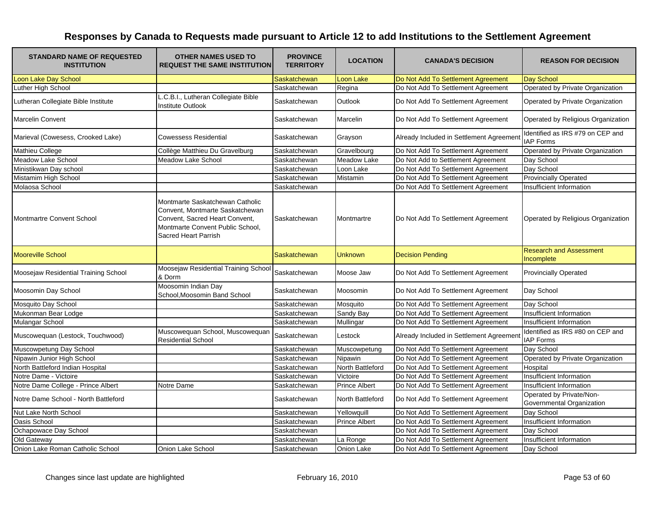| <b>STANDARD NAME OF REQUESTED</b><br><b>INSTITUTION</b> | <b>OTHER NAMES USED TO</b><br><b>REQUEST THE SAME INSTITUTION</b>                                                                                                | <b>PROVINCE</b><br><b>TERRITORY</b> | <b>LOCATION</b>      | <b>CANADA'S DECISION</b>                 | <b>REASON FOR DECISION</b>                            |
|---------------------------------------------------------|------------------------------------------------------------------------------------------------------------------------------------------------------------------|-------------------------------------|----------------------|------------------------------------------|-------------------------------------------------------|
| Loon Lake Day School                                    |                                                                                                                                                                  | Saskatchewan                        | <b>Loon Lake</b>     | Do Not Add To Settlement Agreement       | Day School                                            |
| Luther High School                                      |                                                                                                                                                                  | Saskatchewan                        | Regina               | Do Not Add To Settlement Agreement       | Operated by Private Organization                      |
| Lutheran Collegiate Bible Institute                     | L.C.B.I., Lutheran Collegiate Bible<br><b>Institute Outlook</b>                                                                                                  | Saskatchewan                        | <b>Outlook</b>       | Do Not Add To Settlement Agreement       | Operated by Private Organization                      |
| <b>Marcelin Convent</b>                                 |                                                                                                                                                                  | Saskatchewan                        | Marcelin             | Do Not Add To Settlement Agreement       | Operated by Religious Organization                    |
| Marieval (Cowesess, Crooked Lake)                       | <b>Cowessess Residential</b>                                                                                                                                     | Saskatchewan                        | Grayson              | Already Included in Settlement Agreement | Identified as IRS #79 on CEP and<br><b>IAP Forms</b>  |
| Mathieu College                                         | Collège Matthieu Du Gravelburg                                                                                                                                   | Saskatchewan                        | Gravelbourg          | Do Not Add To Settlement Agreement       | Operated by Private Organization                      |
| <b>Meadow Lake School</b>                               | <b>Meadow Lake School</b>                                                                                                                                        | Saskatchewan                        | <b>Meadow Lake</b>   | Do Not Add to Settlement Agreement       | Day School                                            |
| Ministikwan Day school                                  |                                                                                                                                                                  | Saskatchewan                        | Loon Lake            | Do Not Add To Settlement Agreement       | Day School                                            |
| Mistamim High School                                    |                                                                                                                                                                  | Saskatchewan                        | Mistamin             | Do Not Add To Settlement Agreement       | <b>Provincially Operated</b>                          |
| Molaosa School                                          |                                                                                                                                                                  | Saskatchewan                        |                      | Do Not Add To Settlement Agreement       | Insufficient Information                              |
| Montmartre Convent School                               | Montmarte Saskatchewan Catholic<br>Convent, Montmarte Saskatchewan<br>Convent, Sacred Heart Convent,<br>Montmarte Convent Public School,<br>Sacred Heart Parrish | Saskatchewan                        | Montmartre           | Do Not Add To Settlement Agreement       | Operated by Religious Organization                    |
| <b>Mooreville School</b>                                |                                                                                                                                                                  | Saskatchewan                        | <b>Unknown</b>       | <b>Decision Pending</b>                  | <b>Research and Assessment</b><br>Incomplete          |
| Moosejaw Residential Training School                    | Moosejaw Residential Training School<br>& Dorm                                                                                                                   | Saskatchewan                        | Moose Jaw            | Do Not Add To Settlement Agreement       | <b>Provincially Operated</b>                          |
| Moosomin Day School                                     | Moosomin Indian Day<br>School, Moosomin Band School                                                                                                              | Saskatchewan                        | Moosomin             | Do Not Add To Settlement Agreement       | Day School                                            |
| Mosquito Day School                                     |                                                                                                                                                                  | Saskatchewan                        | Mosquito             | Do Not Add To Settlement Agreement       | Day School                                            |
| Mukonman Bear Lodge                                     |                                                                                                                                                                  | Saskatchewan                        | Sandy Bay            | Do Not Add To Settlement Agreement       | Insufficient Information                              |
| Mulangar School                                         |                                                                                                                                                                  | Saskatchewan                        | Mullingar            | Do Not Add To Settlement Agreement       | Insufficient Information                              |
| Muscowequan (Lestock, Touchwood)                        | Muscowequan School, Muscowequan<br><b>Residential School</b>                                                                                                     | Saskatchewan                        | Lestock              | Already Included in Settlement Agreement | Identified as IRS #80 on CEP and<br><b>IAP Forms</b>  |
| Muscowpetung Day School                                 |                                                                                                                                                                  | Saskatchewan                        | Muscowpetung         | Do Not Add To Settlement Agreement       | Day School                                            |
| Nipawin Junior High School                              |                                                                                                                                                                  | Saskatchewan                        | Nipawin              | Do Not Add To Settlement Agreement       | Operated by Private Organization                      |
| North Battleford Indian Hospital                        |                                                                                                                                                                  | Saskatchewan                        | North Battleford     | Do Not Add To Settlement Agreement       | Hospital                                              |
| Notre Dame - Victoire                                   |                                                                                                                                                                  | Saskatchewan                        | Victoire             | Do Not Add To Settlement Agreement       | Insufficient Information                              |
| Notre Dame College - Prince Albert                      | Notre Dame                                                                                                                                                       | Saskatchewan                        | <b>Prince Albert</b> | Do Not Add To Settlement Agreement       | Insufficient Information                              |
| Notre Dame School - North Battleford                    |                                                                                                                                                                  | Saskatchewan                        | North Battleford     | Do Not Add To Settlement Agreement       | Operated by Private/Non-<br>Governmental Organization |
| Nut Lake North School                                   |                                                                                                                                                                  | Saskatchewan                        | Yellowquill          | Do Not Add To Settlement Agreement       | Day School                                            |
| Oasis School                                            |                                                                                                                                                                  | Saskatchewan                        | <b>Prince Albert</b> | Do Not Add To Settlement Agreement       | Insufficient Information                              |
| Ochapowace Day School                                   |                                                                                                                                                                  | Saskatchewan                        |                      | Do Not Add To Settlement Agreement       | Day School                                            |
| Old Gateway                                             |                                                                                                                                                                  | Saskatchewan                        | La Ronge             | Do Not Add To Settlement Agreement       | Insufficient Information                              |
| Onion Lake Roman Catholic School                        | Onion Lake School                                                                                                                                                | Saskatchewan                        | Onion Lake           | Do Not Add To Settlement Agreement       | Day School                                            |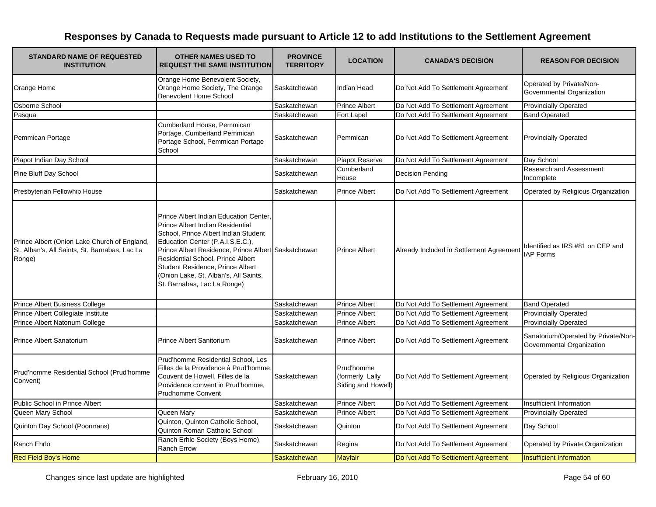| <b>STANDARD NAME OF REQUESTED</b><br><b>INSTITUTION</b>                                                 | <b>OTHER NAMES USED TO</b><br><b>REQUEST THE SAME INSTITUTION</b>                                                                                                                                                                                                                                                                                             | <b>PROVINCE</b><br><b>TERRITORY</b> | <b>LOCATION</b>                                     | <b>CANADA'S DECISION</b>                 | <b>REASON FOR DECISION</b>                                       |
|---------------------------------------------------------------------------------------------------------|---------------------------------------------------------------------------------------------------------------------------------------------------------------------------------------------------------------------------------------------------------------------------------------------------------------------------------------------------------------|-------------------------------------|-----------------------------------------------------|------------------------------------------|------------------------------------------------------------------|
| Orange Home                                                                                             | Orange Home Benevolent Society,<br>Orange Home Society, The Orange<br><b>Benevolent Home School</b>                                                                                                                                                                                                                                                           | Saskatchewan                        | Indian Head                                         | Do Not Add To Settlement Agreement       | Operated by Private/Non-<br>Governmental Organization            |
| Osborne School                                                                                          |                                                                                                                                                                                                                                                                                                                                                               | Saskatchewan                        | <b>Prince Albert</b>                                | Do Not Add To Settlement Agreement       | <b>Provincially Operated</b>                                     |
| Pasqua                                                                                                  |                                                                                                                                                                                                                                                                                                                                                               | Saskatchewan                        | Fort Lapel                                          | Do Not Add To Settlement Agreement       | <b>Band Operated</b>                                             |
| Pemmican Portage                                                                                        | Cumberland House, Pemmican<br>Portage, Cumberland Pemmican<br>Portage School, Pemmican Portage<br>School                                                                                                                                                                                                                                                      | Saskatchewan                        | Pemmican                                            | Do Not Add To Settlement Agreement       | <b>Provincially Operated</b>                                     |
| Piapot Indian Day School                                                                                |                                                                                                                                                                                                                                                                                                                                                               | Saskatchewan                        | Piapot Reserve                                      | Do Not Add To Settlement Agreement       | Day School                                                       |
| Pine Bluff Day School                                                                                   |                                                                                                                                                                                                                                                                                                                                                               | Saskatchewan                        | Cumberland<br>House                                 | <b>Decision Pending</b>                  | Research and Assessment<br>Incomplete                            |
| Presbyterian Fellowhip House                                                                            |                                                                                                                                                                                                                                                                                                                                                               | Saskatchewan                        | <b>Prince Albert</b>                                | Do Not Add To Settlement Agreement       | Operated by Religious Organization                               |
| Prince Albert (Onion Lake Church of England,<br>St. Alban's, All Saints, St. Barnabas, Lac La<br>Ronge) | Prince Albert Indian Education Center<br>Prince Albert Indian Residential<br>School, Prince Albert Indian Student<br>Education Center (P.A.I.S.E.C.),<br>Prince Albert Residence, Prince Albert Saskatchewan<br>Residential School, Prince Albert<br>Student Residence, Prince Albert<br>(Onion Lake, St. Alban's, All Saints,<br>St. Barnabas, Lac La Ronge) |                                     | <b>Prince Albert</b>                                | Already Included in Settlement Agreement | Identified as IRS #81 on CEP and<br><b>IAP Forms</b>             |
| <b>Prince Albert Business College</b>                                                                   |                                                                                                                                                                                                                                                                                                                                                               | Saskatchewan                        | <b>Prince Albert</b>                                | Do Not Add To Settlement Agreement       | <b>Band Operated</b>                                             |
| Prince Albert Collegiate Institute                                                                      |                                                                                                                                                                                                                                                                                                                                                               | Saskatchewan                        | <b>Prince Albert</b>                                | Do Not Add To Settlement Agreement       | <b>Provincially Operated</b>                                     |
| Prince Albert Natonum College                                                                           |                                                                                                                                                                                                                                                                                                                                                               | Saskatchewan                        | <b>Prince Albert</b>                                | Do Not Add To Settlement Agreement       | <b>Provincially Operated</b>                                     |
| <b>Prince Albert Sanatorium</b>                                                                         | <b>Prince Albert Sanitorium</b>                                                                                                                                                                                                                                                                                                                               | Saskatchewan                        | <b>Prince Albert</b>                                | Do Not Add To Settlement Agreement       | Sanatorium/Operated by Private/Non-<br>Governmental Organization |
| Prud'homme Residential School (Prud'homme<br>Convent)                                                   | Prud'homme Residential School, Les<br>Filles de la Providence à Prud'homme,<br>Couvent de Howell, Filles de la<br>Providence convent in Prud'homme,<br><b>Prudhomme Convent</b>                                                                                                                                                                               | Saskatchewan                        | Prud'homme<br>(formerly Lally<br>Siding and Howell) | Do Not Add To Settlement Agreement       | Operated by Religious Organization                               |
| Public School in Prince Albert                                                                          |                                                                                                                                                                                                                                                                                                                                                               | Saskatchewan                        | <b>Prince Albert</b>                                | Do Not Add To Settlement Agreement       | Insufficient Information                                         |
| Queen Mary School                                                                                       | Queen Mary                                                                                                                                                                                                                                                                                                                                                    | Saskatchewan                        | <b>Prince Albert</b>                                | Do Not Add To Settlement Agreement       | <b>Provincially Operated</b>                                     |
| Quinton Day School (Poormans)                                                                           | Quinton, Quinton Catholic School,<br>Quinton Roman Catholic School                                                                                                                                                                                                                                                                                            | Saskatchewan                        | Quinton                                             | Do Not Add To Settlement Agreement       | Day School                                                       |
| Ranch Ehrlo                                                                                             | Ranch Erhlo Society (Boys Home),<br>Ranch Errow                                                                                                                                                                                                                                                                                                               | Saskatchewan                        | Regina                                              | Do Not Add To Settlement Agreement       | Operated by Private Organization                                 |
| <b>Red Field Boy's Home</b>                                                                             |                                                                                                                                                                                                                                                                                                                                                               | Saskatchewan                        | <b>Mayfair</b>                                      | Do Not Add To Settlement Agreement       | Insufficient Information                                         |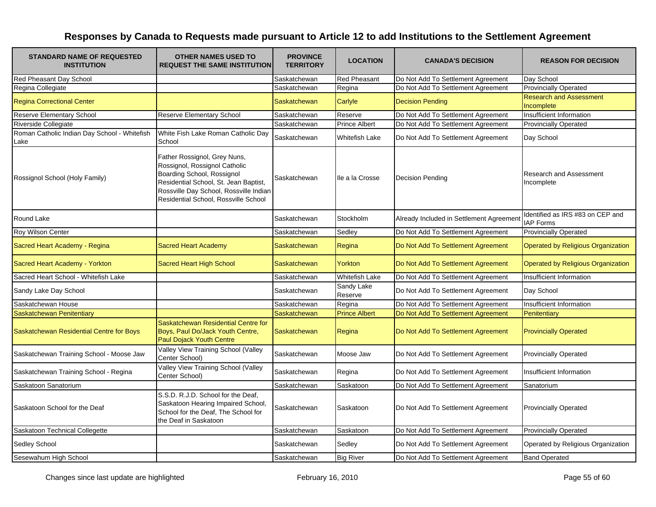| <b>STANDARD NAME OF REQUESTED</b><br><b>INSTITUTION</b> | <b>OTHER NAMES USED TO</b><br><b>REQUEST THE SAME INSTITUTION</b>                                                                                                                                                      | <b>PROVINCE</b><br><b>TERRITORY</b> | <b>LOCATION</b>       | <b>CANADA'S DECISION</b>                 | <b>REASON FOR DECISION</b>                           |
|---------------------------------------------------------|------------------------------------------------------------------------------------------------------------------------------------------------------------------------------------------------------------------------|-------------------------------------|-----------------------|------------------------------------------|------------------------------------------------------|
| Red Pheasant Day School                                 |                                                                                                                                                                                                                        | Saskatchewan                        | <b>Red Pheasant</b>   | Do Not Add To Settlement Agreement       | Day School                                           |
| Regina Collegiate                                       |                                                                                                                                                                                                                        | Saskatchewan                        | Regina                | Do Not Add To Settlement Agreement       | <b>Provincially Operated</b>                         |
| <b>Regina Correctional Center</b>                       |                                                                                                                                                                                                                        | Saskatchewan                        | Carlyle               | <b>Decision Pending</b>                  | <b>Research and Assessment</b><br>Incomplete         |
| Reserve Elementary School                               | <b>Reserve Elementary School</b>                                                                                                                                                                                       | Saskatchewan                        | Reserve               | Do Not Add To Settlement Agreement       | Insufficient Information                             |
| Riverside Collegiate                                    |                                                                                                                                                                                                                        | Saskatchewan                        | <b>Prince Albert</b>  | Do Not Add To Settlement Agreement       | <b>Provincially Operated</b>                         |
| Roman Catholic Indian Day School - Whitefish<br>Lake    | White Fish Lake Roman Catholic Day<br>School                                                                                                                                                                           | Saskatchewan                        | Whitefish Lake        | Do Not Add To Settlement Agreement       | Day School                                           |
| Rossignol School (Holy Family)                          | Father Rossignol, Grey Nuns,<br>Rossignol, Rossignol Catholic<br>Boarding School, Rossignol<br>Residential School, St. Jean Baptist,<br>Rossville Day School, Rossville Indian<br>Residential School, Rossville School | Saskatchewan                        | lle a la Crosse       | <b>Decision Pending</b>                  | <b>Research and Assessment</b><br>Incomplete         |
| Round Lake                                              |                                                                                                                                                                                                                        | Saskatchewan                        | Stockholm             | Already Included in Settlement Agreement | Identified as IRS #83 on CEP and<br><b>IAP Forms</b> |
| Roy Wilson Center                                       |                                                                                                                                                                                                                        | Saskatchewan                        | Sedley                | Do Not Add To Settlement Agreement       | <b>Provincially Operated</b>                         |
| Sacred Heart Academy - Regina                           | <b>Sacred Heart Academy</b>                                                                                                                                                                                            | Saskatchewan                        | Regina                | Do Not Add To Settlement Agreement       | <b>Operated by Religious Organization</b>            |
| Sacred Heart Academy - Yorkton                          | Sacred Heart High School                                                                                                                                                                                               | Saskatchewan                        | Yorkton               | Do Not Add To Settlement Agreement       | Operated by Religious Organization                   |
| Sacred Heart School - Whitefish Lake                    |                                                                                                                                                                                                                        | Saskatchewan                        | <b>Whitefish Lake</b> | Do Not Add To Settlement Agreement       | Insufficient Information                             |
| Sandy Lake Day School                                   |                                                                                                                                                                                                                        | Saskatchewan                        | Sandy Lake<br>Reserve | Do Not Add To Settlement Agreement       | Day School                                           |
| Saskatchewan House                                      |                                                                                                                                                                                                                        | Saskatchewan                        | Regina                | Do Not Add To Settlement Agreement       | Insufficient Information                             |
| Saskatchewan Penitentiary                               |                                                                                                                                                                                                                        | Saskatchewan                        | <b>Prince Albert</b>  | Do Not Add To Settlement Agreement       | Penitentiary                                         |
| Saskatchewan Residential Centre for Boys                | Saskatchewan Residential Centre for<br>Boys, Paul Do/Jack Youth Centre,<br>Paul Dojack Youth Centre                                                                                                                    | Saskatchewan                        | Regina                | Do Not Add To Settlement Agreement       | <b>Provincially Operated</b>                         |
| Saskatchewan Training School - Moose Jaw                | Valley View Training School (Valley<br>Center School)                                                                                                                                                                  | Saskatchewan                        | Moose Jaw             | Do Not Add To Settlement Agreement       | Provincially Operated                                |
| Saskatchewan Training School - Regina                   | Valley View Training School (Valley<br>Center School)                                                                                                                                                                  | Saskatchewan                        | Regina                | Do Not Add To Settlement Agreement       | Insufficient Information                             |
| Saskatoon Sanatorium                                    |                                                                                                                                                                                                                        | Saskatchewan                        | Saskatoon             | Do Not Add To Settlement Agreement       | Sanatorium                                           |
| Saskatoon School for the Deaf                           | S.S.D. R.J.D. School for the Deaf,<br>Saskatoon Hearing Impaired School,<br>School for the Deaf, The School for<br>the Deaf in Saskatoon                                                                               | Saskatchewan                        | Saskatoon             | Do Not Add To Settlement Agreement       | <b>Provincially Operated</b>                         |
| Saskatoon Technical Collegette                          |                                                                                                                                                                                                                        | Saskatchewan                        | Saskatoon             | Do Not Add To Settlement Agreement       | <b>Provincially Operated</b>                         |
| Sedley School                                           |                                                                                                                                                                                                                        | Saskatchewan                        | Sedley                | Do Not Add To Settlement Agreement       | Operated by Religious Organization                   |
| Sesewahum High School                                   |                                                                                                                                                                                                                        | Saskatchewan                        | <b>Big River</b>      | Do Not Add To Settlement Agreement       | <b>Band Operated</b>                                 |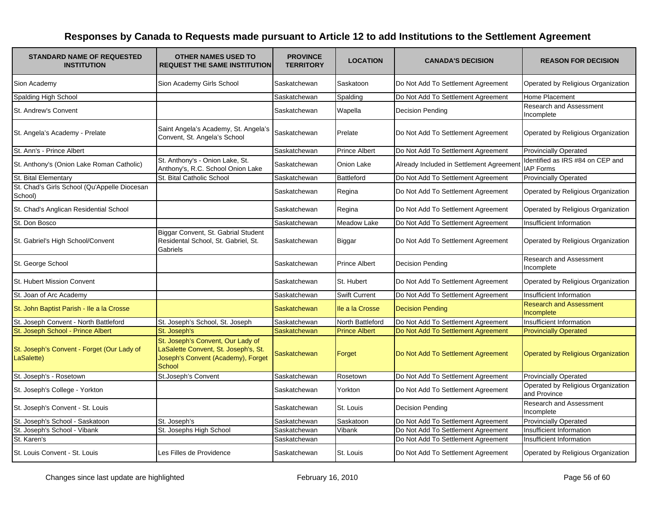| <b>STANDARD NAME OF REQUESTED</b><br><b>INSTITUTION</b>  | <b>OTHER NAMES USED TO</b><br><b>REQUEST THE SAME INSTITUTION</b>                                                         | <b>PROVINCE</b><br><b>TERRITORY</b> | <b>LOCATION</b>      | <b>CANADA'S DECISION</b>                 | <b>REASON FOR DECISION</b>                           |
|----------------------------------------------------------|---------------------------------------------------------------------------------------------------------------------------|-------------------------------------|----------------------|------------------------------------------|------------------------------------------------------|
| Sion Academy                                             | Sion Academy Girls School                                                                                                 | Saskatchewan                        | Saskatoon            | Do Not Add To Settlement Agreement       | Operated by Religious Organization                   |
| Spalding High School                                     |                                                                                                                           | Saskatchewan                        | Spalding             | Do Not Add To Settlement Agreement       | Home Placement                                       |
| St. Andrew's Convent                                     |                                                                                                                           | Saskatchewan                        | Wapella              | Decision Pending                         | Research and Assessment<br>Incomplete                |
| St. Angela's Academy - Prelate                           | Saint Angela's Academy, St. Angela's<br>Convent, St. Angela's School                                                      | Saskatchewan                        | Prelate              | Do Not Add To Settlement Agreement       | Operated by Religious Organization                   |
| St. Ann's - Prince Albert                                |                                                                                                                           | Saskatchewan                        | <b>Prince Albert</b> | Do Not Add To Settlement Agreement       | <b>Provincially Operated</b>                         |
| St. Anthony's (Onion Lake Roman Catholic)                | St. Anthony's - Onion Lake, St.<br>Anthony's, R.C. School Onion Lake                                                      | Saskatchewan                        | Onion Lake           | Already Included in Settlement Agreement | Identified as IRS #84 on CEP and<br><b>IAP Forms</b> |
| St. Bital Elementary                                     | St. Bital Catholic School                                                                                                 | Saskatchewan                        | Battleford           | Do Not Add To Settlement Agreement       | <b>Provincially Operated</b>                         |
| St. Chad's Girls School (Qu'Appelle Diocesan<br>School)  |                                                                                                                           | Saskatchewan                        | Regina               | Do Not Add To Settlement Agreement       | Operated by Religious Organization                   |
| St. Chad's Anglican Residential School                   |                                                                                                                           | Saskatchewan                        | Regina               | Do Not Add To Settlement Agreement       | Operated by Religious Organization                   |
| St. Don Bosco                                            |                                                                                                                           | Saskatchewan                        | <b>Meadow Lake</b>   | Do Not Add To Settlement Agreement       | Insufficient Information                             |
| St. Gabriel's High School/Convent                        | Biggar Convent, St. Gabrial Student<br>Residental School, St. Gabriel, St.<br>Gabriels                                    | Saskatchewan                        | Biggar               | Do Not Add To Settlement Agreement       | Operated by Religious Organization                   |
| St. George School                                        |                                                                                                                           | Saskatchewan                        | <b>Prince Albert</b> | <b>Decision Pending</b>                  | Research and Assessment<br>Incomplete                |
| <b>St. Hubert Mission Convent</b>                        |                                                                                                                           | Saskatchewan                        | St. Hubert           | Do Not Add To Settlement Agreement       | Operated by Religious Organization                   |
| St. Joan of Arc Academy                                  |                                                                                                                           | Saskatchewan                        | <b>Swift Current</b> | Do Not Add To Settlement Agreement       | Insufficient Information                             |
| St. John Baptist Parish - Ile a la Crosse                |                                                                                                                           | Saskatchewan                        | Ile a la Crosse      | <b>Decision Pending</b>                  | <b>Research and Assessment</b><br>Incomplete         |
| St. Joseph Convent - North Battleford                    | St. Joseph's School, St. Joseph                                                                                           | Saskatchewan                        | North Battleford     | Do Not Add To Settlement Agreement       | Insufficient Information                             |
| St. Joseph School - Prince Albert                        | St. Joseph's                                                                                                              | Saskatchewan                        | <b>Prince Albert</b> | Do Not Add To Settlement Agreement       | <b>Provincially Operated</b>                         |
| St. Joseph's Convent - Forget (Our Lady of<br>LaSalette) | St. Joseph's Convent, Our Lady of<br>LaSalette Convent, St. Joseph's, St.<br>Joseph's Convent (Academy), Forget<br>School | Saskatchewan                        | Forget               | Do Not Add To Settlement Agreement       | <b>Operated by Religious Organization</b>            |
| St. Joseph's - Rosetown                                  | St.Joseph's Convent                                                                                                       | Saskatchewan                        | Rosetown             | Do Not Add To Settlement Agreement       | <b>Provincially Operated</b>                         |
| St. Joseph's College - Yorkton                           |                                                                                                                           | Saskatchewan                        | Yorkton              | Do Not Add To Settlement Agreement       | Operated by Religious Organization<br>and Province   |
| St. Joseph's Convent - St. Louis                         |                                                                                                                           | Saskatchewan                        | St. Louis            | Decision Pending                         | <b>Research and Assessment</b><br>Incomplete         |
| St. Joseph's School - Saskatoon                          | St. Joseph's                                                                                                              | Saskatchewan                        | Saskatoon            | Do Not Add To Settlement Agreement       | <b>Provincially Operated</b>                         |
| St. Joseph's School - Vibank                             | St. Josephs High School                                                                                                   | Saskatchewan                        | Vibank               | Do Not Add To Settlement Agreement       | Insufficient Information                             |
| St. Karen's                                              |                                                                                                                           | Saskatchewan                        |                      | Do Not Add To Settlement Agreement       | Insufficient Information                             |
| St. Louis Convent - St. Louis                            | Les Filles de Providence                                                                                                  | Saskatchewan                        | St. Louis            | Do Not Add To Settlement Agreement       | Operated by Religious Organization                   |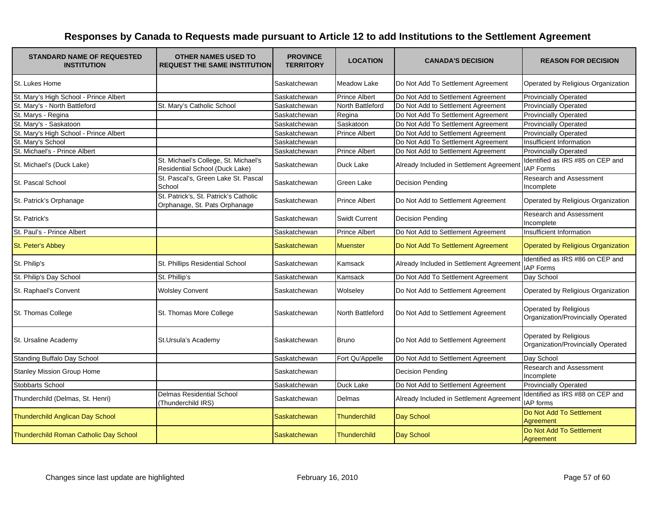| <b>STANDARD NAME OF REQUESTED</b><br><b>INSTITUTION</b> | <b>OTHER NAMES USED TO</b><br><b>REQUEST THE SAME INSTITUTION</b>      | <b>PROVINCE</b><br><b>TERRITORY</b> | <b>LOCATION</b>      | <b>CANADA'S DECISION</b>                 | <b>REASON FOR DECISION</b>                                  |
|---------------------------------------------------------|------------------------------------------------------------------------|-------------------------------------|----------------------|------------------------------------------|-------------------------------------------------------------|
| St. Lukes Home                                          |                                                                        | Saskatchewan                        | Meadow Lake          | Do Not Add To Settlement Agreement       | Operated by Religious Organization                          |
| St. Mary's High School - Prince Albert                  |                                                                        | Saskatchewan                        | <b>Prince Albert</b> | Do Not Add to Settlement Agreement       | <b>Provincially Operated</b>                                |
| St. Mary's - North Battleford                           | St. Mary's Catholic School                                             | Saskatchewan                        | North Battleford     | Do Not Add to Settlement Agreement       | <b>Provincially Operated</b>                                |
| St. Marys - Regina                                      |                                                                        | Saskatchewan                        | Regina               | Do Not Add To Settlement Agreement       | <b>Provincially Operated</b>                                |
| St. Mary's - Saskatoon                                  |                                                                        | Saskatchewan                        | Saskatoon            | Do Not Add To Settlement Agreement       | <b>Provincially Operated</b>                                |
| St. Mary's High School - Prince Albert                  |                                                                        | Saskatchewan                        | <b>Prince Albert</b> | Do Not Add to Settlement Agreement       | <b>Provincially Operated</b>                                |
| St. Mary's School                                       |                                                                        | Saskatchewan                        |                      | Do Not Add To Settlement Agreement       | Insufficient Information                                    |
| St. Michael's - Prince Albert                           |                                                                        | Saskatchewan                        | <b>Prince Albert</b> | Do Not Add to Settlement Agreement       | <b>Provincially Operated</b>                                |
| St. Michael's (Duck Lake)                               | St. Michael's College, St. Michael's<br>Residential School (Duck Lake) | Saskatchewan                        | Duck Lake            | Already Included in Settlement Agreement | Identified as IRS #85 on CEP and<br><b>IAP Forms</b>        |
| St. Pascal School                                       | St. Pascal's, Green Lake St. Pascal<br>School                          | Saskatchewan                        | Green Lake           | <b>Decision Pending</b>                  | <b>Research and Assessment</b><br>Incomplete                |
| St. Patrick's Orphanage                                 | St. Patrick's, St. Patrick's Catholic<br>Orphanage, St. Pats Orphanage | Saskatchewan                        | <b>Prince Albert</b> | Do Not Add to Settlement Agreement       | Operated by Religious Organization                          |
| St. Patrick's                                           |                                                                        | Saskatchewan                        | <b>Swidt Current</b> | <b>Decision Pending</b>                  | <b>Research and Assessment</b><br>Incomplete                |
| St. Paul's - Prince Albert                              |                                                                        | Saskatchewan                        | <b>Prince Albert</b> | Do Not Add to Settlement Agreement       | Insufficient Information                                    |
| St. Peter's Abbey                                       |                                                                        | Saskatchewan                        | <b>Muenster</b>      | Do Not Add To Settlement Agreement       | Operated by Religious Organization                          |
| St. Philip's                                            | St. Phillips Residential School                                        | Saskatchewan                        | Kamsack              | Already Included in Settlement Agreement | Identified as IRS #86 on CEP and<br><b>IAP Forms</b>        |
| St. Philip's Day School                                 | St. Phillip's                                                          | Saskatchewan                        | Kamsack              | Do Not Add To Settlement Agreement       | Day School                                                  |
| St. Raphael's Convent                                   | <b>Wolsley Convent</b>                                                 | Saskatchewan                        | Wolseley             | Do Not Add to Settlement Agreement       | Operated by Religious Organization                          |
| St. Thomas College                                      | St. Thomas More College                                                | Saskatchewan                        | North Battleford     | Do Not Add to Settlement Agreement       | Operated by Religious<br>Organization/Provincially Operated |
| St. Ursaline Academy                                    | St.Ursula's Academy                                                    | Saskatchewan                        | <b>Bruno</b>         | Do Not Add to Settlement Agreement       | Operated by Religious<br>Organization/Provincially Operated |
| Standing Buffalo Day School                             |                                                                        | Saskatchewan                        | Fort Qu'Appelle      | Do Not Add to Settlement Agreement       | Day School                                                  |
| Stanley Mission Group Home                              |                                                                        | Saskatchewan                        |                      | <b>Decision Pending</b>                  | <b>Research and Assessment</b><br>Incomplete                |
| Stobbarts School                                        |                                                                        | Saskatchewan                        | Duck Lake            | Do Not Add to Settlement Agreement       | <b>Provincially Operated</b>                                |
| Thunderchild (Delmas, St. Henri)                        | <b>Delmas Residential School</b><br>(Thunderchild IRS)                 | Saskatchewan                        | Delmas               | Already Included in Settlement Agreemen  | Identified as IRS #88 on CEP and<br><b>IAP</b> forms        |
| <b>Thunderchild Anglican Day School</b>                 |                                                                        | <b>Saskatchewan</b>                 | Thunderchild         | Day School                               | Do Not Add To Settlement<br><b>Agreement</b>                |
| Thunderchild Roman Catholic Day School                  |                                                                        | <b>Saskatchewan</b>                 | <b>Thunderchild</b>  | Day School                               | Do Not Add To Settlement<br>Agreement                       |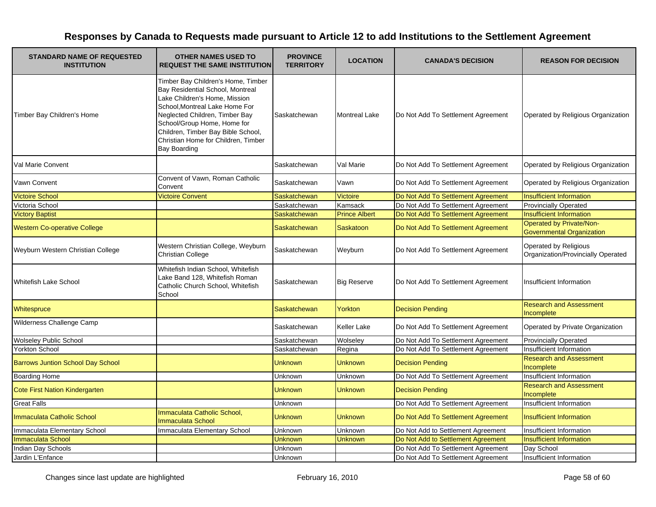| <b>STANDARD NAME OF REQUESTED</b><br><b>INSTITUTION</b> | <b>OTHER NAMES USED TO</b><br><b>REQUEST THE SAME INSTITUTION</b>                                                                                                                                                                                                                                              | <b>PROVINCE</b><br><b>TERRITORY</b> | <b>LOCATION</b>      | <b>CANADA'S DECISION</b>           | <b>REASON FOR DECISION</b>                                          |
|---------------------------------------------------------|----------------------------------------------------------------------------------------------------------------------------------------------------------------------------------------------------------------------------------------------------------------------------------------------------------------|-------------------------------------|----------------------|------------------------------------|---------------------------------------------------------------------|
| Timber Bay Children's Home                              | Timber Bay Children's Home, Timber<br>Bay Residential School, Montreal<br>Lake Children's Home, Mission<br>School, Montreal Lake Home For<br>Neglected Children, Timber Bay<br>School/Group Home, Home for<br>Children, Timber Bay Bible School,<br>Christian Home for Children, Timber<br><b>Bay Boarding</b> | Saskatchewan                        | <b>Montreal Lake</b> | Do Not Add To Settlement Agreement | Operated by Religious Organization                                  |
| Val Marie Convent                                       |                                                                                                                                                                                                                                                                                                                | Saskatchewan                        | Val Marie            | Do Not Add To Settlement Agreement | Operated by Religious Organization                                  |
| <b>Vawn Convent</b>                                     | Convent of Vawn, Roman Catholic<br>Convent                                                                                                                                                                                                                                                                     | Saskatchewan                        | Vawn                 | Do Not Add To Settlement Agreement | Operated by Religious Organization                                  |
| <b>Victoire School</b>                                  | <b>Victoire Convent</b>                                                                                                                                                                                                                                                                                        | Saskatchewan                        | Victoire             | Do Not Add To Settlement Agreement | <b>Insufficient Information</b>                                     |
| Victoria School                                         |                                                                                                                                                                                                                                                                                                                | Saskatchewan                        | Kamsack              | Do Not Add To Settlement Agreement | Provincially Operated                                               |
| <b>Victory Baptist</b>                                  |                                                                                                                                                                                                                                                                                                                | Saskatchewan                        | <b>Prince Albert</b> | Do Not Add To Settlement Agreement | <b>Insufficient Information</b>                                     |
| <b>Western Co-operative College</b>                     |                                                                                                                                                                                                                                                                                                                | <b>Saskatchewan</b>                 | <b>Saskatoon</b>     | Do Not Add To Settlement Agreement | <b>Operated by Private/Non-</b><br><b>Governmental Organization</b> |
| Weyburn Western Christian College                       | Western Christian College, Weyburn<br><b>Christian College</b>                                                                                                                                                                                                                                                 | Saskatchewan                        | Weyburn              | Do Not Add To Settlement Agreement | Operated by Religious<br>Organization/Provincially Operated         |
| <b>Whitefish Lake School</b>                            | Whitefish Indian School, Whitefish<br>Lake Band 128, Whitefish Roman<br>Catholic Church School, Whitefish<br>School                                                                                                                                                                                            | Saskatchewan                        | <b>Big Reserve</b>   | Do Not Add To Settlement Agreement | Insufficient Information                                            |
| Whitespruce                                             |                                                                                                                                                                                                                                                                                                                | <b>Saskatchewan</b>                 | Yorkton              | <b>Decision Pending</b>            | <b>Research and Assessment</b><br>Incomplete                        |
| <b>Wilderness Challenge Camp</b>                        |                                                                                                                                                                                                                                                                                                                | Saskatchewan                        | Keller Lake          | Do Not Add To Settlement Agreement | Operated by Private Organization                                    |
| <b>Wolseley Public School</b>                           |                                                                                                                                                                                                                                                                                                                | Saskatchewan                        | Wolseley             | Do Not Add To Settlement Agreement | <b>Provincially Operated</b>                                        |
| <b>Yorkton School</b>                                   |                                                                                                                                                                                                                                                                                                                | Saskatchewan                        | Regina               | Do Not Add To Settlement Agreement | Insufficient Information                                            |
| <b>Barrows Juntion School Day School</b>                |                                                                                                                                                                                                                                                                                                                | <b>Unknown</b>                      | <b>Unknown</b>       | <b>Decision Pending</b>            | <b>Research and Assessment</b><br>Incomplete                        |
| <b>Boarding Home</b>                                    |                                                                                                                                                                                                                                                                                                                | Unknown                             | Unknown              | Do Not Add To Settlement Agreement | Insufficient Information                                            |
| <b>Cote First Nation Kindergarten</b>                   |                                                                                                                                                                                                                                                                                                                | <b>Unknown</b>                      | <b>Unknown</b>       | <b>Decision Pending</b>            | <b>Research and Assessment</b><br>Incomplete                        |
| <b>Great Falls</b>                                      |                                                                                                                                                                                                                                                                                                                | Unknown                             |                      | Do Not Add To Settlement Agreement | Insufficient Information                                            |
| Immaculata Catholic School                              | Immaculata Catholic School,<br><b>Immaculata School</b>                                                                                                                                                                                                                                                        | Unknown                             | <b>Unknown</b>       | Do Not Add To Settlement Agreement | <b>Insufficient Information</b>                                     |
| Immaculata Elementary School                            | Immaculata Elementary School                                                                                                                                                                                                                                                                                   | Unknown                             | Unknown              | Do Not Add to Settlement Agreement | Insufficient Information                                            |
| Immaculata School                                       |                                                                                                                                                                                                                                                                                                                | Unknown                             | <b>Unknown</b>       | Do Not Add to Settlement Agreement | <b>Insufficient Information</b>                                     |
| Indian Day Schools                                      |                                                                                                                                                                                                                                                                                                                | Unknown                             |                      | Do Not Add To Settlement Agreement | Day School                                                          |
| Jardin L'Enfance                                        |                                                                                                                                                                                                                                                                                                                | Unknown                             |                      | Do Not Add To Settlement Agreement | Insufficient Information                                            |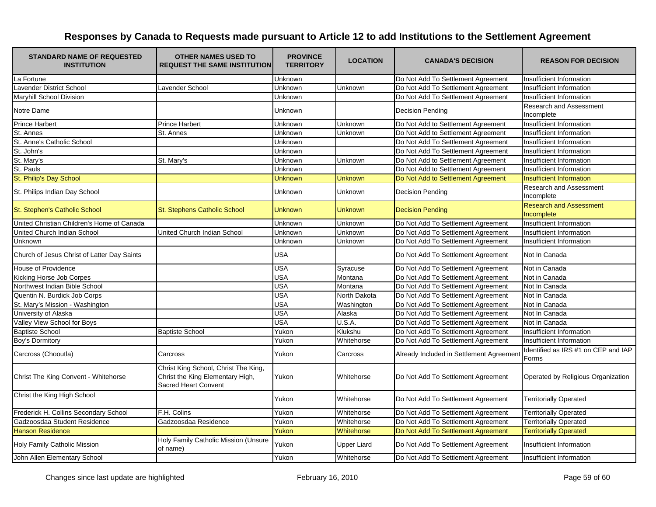| <b>STANDARD NAME OF REQUESTED</b><br><b>INSTITUTION</b> | <b>OTHER NAMES USED TO</b><br><b>REQUEST THE SAME INSTITUTION</b>                                       | <b>PROVINCE</b><br><b>TERRITORY</b> | <b>LOCATION</b>    | <b>CANADA'S DECISION</b>                 | <b>REASON FOR DECISION</b>                   |
|---------------------------------------------------------|---------------------------------------------------------------------------------------------------------|-------------------------------------|--------------------|------------------------------------------|----------------------------------------------|
| La Fortune                                              |                                                                                                         | Unknown                             |                    | Do Not Add To Settlement Agreement       | Insufficient Information                     |
| Lavender District School                                | Lavender School                                                                                         | Unknown                             | Unknown            | Do Not Add To Settlement Agreement       | Insufficient Information                     |
| Maryhill School Division                                |                                                                                                         | Unknown                             |                    | Do Not Add To Settlement Agreement       | Insufficient Information                     |
| Notre Dame                                              |                                                                                                         | Unknown                             |                    | <b>Decision Pending</b>                  | Research and Assessment<br>Incomplete        |
| <b>Prince Harbert</b>                                   | <b>Prince Harbert</b>                                                                                   | Unknown                             | Unknown            | Do Not Add to Settlement Agreement       | Insufficient Information                     |
| St. Annes                                               | St. Annes                                                                                               | Unknown                             | Unknown            | Do Not Add to Settlement Agreement       | Insufficient Information                     |
| St. Anne's Catholic School                              |                                                                                                         | Unknown                             |                    | Do Not Add To Settlement Agreement       | Insufficient Information                     |
| St. John's                                              |                                                                                                         | Unknown                             |                    | Do Not Add To Settlement Agreement       | Insufficient Information                     |
| St. Mary's                                              | St. Mary's                                                                                              | Unknown                             | Unknown            | Do Not Add to Settlement Agreement       | Insufficient Information                     |
| St. Pauls                                               |                                                                                                         | Unknown                             |                    | Do Not Add to Settlement Agreement       | Insufficient Information                     |
| St. Philip's Day School                                 |                                                                                                         | <b>Unknown</b>                      | Unknown            | Do Not Add to Settlement Agreement       | <b>Insufficient Information</b>              |
| St. Philips Indian Day School                           |                                                                                                         | Unknown                             | Unknown            | <b>Decision Pending</b>                  | <b>Research and Assessment</b><br>Incomplete |
| St. Stephen's Catholic School                           | St. Stephens Catholic School                                                                            | <b>Unknown</b>                      | Unknown            | <b>Decision Pending</b>                  | <b>Research and Assessment</b><br>Incomplete |
| United Christian Children's Home of Canada              |                                                                                                         | Unknown                             | Unknown            | Do Not Add To Settlement Agreement       | Insufficient Information                     |
| United Church Indian School                             | United Church Indian School                                                                             | Unknown                             | Unknown            | Do Not Add To Settlement Agreement       | Insufficient Information                     |
| Unknown                                                 |                                                                                                         | <b>Unknown</b>                      | Unknown            | Do Not Add To Settlement Agreement       | Insufficient Information                     |
| Church of Jesus Christ of Latter Day Saints             |                                                                                                         | <b>USA</b>                          |                    | Do Not Add To Settlement Agreement       | Not In Canada                                |
| House of Providence                                     |                                                                                                         | <b>USA</b>                          | Syracuse           | Do Not Add To Settlement Agreement       | Not in Canada                                |
| Kicking Horse Job Corpes                                |                                                                                                         | <b>USA</b>                          | Montana            | Do Not Add To Settlement Agreement       | Not in Canada                                |
| Northwest Indian Bible School                           |                                                                                                         | <b>USA</b>                          | Montana            | Do Not Add To Settlement Agreement       | Not In Canada                                |
| Quentin N. Burdick Job Corps                            |                                                                                                         | <b>USA</b>                          | North Dakota       | Do Not Add To Settlement Agreement       | Not In Canada                                |
| St. Mary's Mission - Washington                         |                                                                                                         | <b>USA</b>                          | Washington         | Do Not Add To Settlement Agreement       | Not In Canada                                |
| University of Alaska                                    |                                                                                                         | <b>USA</b>                          | Alaska             | Do Not Add To Settlement Agreement       | Not In Canada                                |
| Valley View School for Boys                             |                                                                                                         | USA                                 | U.S.A.             | Do Not Add To Settlement Agreement       | Not In Canada                                |
| <b>Baptiste School</b>                                  | <b>Baptiste School</b>                                                                                  | Yukon                               | Klukshu            | Do Not Add To Settlement Agreement       | Insufficient Information                     |
| <b>Boy's Dormitory</b>                                  |                                                                                                         | Yukon                               | Whitehorse         | Do Not Add To Settlement Agreement       | Insufficient Information                     |
| Carcross (Chooutla)                                     | Carcross                                                                                                | Yukon                               | Carcross           | Already Included in Settlement Agreement | Identified as IRS #1 on CEP and IAP<br>Forms |
| Christ The King Convent - Whitehorse                    | Christ King School, Christ The King,<br>Christ the King Elementary High,<br><b>Sacred Heart Convent</b> | Yukon                               | Whitehorse         | Do Not Add To Settlement Agreement       | Operated by Religious Organization           |
| Christ the King High School                             |                                                                                                         | Yukon                               | Whitehorse         | Do Not Add To Settlement Agreement       | <b>Territorially Operated</b>                |
| Frederick H. Collins Secondary School                   | F.H. Colins                                                                                             | Yukon                               | Whitehorse         | Do Not Add To Settlement Agreement       | <b>Territorially Operated</b>                |
| Gadzoosdaa Student Residence                            | Gadzoosdaa Residence                                                                                    | Yukon                               | Whitehorse         | Do Not Add To Settlement Agreement       | <b>Territorially Operated</b>                |
| <b>Hanson Residence</b>                                 |                                                                                                         | Yukon                               | Whitehorse         | Do Not Add To Settlement Agreement       | <b>Territorially Operated</b>                |
| Holy Family Catholic Mission                            | Holy Family Catholic Mission (Unsure<br>of name)                                                        | Yukon                               | <b>Upper Liard</b> | Do Not Add To Settlement Agreement       | Insufficient Information                     |
| John Allen Elementary School                            |                                                                                                         | Yukon                               | Whitehorse         | Do Not Add To Settlement Agreement       | Insufficient Information                     |
|                                                         |                                                                                                         |                                     |                    |                                          |                                              |